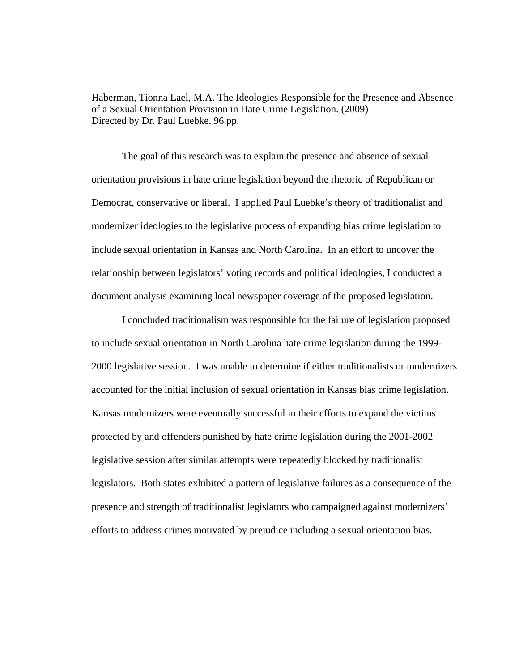Haberman, Tionna Lael, M.A. The Ideologies Responsible for the Presence and Absence of a Sexual Orientation Provision in Hate Crime Legislation. (2009) Directed by Dr. Paul Luebke. 96 pp.

 The goal of this research was to explain the presence and absence of sexual orientation provisions in hate crime legislation beyond the rhetoric of Republican or Democrat, conservative or liberal. I applied Paul Luebke's theory of traditionalist and modernizer ideologies to the legislative process of expanding bias crime legislation to include sexual orientation in Kansas and North Carolina. In an effort to uncover the relationship between legislators' voting records and political ideologies, I conducted a document analysis examining local newspaper coverage of the proposed legislation.

I concluded traditionalism was responsible for the failure of legislation proposed to include sexual orientation in North Carolina hate crime legislation during the 1999- 2000 legislative session. I was unable to determine if either traditionalists or modernizers accounted for the initial inclusion of sexual orientation in Kansas bias crime legislation. Kansas modernizers were eventually successful in their efforts to expand the victims protected by and offenders punished by hate crime legislation during the 2001-2002 legislative session after similar attempts were repeatedly blocked by traditionalist legislators. Both states exhibited a pattern of legislative failures as a consequence of the presence and strength of traditionalist legislators who campaigned against modernizers' efforts to address crimes motivated by prejudice including a sexual orientation bias.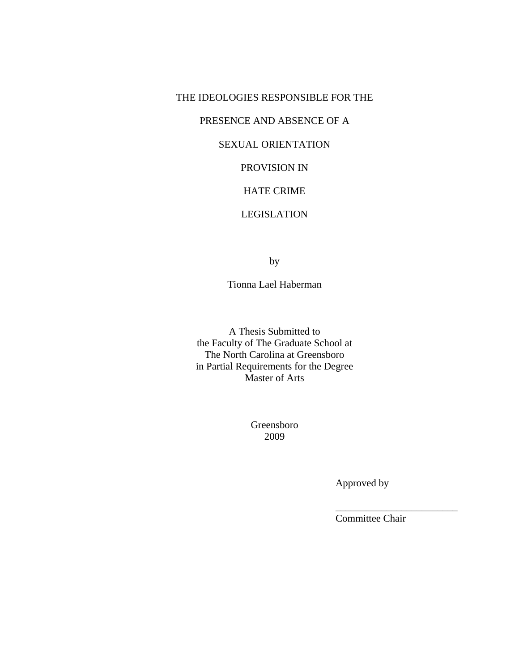## THE IDEOLOGIES RESPONSIBLE FOR THE

## PRESENCE AND ABSENCE OF A

# SEXUAL ORIENTATION

# PROVISION IN

## HATE CRIME

## LEGISLATION

by

Tionna Lael Haberman

A Thesis Submitted to the Faculty of The Graduate School at The North Carolina at Greensboro in Partial Requirements for the Degree Master of Arts

> Greensboro 2009

> > Approved by

Committee Chair

\_\_\_\_\_\_\_\_\_\_\_\_\_\_\_\_\_\_\_\_\_\_\_\_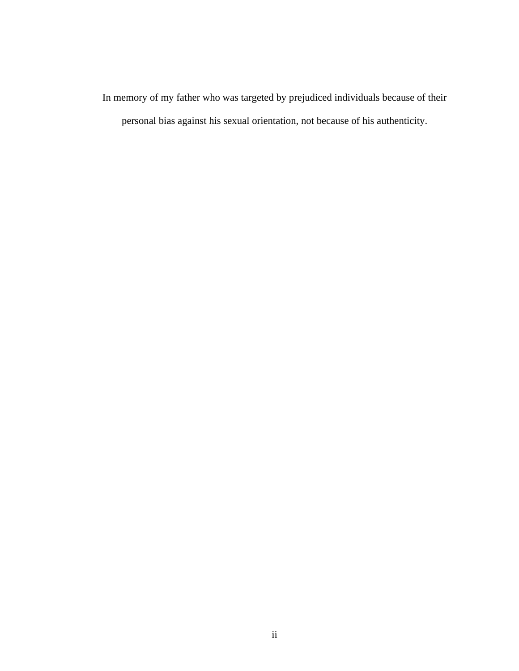In memory of my father who was targeted by prejudiced individuals because of their personal bias against his sexual orientation, not because of his authenticity.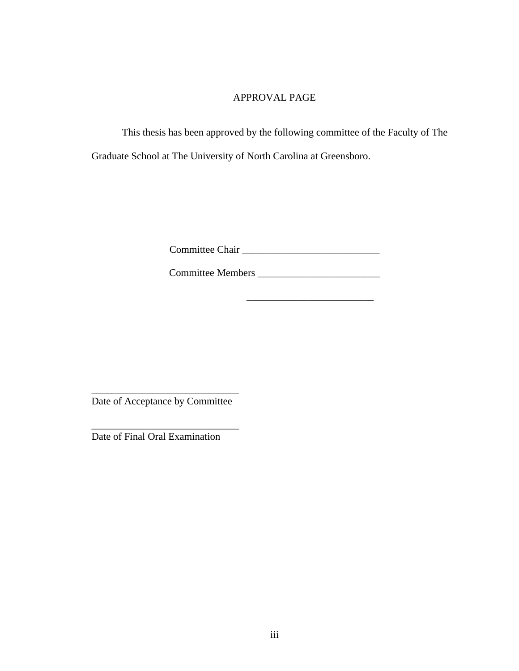# APPROVAL PAGE

 This thesis has been approved by the following committee of the Faculty of The Graduate School at The University of North Carolina at Greensboro.

Committee Chair \_\_\_\_\_\_\_\_\_\_\_\_\_\_\_\_\_\_\_\_\_\_\_\_\_\_\_

Committee Members \_\_\_\_\_\_\_\_\_\_\_\_\_\_\_\_\_\_\_\_\_\_\_\_

 $\frac{1}{2}$  , and the set of the set of the set of the set of the set of the set of the set of the set of the set of the set of the set of the set of the set of the set of the set of the set of the set of the set of the set

\_\_\_\_\_\_\_\_\_\_\_\_\_\_\_\_\_\_\_\_\_\_\_\_\_\_\_\_\_ Date of Acceptance by Committee

\_\_\_\_\_\_\_\_\_\_\_\_\_\_\_\_\_\_\_\_\_\_\_\_\_\_\_\_\_ Date of Final Oral Examination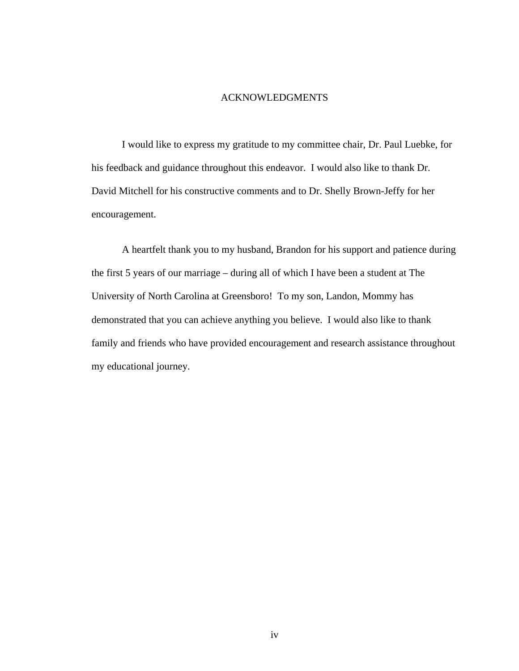#### ACKNOWLEDGMENTS

 I would like to express my gratitude to my committee chair, Dr. Paul Luebke, for his feedback and guidance throughout this endeavor. I would also like to thank Dr. David Mitchell for his constructive comments and to Dr. Shelly Brown-Jeffy for her encouragement.

A heartfelt thank you to my husband, Brandon for his support and patience during the first 5 years of our marriage – during all of which I have been a student at The University of North Carolina at Greensboro! To my son, Landon, Mommy has demonstrated that you can achieve anything you believe. I would also like to thank family and friends who have provided encouragement and research assistance throughout my educational journey.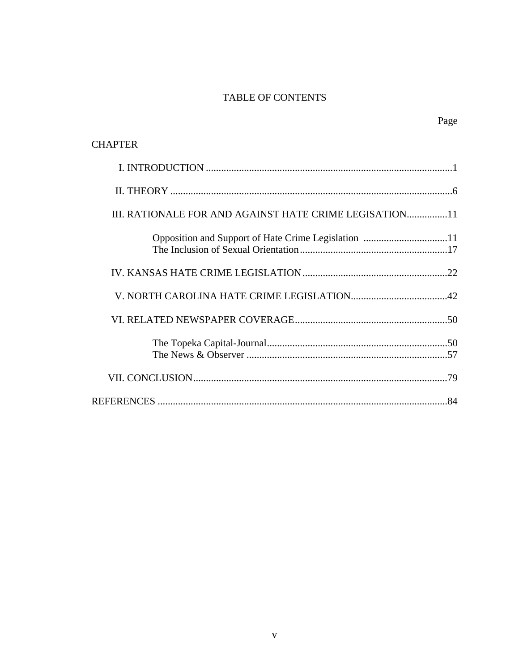# TABLE OF CONTENTS

Page

| <b>CHAPTER</b>                                          |
|---------------------------------------------------------|
|                                                         |
|                                                         |
| III. RATIONALE FOR AND AGAINST HATE CRIME LEGISATION 11 |
|                                                         |
|                                                         |
|                                                         |
|                                                         |
|                                                         |
|                                                         |
|                                                         |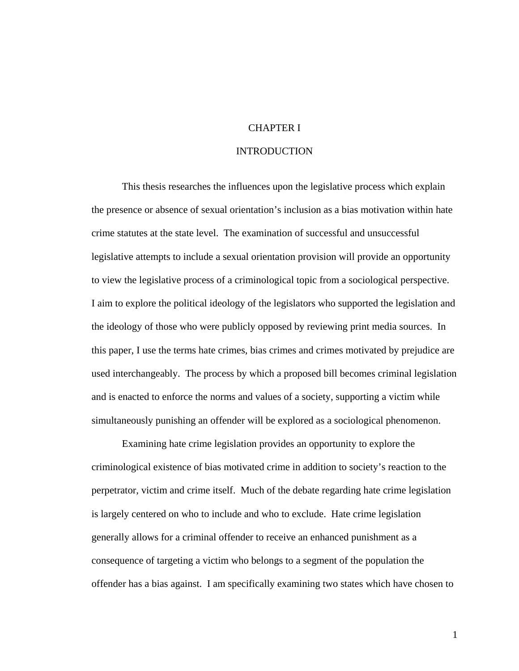## CHAPTER I

# INTRODUCTION

 This thesis researches the influences upon the legislative process which explain the presence or absence of sexual orientation's inclusion as a bias motivation within hate crime statutes at the state level. The examination of successful and unsuccessful legislative attempts to include a sexual orientation provision will provide an opportunity to view the legislative process of a criminological topic from a sociological perspective. I aim to explore the political ideology of the legislators who supported the legislation and the ideology of those who were publicly opposed by reviewing print media sources. In this paper, I use the terms hate crimes, bias crimes and crimes motivated by prejudice are used interchangeably. The process by which a proposed bill becomes criminal legislation and is enacted to enforce the norms and values of a society, supporting a victim while simultaneously punishing an offender will be explored as a sociological phenomenon.

Examining hate crime legislation provides an opportunity to explore the criminological existence of bias motivated crime in addition to society's reaction to the perpetrator, victim and crime itself. Much of the debate regarding hate crime legislation is largely centered on who to include and who to exclude. Hate crime legislation generally allows for a criminal offender to receive an enhanced punishment as a consequence of targeting a victim who belongs to a segment of the population the offender has a bias against. I am specifically examining two states which have chosen to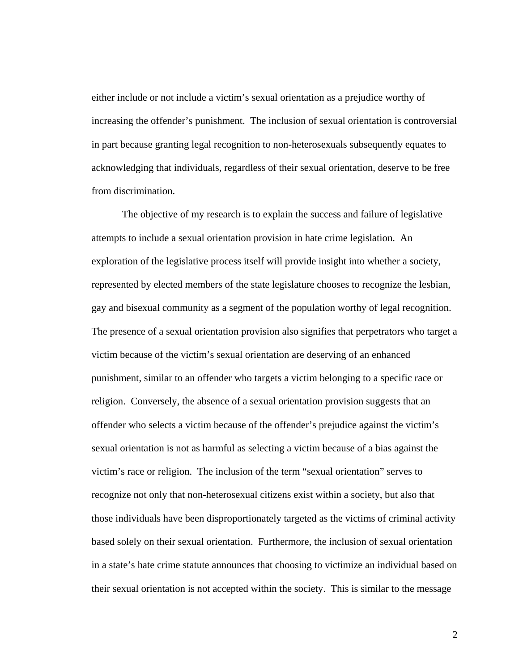either include or not include a victim's sexual orientation as a prejudice worthy of increasing the offender's punishment. The inclusion of sexual orientation is controversial in part because granting legal recognition to non-heterosexuals subsequently equates to acknowledging that individuals, regardless of their sexual orientation, deserve to be free from discrimination.

The objective of my research is to explain the success and failure of legislative attempts to include a sexual orientation provision in hate crime legislation. An exploration of the legislative process itself will provide insight into whether a society, represented by elected members of the state legislature chooses to recognize the lesbian, gay and bisexual community as a segment of the population worthy of legal recognition. The presence of a sexual orientation provision also signifies that perpetrators who target a victim because of the victim's sexual orientation are deserving of an enhanced punishment, similar to an offender who targets a victim belonging to a specific race or religion. Conversely, the absence of a sexual orientation provision suggests that an offender who selects a victim because of the offender's prejudice against the victim's sexual orientation is not as harmful as selecting a victim because of a bias against the victim's race or religion. The inclusion of the term "sexual orientation" serves to recognize not only that non-heterosexual citizens exist within a society, but also that those individuals have been disproportionately targeted as the victims of criminal activity based solely on their sexual orientation. Furthermore, the inclusion of sexual orientation in a state's hate crime statute announces that choosing to victimize an individual based on their sexual orientation is not accepted within the society. This is similar to the message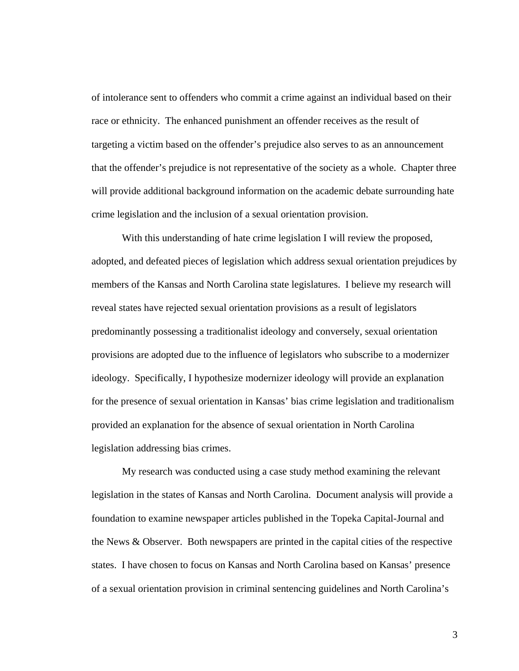of intolerance sent to offenders who commit a crime against an individual based on their race or ethnicity. The enhanced punishment an offender receives as the result of targeting a victim based on the offender's prejudice also serves to as an announcement that the offender's prejudice is not representative of the society as a whole. Chapter three will provide additional background information on the academic debate surrounding hate crime legislation and the inclusion of a sexual orientation provision.

With this understanding of hate crime legislation I will review the proposed, adopted, and defeated pieces of legislation which address sexual orientation prejudices by members of the Kansas and North Carolina state legislatures. I believe my research will reveal states have rejected sexual orientation provisions as a result of legislators predominantly possessing a traditionalist ideology and conversely, sexual orientation provisions are adopted due to the influence of legislators who subscribe to a modernizer ideology. Specifically, I hypothesize modernizer ideology will provide an explanation for the presence of sexual orientation in Kansas' bias crime legislation and traditionalism provided an explanation for the absence of sexual orientation in North Carolina legislation addressing bias crimes.

 My research was conducted using a case study method examining the relevant legislation in the states of Kansas and North Carolina. Document analysis will provide a foundation to examine newspaper articles published in the Topeka Capital-Journal and the News & Observer. Both newspapers are printed in the capital cities of the respective states. I have chosen to focus on Kansas and North Carolina based on Kansas' presence of a sexual orientation provision in criminal sentencing guidelines and North Carolina's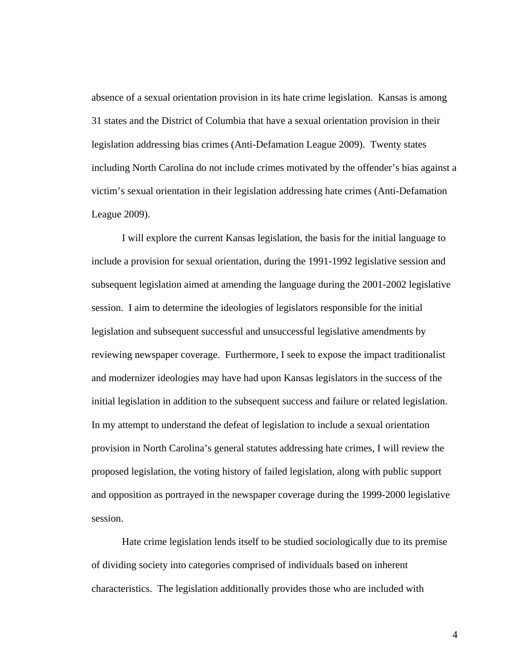absence of a sexual orientation provision in its hate crime legislation. Kansas is among 31 states and the District of Columbia that have a sexual orientation provision in their legislation addressing bias crimes (Anti-Defamation League 2009). Twenty states including North Carolina do not include crimes motivated by the offender's bias against a victim's sexual orientation in their legislation addressing hate crimes (Anti-Defamation League 2009).

I will explore the current Kansas legislation, the basis for the initial language to include a provision for sexual orientation, during the 1991-1992 legislative session and subsequent legislation aimed at amending the language during the 2001-2002 legislative session. I aim to determine the ideologies of legislators responsible for the initial legislation and subsequent successful and unsuccessful legislative amendments by reviewing newspaper coverage. Furthermore, I seek to expose the impact traditionalist and modernizer ideologies may have had upon Kansas legislators in the success of the initial legislation in addition to the subsequent success and failure or related legislation. In my attempt to understand the defeat of legislation to include a sexual orientation provision in North Carolina's general statutes addressing hate crimes, I will review the proposed legislation, the voting history of failed legislation, along with public support and opposition as portrayed in the newspaper coverage during the 1999-2000 legislative session.

Hate crime legislation lends itself to be studied sociologically due to its premise of dividing society into categories comprised of individuals based on inherent characteristics. The legislation additionally provides those who are included with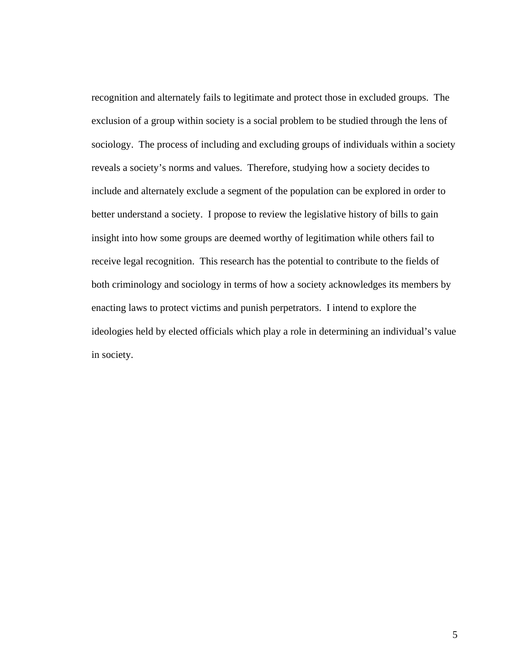recognition and alternately fails to legitimate and protect those in excluded groups. The exclusion of a group within society is a social problem to be studied through the lens of sociology. The process of including and excluding groups of individuals within a society reveals a society's norms and values. Therefore, studying how a society decides to include and alternately exclude a segment of the population can be explored in order to better understand a society. I propose to review the legislative history of bills to gain insight into how some groups are deemed worthy of legitimation while others fail to receive legal recognition. This research has the potential to contribute to the fields of both criminology and sociology in terms of how a society acknowledges its members by enacting laws to protect victims and punish perpetrators. I intend to explore the ideologies held by elected officials which play a role in determining an individual's value in society.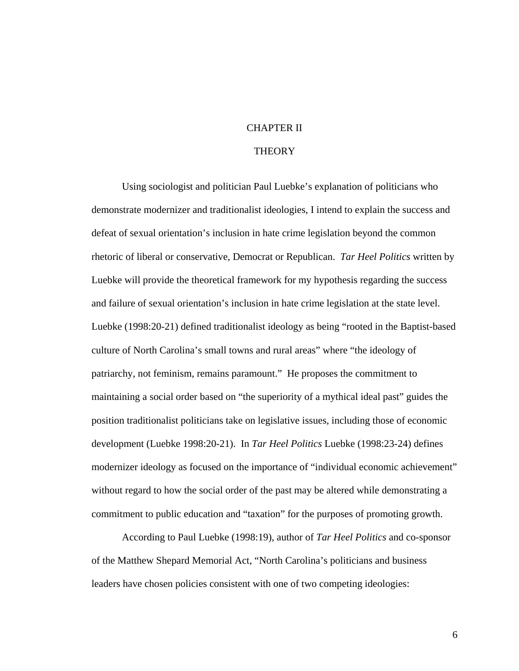#### CHAPTER II

#### **THEORY**

Using sociologist and politician Paul Luebke's explanation of politicians who demonstrate modernizer and traditionalist ideologies, I intend to explain the success and defeat of sexual orientation's inclusion in hate crime legislation beyond the common rhetoric of liberal or conservative, Democrat or Republican. *Tar Heel Politics* written by Luebke will provide the theoretical framework for my hypothesis regarding the success and failure of sexual orientation's inclusion in hate crime legislation at the state level. Luebke (1998:20-21) defined traditionalist ideology as being "rooted in the Baptist-based culture of North Carolina's small towns and rural areas" where "the ideology of patriarchy, not feminism, remains paramount." He proposes the commitment to maintaining a social order based on "the superiority of a mythical ideal past" guides the position traditionalist politicians take on legislative issues, including those of economic development (Luebke 1998:20-21). In *Tar Heel Politics* Luebke (1998:23-24) defines modernizer ideology as focused on the importance of "individual economic achievement" without regard to how the social order of the past may be altered while demonstrating a commitment to public education and "taxation" for the purposes of promoting growth.

According to Paul Luebke (1998:19), author of *Tar Heel Politics* and co-sponsor of the Matthew Shepard Memorial Act, "North Carolina's politicians and business leaders have chosen policies consistent with one of two competing ideologies: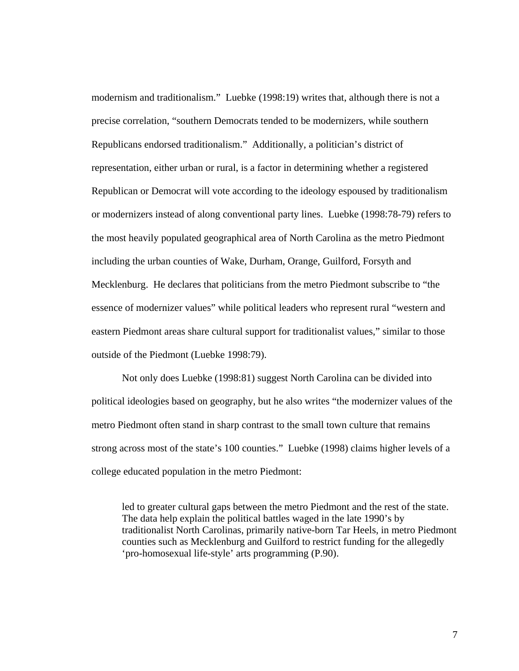modernism and traditionalism." Luebke (1998:19) writes that, although there is not a precise correlation, "southern Democrats tended to be modernizers, while southern Republicans endorsed traditionalism." Additionally, a politician's district of representation, either urban or rural, is a factor in determining whether a registered Republican or Democrat will vote according to the ideology espoused by traditionalism or modernizers instead of along conventional party lines. Luebke (1998:78-79) refers to the most heavily populated geographical area of North Carolina as the metro Piedmont including the urban counties of Wake, Durham, Orange, Guilford, Forsyth and Mecklenburg. He declares that politicians from the metro Piedmont subscribe to "the essence of modernizer values" while political leaders who represent rural "western and eastern Piedmont areas share cultural support for traditionalist values," similar to those outside of the Piedmont (Luebke 1998:79).

Not only does Luebke (1998:81) suggest North Carolina can be divided into political ideologies based on geography, but he also writes "the modernizer values of the metro Piedmont often stand in sharp contrast to the small town culture that remains strong across most of the state's 100 counties." Luebke (1998) claims higher levels of a college educated population in the metro Piedmont:

led to greater cultural gaps between the metro Piedmont and the rest of the state. The data help explain the political battles waged in the late 1990's by traditionalist North Carolinas, primarily native-born Tar Heels, in metro Piedmont counties such as Mecklenburg and Guilford to restrict funding for the allegedly 'pro-homosexual life-style' arts programming (P.90).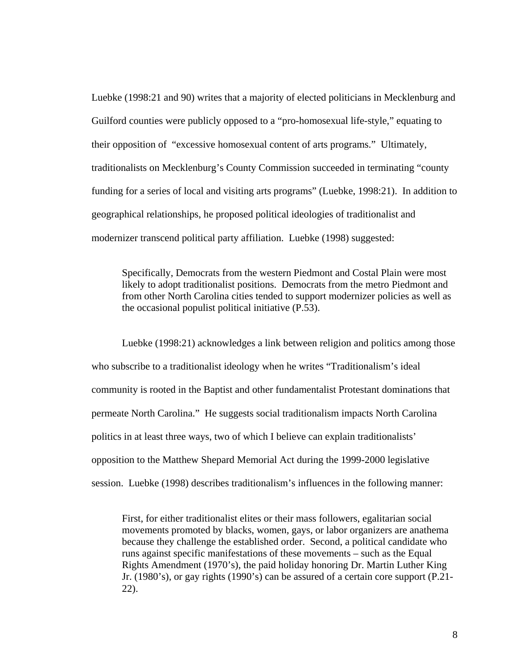Luebke (1998:21 and 90) writes that a majority of elected politicians in Mecklenburg and Guilford counties were publicly opposed to a "pro-homosexual life-style," equating to their opposition of "excessive homosexual content of arts programs." Ultimately, traditionalists on Mecklenburg's County Commission succeeded in terminating "county funding for a series of local and visiting arts programs" (Luebke, 1998:21). In addition to geographical relationships, he proposed political ideologies of traditionalist and modernizer transcend political party affiliation. Luebke (1998) suggested:

Specifically, Democrats from the western Piedmont and Costal Plain were most likely to adopt traditionalist positions. Democrats from the metro Piedmont and from other North Carolina cities tended to support modernizer policies as well as the occasional populist political initiative (P.53).

Luebke (1998:21) acknowledges a link between religion and politics among those who subscribe to a traditionalist ideology when he writes "Traditionalism's ideal community is rooted in the Baptist and other fundamentalist Protestant dominations that permeate North Carolina." He suggests social traditionalism impacts North Carolina politics in at least three ways, two of which I believe can explain traditionalists' opposition to the Matthew Shepard Memorial Act during the 1999-2000 legislative session. Luebke (1998) describes traditionalism's influences in the following manner:

First, for either traditionalist elites or their mass followers, egalitarian social movements promoted by blacks, women, gays, or labor organizers are anathema because they challenge the established order. Second, a political candidate who runs against specific manifestations of these movements – such as the Equal Rights Amendment (1970's), the paid holiday honoring Dr. Martin Luther King Jr. (1980's), or gay rights (1990's) can be assured of a certain core support (P.21- 22).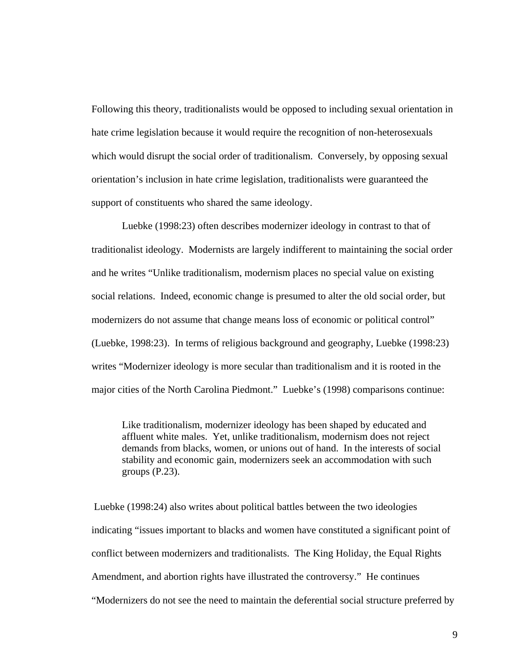Following this theory, traditionalists would be opposed to including sexual orientation in hate crime legislation because it would require the recognition of non-heterosexuals which would disrupt the social order of traditionalism. Conversely, by opposing sexual orientation's inclusion in hate crime legislation, traditionalists were guaranteed the support of constituents who shared the same ideology.

Luebke (1998:23) often describes modernizer ideology in contrast to that of traditionalist ideology. Modernists are largely indifferent to maintaining the social order and he writes "Unlike traditionalism, modernism places no special value on existing social relations. Indeed, economic change is presumed to alter the old social order, but modernizers do not assume that change means loss of economic or political control" (Luebke, 1998:23). In terms of religious background and geography, Luebke (1998:23) writes "Modernizer ideology is more secular than traditionalism and it is rooted in the major cities of the North Carolina Piedmont." Luebke's (1998) comparisons continue:

Like traditionalism, modernizer ideology has been shaped by educated and affluent white males. Yet, unlike traditionalism, modernism does not reject demands from blacks, women, or unions out of hand. In the interests of social stability and economic gain, modernizers seek an accommodation with such groups (P.23).

 Luebke (1998:24) also writes about political battles between the two ideologies indicating "issues important to blacks and women have constituted a significant point of conflict between modernizers and traditionalists. The King Holiday, the Equal Rights Amendment, and abortion rights have illustrated the controversy." He continues "Modernizers do not see the need to maintain the deferential social structure preferred by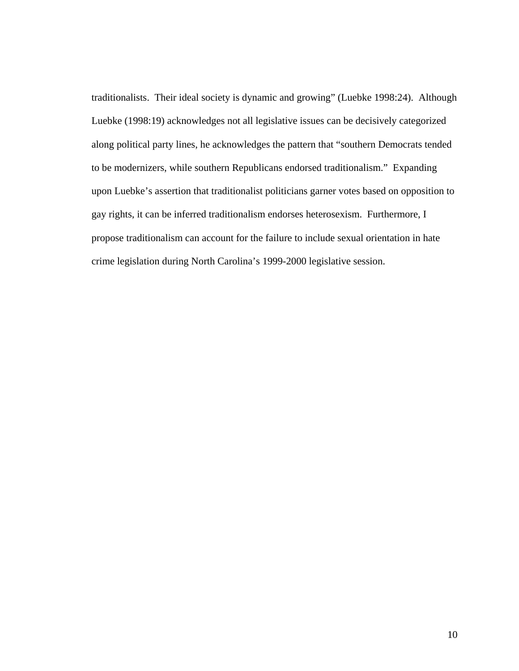traditionalists. Their ideal society is dynamic and growing" (Luebke 1998:24). Although Luebke (1998:19) acknowledges not all legislative issues can be decisively categorized along political party lines, he acknowledges the pattern that "southern Democrats tended to be modernizers, while southern Republicans endorsed traditionalism." Expanding upon Luebke's assertion that traditionalist politicians garner votes based on opposition to gay rights, it can be inferred traditionalism endorses heterosexism. Furthermore, I propose traditionalism can account for the failure to include sexual orientation in hate crime legislation during North Carolina's 1999-2000 legislative session.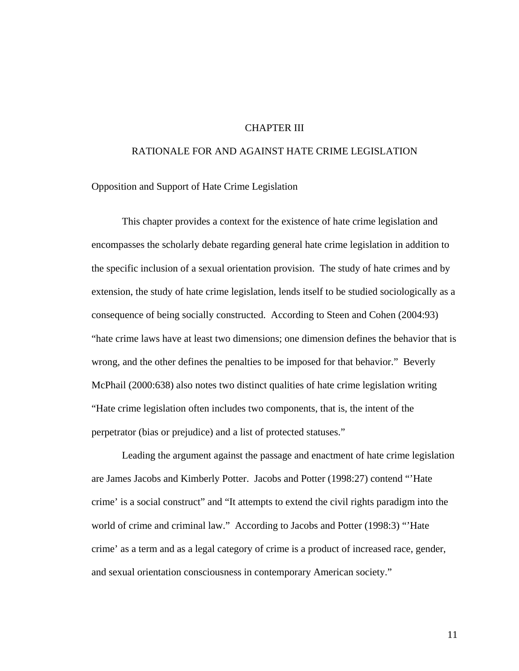#### CHAPTER III

#### RATIONALE FOR AND AGAINST HATE CRIME LEGISLATION

Opposition and Support of Hate Crime Legislation

This chapter provides a context for the existence of hate crime legislation and encompasses the scholarly debate regarding general hate crime legislation in addition to the specific inclusion of a sexual orientation provision. The study of hate crimes and by extension, the study of hate crime legislation, lends itself to be studied sociologically as a consequence of being socially constructed. According to Steen and Cohen (2004:93) "hate crime laws have at least two dimensions; one dimension defines the behavior that is wrong, and the other defines the penalties to be imposed for that behavior." Beverly McPhail (2000:638) also notes two distinct qualities of hate crime legislation writing "Hate crime legislation often includes two components, that is, the intent of the perpetrator (bias or prejudice) and a list of protected statuses."

Leading the argument against the passage and enactment of hate crime legislation are James Jacobs and Kimberly Potter. Jacobs and Potter (1998:27) contend "'Hate crime' is a social construct" and "It attempts to extend the civil rights paradigm into the world of crime and criminal law." According to Jacobs and Potter (1998:3) "Hate crime' as a term and as a legal category of crime is a product of increased race, gender, and sexual orientation consciousness in contemporary American society."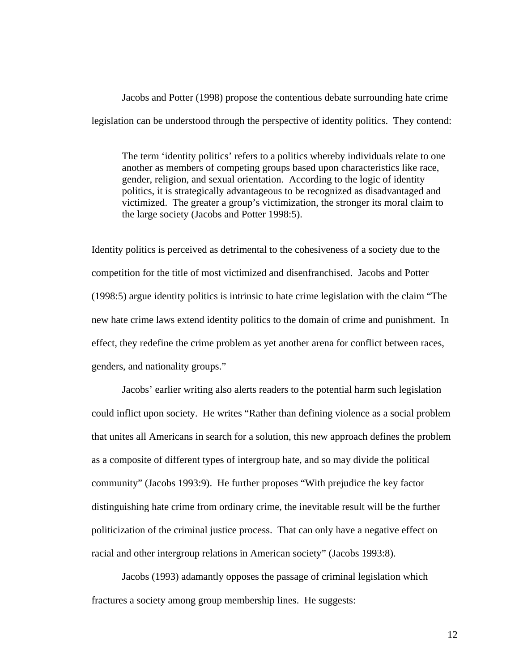Jacobs and Potter (1998) propose the contentious debate surrounding hate crime legislation can be understood through the perspective of identity politics. They contend:

The term 'identity politics' refers to a politics whereby individuals relate to one another as members of competing groups based upon characteristics like race, gender, religion, and sexual orientation. According to the logic of identity politics, it is strategically advantageous to be recognized as disadvantaged and victimized. The greater a group's victimization, the stronger its moral claim to the large society (Jacobs and Potter 1998:5).

Identity politics is perceived as detrimental to the cohesiveness of a society due to the competition for the title of most victimized and disenfranchised. Jacobs and Potter (1998:5) argue identity politics is intrinsic to hate crime legislation with the claim "The new hate crime laws extend identity politics to the domain of crime and punishment. In effect, they redefine the crime problem as yet another arena for conflict between races, genders, and nationality groups."

Jacobs' earlier writing also alerts readers to the potential harm such legislation could inflict upon society. He writes "Rather than defining violence as a social problem that unites all Americans in search for a solution, this new approach defines the problem as a composite of different types of intergroup hate, and so may divide the political community" (Jacobs 1993:9). He further proposes "With prejudice the key factor distinguishing hate crime from ordinary crime, the inevitable result will be the further politicization of the criminal justice process. That can only have a negative effect on racial and other intergroup relations in American society" (Jacobs 1993:8).

 Jacobs (1993) adamantly opposes the passage of criminal legislation which fractures a society among group membership lines. He suggests: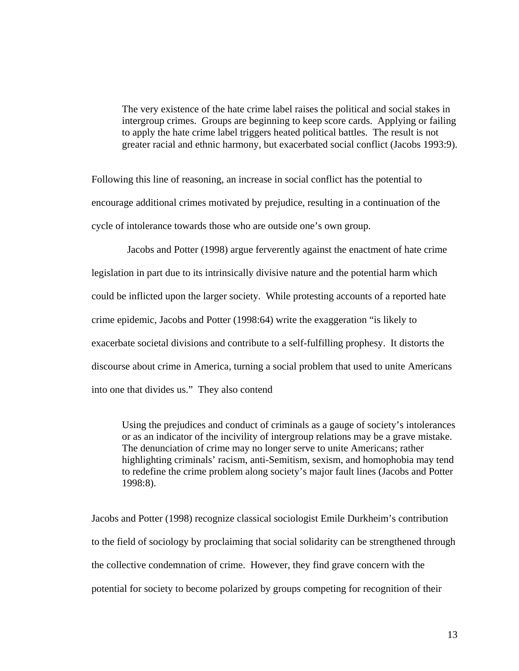The very existence of the hate crime label raises the political and social stakes in intergroup crimes. Groups are beginning to keep score cards. Applying or failing to apply the hate crime label triggers heated political battles. The result is not greater racial and ethnic harmony, but exacerbated social conflict (Jacobs 1993:9).

Following this line of reasoning, an increase in social conflict has the potential to encourage additional crimes motivated by prejudice, resulting in a continuation of the cycle of intolerance towards those who are outside one's own group.

 Jacobs and Potter (1998) argue ferverently against the enactment of hate crime legislation in part due to its intrinsically divisive nature and the potential harm which could be inflicted upon the larger society. While protesting accounts of a reported hate crime epidemic, Jacobs and Potter (1998:64) write the exaggeration "is likely to exacerbate societal divisions and contribute to a self-fulfilling prophesy. It distorts the discourse about crime in America, turning a social problem that used to unite Americans into one that divides us." They also contend

Using the prejudices and conduct of criminals as a gauge of society's intolerances or as an indicator of the incivility of intergroup relations may be a grave mistake. The denunciation of crime may no longer serve to unite Americans; rather highlighting criminals' racism, anti-Semitism, sexism, and homophobia may tend to redefine the crime problem along society's major fault lines (Jacobs and Potter 1998:8).

Jacobs and Potter (1998) recognize classical sociologist Emile Durkheim's contribution to the field of sociology by proclaiming that social solidarity can be strengthened through the collective condemnation of crime. However, they find grave concern with the potential for society to become polarized by groups competing for recognition of their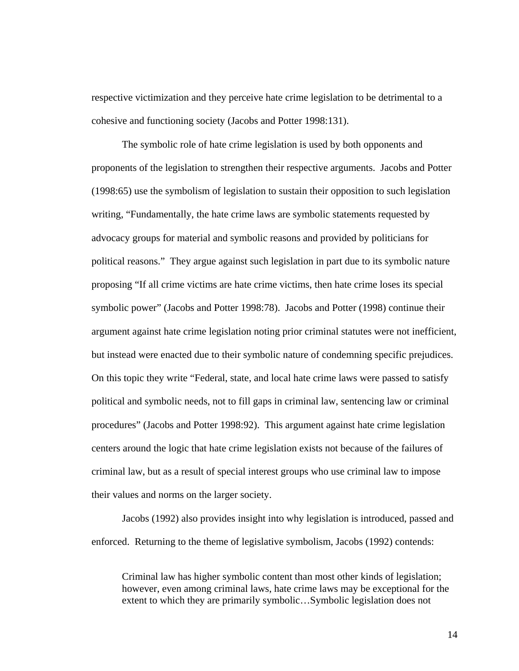respective victimization and they perceive hate crime legislation to be detrimental to a cohesive and functioning society (Jacobs and Potter 1998:131).

 The symbolic role of hate crime legislation is used by both opponents and proponents of the legislation to strengthen their respective arguments. Jacobs and Potter (1998:65) use the symbolism of legislation to sustain their opposition to such legislation writing, "Fundamentally, the hate crime laws are symbolic statements requested by advocacy groups for material and symbolic reasons and provided by politicians for political reasons." They argue against such legislation in part due to its symbolic nature proposing "If all crime victims are hate crime victims, then hate crime loses its special symbolic power" (Jacobs and Potter 1998:78). Jacobs and Potter (1998) continue their argument against hate crime legislation noting prior criminal statutes were not inefficient, but instead were enacted due to their symbolic nature of condemning specific prejudices. On this topic they write "Federal, state, and local hate crime laws were passed to satisfy political and symbolic needs, not to fill gaps in criminal law, sentencing law or criminal procedures" (Jacobs and Potter 1998:92). This argument against hate crime legislation centers around the logic that hate crime legislation exists not because of the failures of criminal law, but as a result of special interest groups who use criminal law to impose their values and norms on the larger society.

 Jacobs (1992) also provides insight into why legislation is introduced, passed and enforced. Returning to the theme of legislative symbolism, Jacobs (1992) contends:

Criminal law has higher symbolic content than most other kinds of legislation; however, even among criminal laws, hate crime laws may be exceptional for the extent to which they are primarily symbolic…Symbolic legislation does not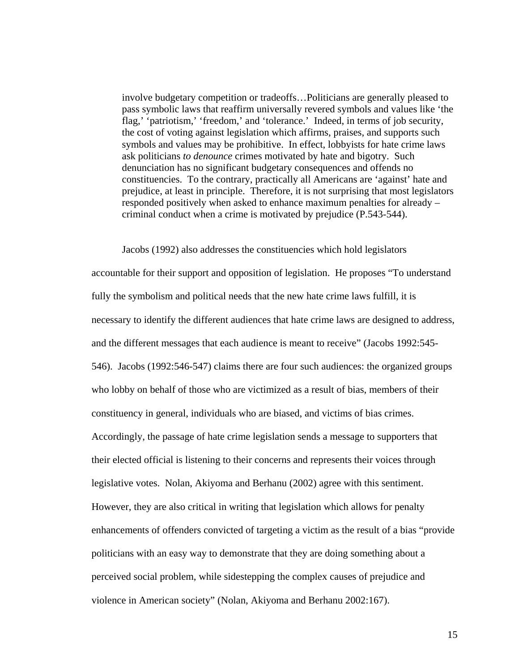involve budgetary competition or tradeoffs…Politicians are generally pleased to pass symbolic laws that reaffirm universally revered symbols and values like 'the flag,' 'patriotism,' 'freedom,' and 'tolerance.' Indeed, in terms of job security, the cost of voting against legislation which affirms, praises, and supports such symbols and values may be prohibitive. In effect, lobbyists for hate crime laws ask politicians *to denounce* crimes motivated by hate and bigotry. Such denunciation has no significant budgetary consequences and offends no constituencies. To the contrary, practically all Americans are 'against' hate and prejudice, at least in principle. Therefore, it is not surprising that most legislators responded positively when asked to enhance maximum penalties for already – criminal conduct when a crime is motivated by prejudice (P.543-544).

 Jacobs (1992) also addresses the constituencies which hold legislators accountable for their support and opposition of legislation. He proposes "To understand fully the symbolism and political needs that the new hate crime laws fulfill, it is necessary to identify the different audiences that hate crime laws are designed to address, and the different messages that each audience is meant to receive" (Jacobs 1992:545- 546). Jacobs (1992:546-547) claims there are four such audiences: the organized groups who lobby on behalf of those who are victimized as a result of bias, members of their constituency in general, individuals who are biased, and victims of bias crimes. Accordingly, the passage of hate crime legislation sends a message to supporters that their elected official is listening to their concerns and represents their voices through legislative votes. Nolan, Akiyoma and Berhanu (2002) agree with this sentiment. However, they are also critical in writing that legislation which allows for penalty enhancements of offenders convicted of targeting a victim as the result of a bias "provide politicians with an easy way to demonstrate that they are doing something about a perceived social problem, while sidestepping the complex causes of prejudice and violence in American society" (Nolan, Akiyoma and Berhanu 2002:167).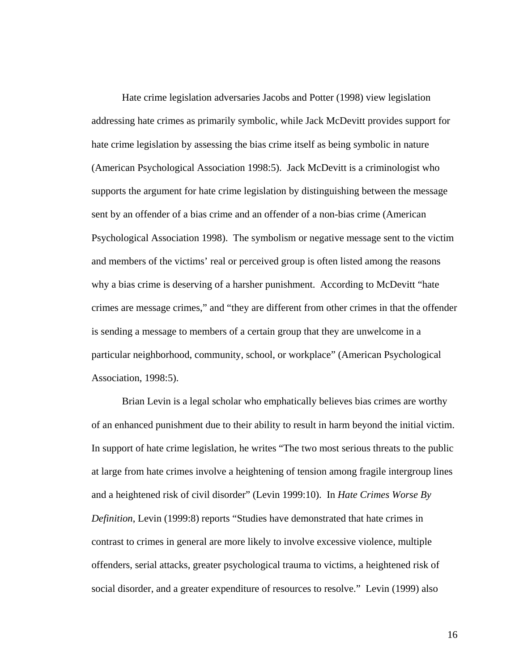Hate crime legislation adversaries Jacobs and Potter (1998) view legislation addressing hate crimes as primarily symbolic, while Jack McDevitt provides support for hate crime legislation by assessing the bias crime itself as being symbolic in nature (American Psychological Association 1998:5). Jack McDevitt is a criminologist who supports the argument for hate crime legislation by distinguishing between the message sent by an offender of a bias crime and an offender of a non-bias crime (American Psychological Association 1998). The symbolism or negative message sent to the victim and members of the victims' real or perceived group is often listed among the reasons why a bias crime is deserving of a harsher punishment. According to McDevitt "hate crimes are message crimes," and "they are different from other crimes in that the offender is sending a message to members of a certain group that they are unwelcome in a particular neighborhood, community, school, or workplace" (American Psychological Association, 1998:5).

 Brian Levin is a legal scholar who emphatically believes bias crimes are worthy of an enhanced punishment due to their ability to result in harm beyond the initial victim. In support of hate crime legislation, he writes "The two most serious threats to the public at large from hate crimes involve a heightening of tension among fragile intergroup lines and a heightened risk of civil disorder" (Levin 1999:10). In *Hate Crimes Worse By Definition*, Levin (1999:8) reports "Studies have demonstrated that hate crimes in contrast to crimes in general are more likely to involve excessive violence, multiple offenders, serial attacks, greater psychological trauma to victims, a heightened risk of social disorder, and a greater expenditure of resources to resolve." Levin (1999) also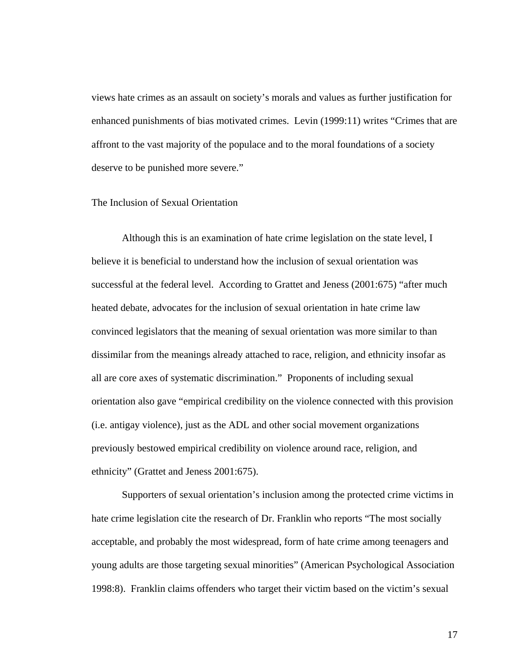views hate crimes as an assault on society's morals and values as further justification for enhanced punishments of bias motivated crimes. Levin (1999:11) writes "Crimes that are affront to the vast majority of the populace and to the moral foundations of a society deserve to be punished more severe."

# The Inclusion of Sexual Orientation

Although this is an examination of hate crime legislation on the state level, I believe it is beneficial to understand how the inclusion of sexual orientation was successful at the federal level. According to Grattet and Jeness (2001:675) "after much heated debate, advocates for the inclusion of sexual orientation in hate crime law convinced legislators that the meaning of sexual orientation was more similar to than dissimilar from the meanings already attached to race, religion, and ethnicity insofar as all are core axes of systematic discrimination." Proponents of including sexual orientation also gave "empirical credibility on the violence connected with this provision (i.e. antigay violence), just as the ADL and other social movement organizations previously bestowed empirical credibility on violence around race, religion, and ethnicity" (Grattet and Jeness 2001:675).

Supporters of sexual orientation's inclusion among the protected crime victims in hate crime legislation cite the research of Dr. Franklin who reports "The most socially acceptable, and probably the most widespread, form of hate crime among teenagers and young adults are those targeting sexual minorities" (American Psychological Association 1998:8). Franklin claims offenders who target their victim based on the victim's sexual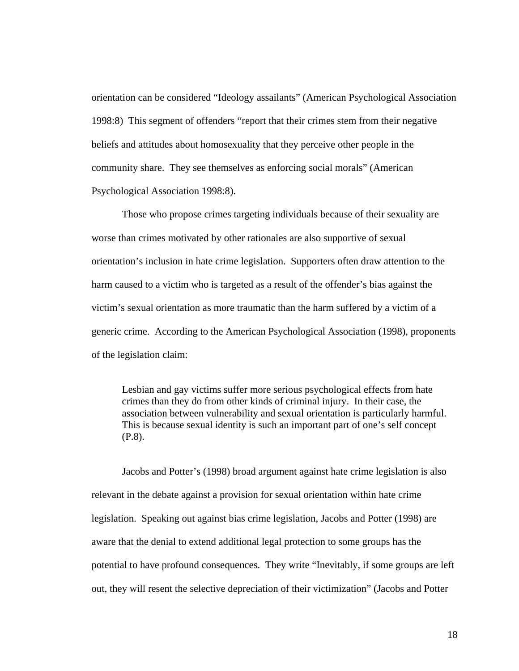orientation can be considered "Ideology assailants" (American Psychological Association 1998:8) This segment of offenders "report that their crimes stem from their negative beliefs and attitudes about homosexuality that they perceive other people in the community share. They see themselves as enforcing social morals" (American Psychological Association 1998:8).

 Those who propose crimes targeting individuals because of their sexuality are worse than crimes motivated by other rationales are also supportive of sexual orientation's inclusion in hate crime legislation. Supporters often draw attention to the harm caused to a victim who is targeted as a result of the offender's bias against the victim's sexual orientation as more traumatic than the harm suffered by a victim of a generic crime. According to the American Psychological Association (1998), proponents of the legislation claim:

Lesbian and gay victims suffer more serious psychological effects from hate crimes than they do from other kinds of criminal injury. In their case, the association between vulnerability and sexual orientation is particularly harmful. This is because sexual identity is such an important part of one's self concept (P.8).

Jacobs and Potter's (1998) broad argument against hate crime legislation is also relevant in the debate against a provision for sexual orientation within hate crime legislation. Speaking out against bias crime legislation, Jacobs and Potter (1998) are aware that the denial to extend additional legal protection to some groups has the potential to have profound consequences. They write "Inevitably, if some groups are left out, they will resent the selective depreciation of their victimization" (Jacobs and Potter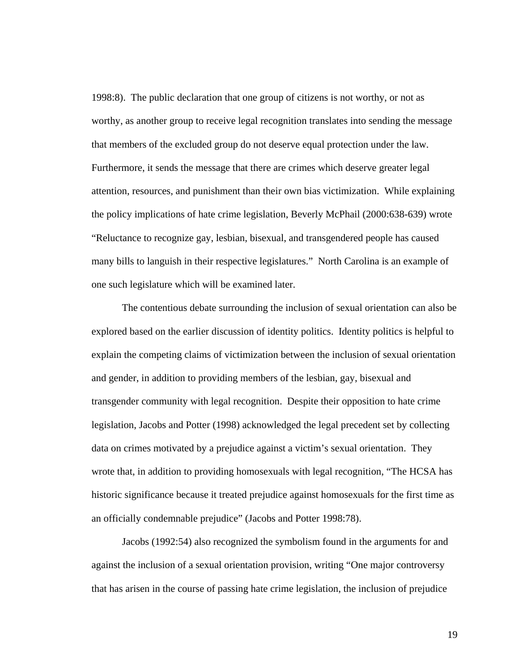1998:8). The public declaration that one group of citizens is not worthy, or not as worthy, as another group to receive legal recognition translates into sending the message that members of the excluded group do not deserve equal protection under the law. Furthermore, it sends the message that there are crimes which deserve greater legal attention, resources, and punishment than their own bias victimization. While explaining the policy implications of hate crime legislation, Beverly McPhail (2000:638-639) wrote "Reluctance to recognize gay, lesbian, bisexual, and transgendered people has caused many bills to languish in their respective legislatures." North Carolina is an example of one such legislature which will be examined later.

The contentious debate surrounding the inclusion of sexual orientation can also be explored based on the earlier discussion of identity politics. Identity politics is helpful to explain the competing claims of victimization between the inclusion of sexual orientation and gender, in addition to providing members of the lesbian, gay, bisexual and transgender community with legal recognition. Despite their opposition to hate crime legislation, Jacobs and Potter (1998) acknowledged the legal precedent set by collecting data on crimes motivated by a prejudice against a victim's sexual orientation. They wrote that, in addition to providing homosexuals with legal recognition, "The HCSA has historic significance because it treated prejudice against homosexuals for the first time as an officially condemnable prejudice" (Jacobs and Potter 1998:78).

Jacobs (1992:54) also recognized the symbolism found in the arguments for and against the inclusion of a sexual orientation provision, writing "One major controversy that has arisen in the course of passing hate crime legislation, the inclusion of prejudice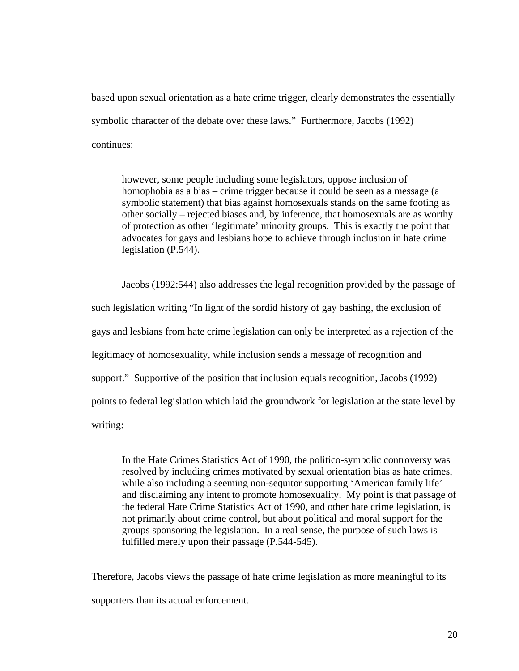based upon sexual orientation as a hate crime trigger, clearly demonstrates the essentially symbolic character of the debate over these laws." Furthermore, Jacobs (1992) continues:

however, some people including some legislators, oppose inclusion of homophobia as a bias – crime trigger because it could be seen as a message (a symbolic statement) that bias against homosexuals stands on the same footing as other socially – rejected biases and, by inference, that homosexuals are as worthy of protection as other 'legitimate' minority groups. This is exactly the point that advocates for gays and lesbians hope to achieve through inclusion in hate crime legislation (P.544).

Jacobs (1992:544) also addresses the legal recognition provided by the passage of such legislation writing "In light of the sordid history of gay bashing, the exclusion of gays and lesbians from hate crime legislation can only be interpreted as a rejection of the legitimacy of homosexuality, while inclusion sends a message of recognition and support." Supportive of the position that inclusion equals recognition, Jacobs (1992) points to federal legislation which laid the groundwork for legislation at the state level by writing:

In the Hate Crimes Statistics Act of 1990, the politico-symbolic controversy was resolved by including crimes motivated by sexual orientation bias as hate crimes, while also including a seeming non-sequitor supporting 'American family life' and disclaiming any intent to promote homosexuality. My point is that passage of the federal Hate Crime Statistics Act of 1990, and other hate crime legislation, is not primarily about crime control, but about political and moral support for the groups sponsoring the legislation. In a real sense, the purpose of such laws is fulfilled merely upon their passage (P.544-545).

Therefore, Jacobs views the passage of hate crime legislation as more meaningful to its supporters than its actual enforcement.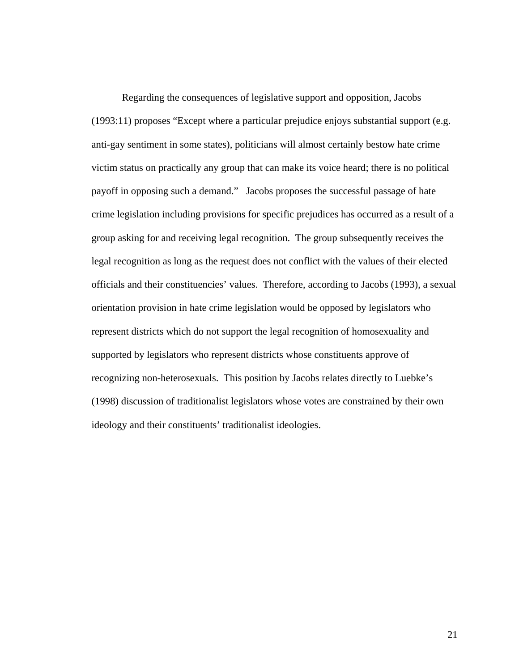Regarding the consequences of legislative support and opposition, Jacobs (1993:11) proposes "Except where a particular prejudice enjoys substantial support (e.g. anti-gay sentiment in some states), politicians will almost certainly bestow hate crime victim status on practically any group that can make its voice heard; there is no political payoff in opposing such a demand." Jacobs proposes the successful passage of hate crime legislation including provisions for specific prejudices has occurred as a result of a group asking for and receiving legal recognition. The group subsequently receives the legal recognition as long as the request does not conflict with the values of their elected officials and their constituencies' values. Therefore, according to Jacobs (1993), a sexual orientation provision in hate crime legislation would be opposed by legislators who represent districts which do not support the legal recognition of homosexuality and supported by legislators who represent districts whose constituents approve of recognizing non-heterosexuals. This position by Jacobs relates directly to Luebke's (1998) discussion of traditionalist legislators whose votes are constrained by their own ideology and their constituents' traditionalist ideologies.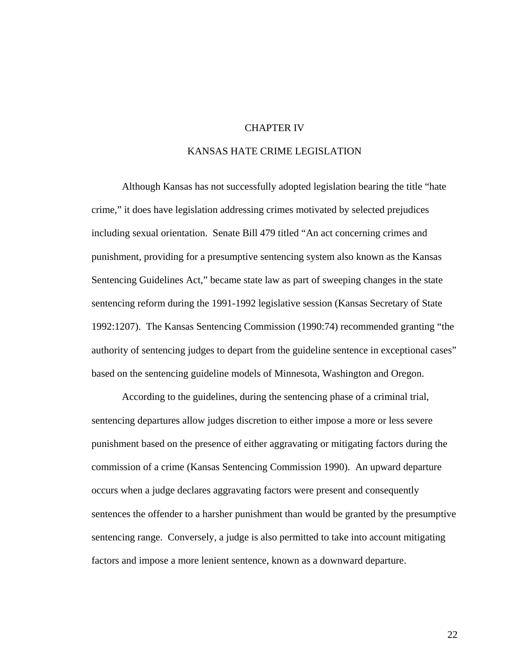#### CHAPTER IV

## KANSAS HATE CRIME LEGISLATION

 Although Kansas has not successfully adopted legislation bearing the title "hate crime," it does have legislation addressing crimes motivated by selected prejudices including sexual orientation. Senate Bill 479 titled "An act concerning crimes and punishment, providing for a presumptive sentencing system also known as the Kansas Sentencing Guidelines Act," became state law as part of sweeping changes in the state sentencing reform during the 1991-1992 legislative session (Kansas Secretary of State 1992:1207). The Kansas Sentencing Commission (1990:74) recommended granting "the authority of sentencing judges to depart from the guideline sentence in exceptional cases" based on the sentencing guideline models of Minnesota, Washington and Oregon.

According to the guidelines, during the sentencing phase of a criminal trial, sentencing departures allow judges discretion to either impose a more or less severe punishment based on the presence of either aggravating or mitigating factors during the commission of a crime (Kansas Sentencing Commission 1990). An upward departure occurs when a judge declares aggravating factors were present and consequently sentences the offender to a harsher punishment than would be granted by the presumptive sentencing range. Conversely, a judge is also permitted to take into account mitigating factors and impose a more lenient sentence, known as a downward departure.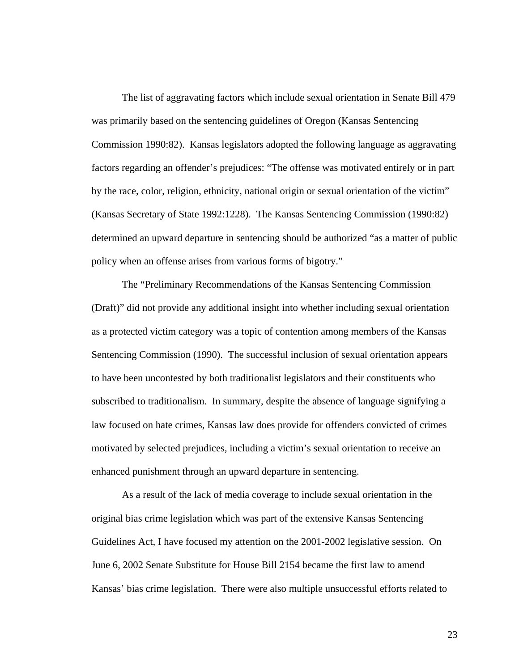The list of aggravating factors which include sexual orientation in Senate Bill 479 was primarily based on the sentencing guidelines of Oregon (Kansas Sentencing Commission 1990:82). Kansas legislators adopted the following language as aggravating factors regarding an offender's prejudices: "The offense was motivated entirely or in part by the race, color, religion, ethnicity, national origin or sexual orientation of the victim" (Kansas Secretary of State 1992:1228). The Kansas Sentencing Commission (1990:82) determined an upward departure in sentencing should be authorized "as a matter of public policy when an offense arises from various forms of bigotry."

The "Preliminary Recommendations of the Kansas Sentencing Commission (Draft)" did not provide any additional insight into whether including sexual orientation as a protected victim category was a topic of contention among members of the Kansas Sentencing Commission (1990). The successful inclusion of sexual orientation appears to have been uncontested by both traditionalist legislators and their constituents who subscribed to traditionalism. In summary, despite the absence of language signifying a law focused on hate crimes, Kansas law does provide for offenders convicted of crimes motivated by selected prejudices, including a victim's sexual orientation to receive an enhanced punishment through an upward departure in sentencing.

As a result of the lack of media coverage to include sexual orientation in the original bias crime legislation which was part of the extensive Kansas Sentencing Guidelines Act, I have focused my attention on the 2001-2002 legislative session. On June 6, 2002 Senate Substitute for House Bill 2154 became the first law to amend Kansas' bias crime legislation. There were also multiple unsuccessful efforts related to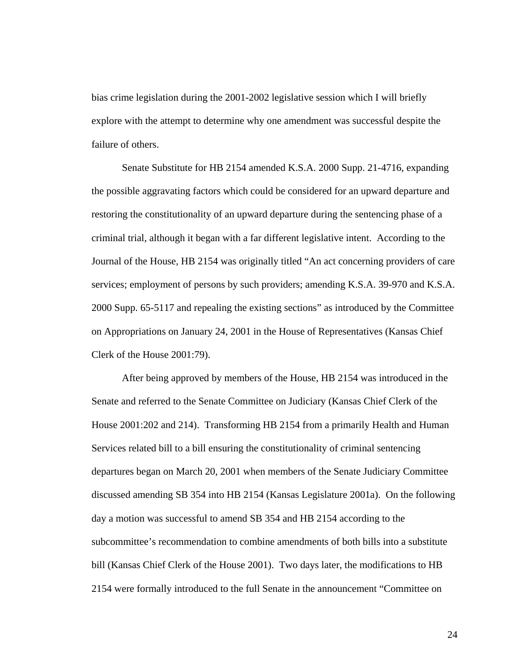bias crime legislation during the 2001-2002 legislative session which I will briefly explore with the attempt to determine why one amendment was successful despite the failure of others.

Senate Substitute for HB 2154 amended K.S.A. 2000 Supp. 21-4716, expanding the possible aggravating factors which could be considered for an upward departure and restoring the constitutionality of an upward departure during the sentencing phase of a criminal trial, although it began with a far different legislative intent. According to the Journal of the House, HB 2154 was originally titled "An act concerning providers of care services; employment of persons by such providers; amending K.S.A. 39-970 and K.S.A. 2000 Supp. 65-5117 and repealing the existing sections" as introduced by the Committee on Appropriations on January 24, 2001 in the House of Representatives (Kansas Chief Clerk of the House 2001:79).

After being approved by members of the House, HB 2154 was introduced in the Senate and referred to the Senate Committee on Judiciary (Kansas Chief Clerk of the House 2001:202 and 214). Transforming HB 2154 from a primarily Health and Human Services related bill to a bill ensuring the constitutionality of criminal sentencing departures began on March 20, 2001 when members of the Senate Judiciary Committee discussed amending SB 354 into HB 2154 (Kansas Legislature 2001a). On the following day a motion was successful to amend SB 354 and HB 2154 according to the subcommittee's recommendation to combine amendments of both bills into a substitute bill (Kansas Chief Clerk of the House 2001). Two days later, the modifications to HB 2154 were formally introduced to the full Senate in the announcement "Committee on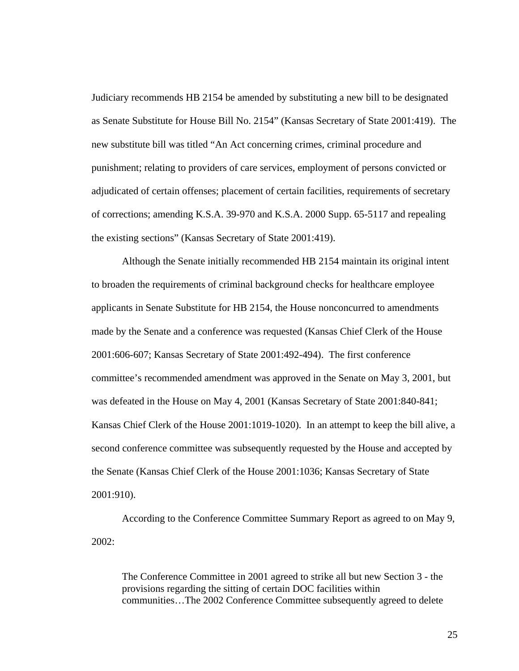Judiciary recommends HB 2154 be amended by substituting a new bill to be designated as Senate Substitute for House Bill No. 2154" (Kansas Secretary of State 2001:419). The new substitute bill was titled "An Act concerning crimes, criminal procedure and punishment; relating to providers of care services, employment of persons convicted or adjudicated of certain offenses; placement of certain facilities, requirements of secretary of corrections; amending K.S.A. 39-970 and K.S.A. 2000 Supp. 65-5117 and repealing the existing sections" (Kansas Secretary of State 2001:419).

 Although the Senate initially recommended HB 2154 maintain its original intent to broaden the requirements of criminal background checks for healthcare employee applicants in Senate Substitute for HB 2154, the House nonconcurred to amendments made by the Senate and a conference was requested (Kansas Chief Clerk of the House 2001:606-607; Kansas Secretary of State 2001:492-494). The first conference committee's recommended amendment was approved in the Senate on May 3, 2001, but was defeated in the House on May 4, 2001 (Kansas Secretary of State 2001:840-841; Kansas Chief Clerk of the House 2001:1019-1020). In an attempt to keep the bill alive, a second conference committee was subsequently requested by the House and accepted by the Senate (Kansas Chief Clerk of the House 2001:1036; Kansas Secretary of State 2001:910).

 According to the Conference Committee Summary Report as agreed to on May 9, 2002:

The Conference Committee in 2001 agreed to strike all but new Section 3 - the provisions regarding the sitting of certain DOC facilities within communities…The 2002 Conference Committee subsequently agreed to delete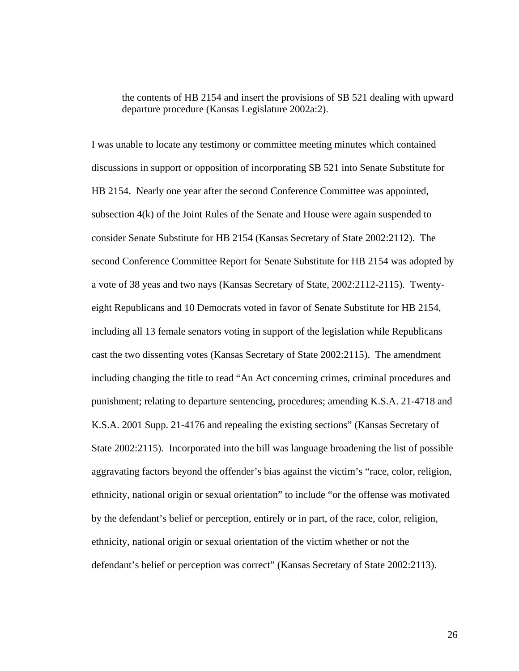the contents of HB 2154 and insert the provisions of SB 521 dealing with upward departure procedure (Kansas Legislature 2002a:2).

I was unable to locate any testimony or committee meeting minutes which contained discussions in support or opposition of incorporating SB 521 into Senate Substitute for HB 2154. Nearly one year after the second Conference Committee was appointed, subsection 4(k) of the Joint Rules of the Senate and House were again suspended to consider Senate Substitute for HB 2154 (Kansas Secretary of State 2002:2112). The second Conference Committee Report for Senate Substitute for HB 2154 was adopted by a vote of 38 yeas and two nays (Kansas Secretary of State, 2002:2112-2115). Twentyeight Republicans and 10 Democrats voted in favor of Senate Substitute for HB 2154, including all 13 female senators voting in support of the legislation while Republicans cast the two dissenting votes (Kansas Secretary of State 2002:2115). The amendment including changing the title to read "An Act concerning crimes, criminal procedures and punishment; relating to departure sentencing, procedures; amending K.S.A. 21-4718 and K.S.A. 2001 Supp. 21-4176 and repealing the existing sections" (Kansas Secretary of State 2002:2115). Incorporated into the bill was language broadening the list of possible aggravating factors beyond the offender's bias against the victim's "race, color, religion, ethnicity, national origin or sexual orientation" to include "or the offense was motivated by the defendant's belief or perception, entirely or in part, of the race, color, religion, ethnicity, national origin or sexual orientation of the victim whether or not the defendant's belief or perception was correct" (Kansas Secretary of State 2002:2113).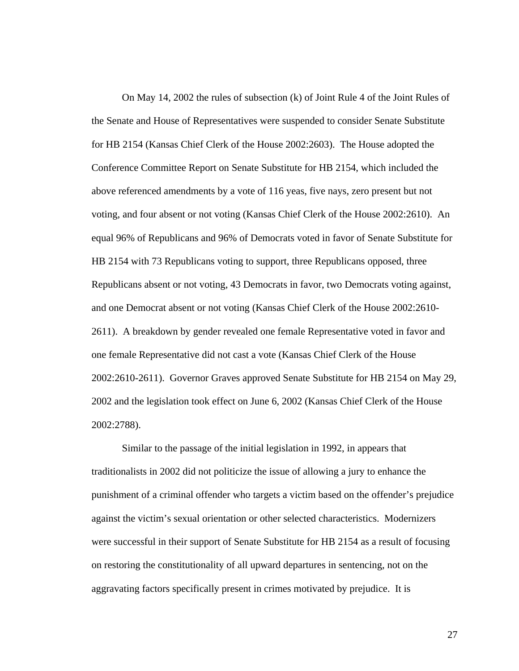On May 14, 2002 the rules of subsection (k) of Joint Rule 4 of the Joint Rules of the Senate and House of Representatives were suspended to consider Senate Substitute for HB 2154 (Kansas Chief Clerk of the House 2002:2603). The House adopted the Conference Committee Report on Senate Substitute for HB 2154, which included the above referenced amendments by a vote of 116 yeas, five nays, zero present but not voting, and four absent or not voting (Kansas Chief Clerk of the House 2002:2610). An equal 96% of Republicans and 96% of Democrats voted in favor of Senate Substitute for HB 2154 with 73 Republicans voting to support, three Republicans opposed, three Republicans absent or not voting, 43 Democrats in favor, two Democrats voting against, and one Democrat absent or not voting (Kansas Chief Clerk of the House 2002:2610- 2611). A breakdown by gender revealed one female Representative voted in favor and one female Representative did not cast a vote (Kansas Chief Clerk of the House 2002:2610-2611). Governor Graves approved Senate Substitute for HB 2154 on May 29, 2002 and the legislation took effect on June 6, 2002 (Kansas Chief Clerk of the House 2002:2788).

Similar to the passage of the initial legislation in 1992, in appears that traditionalists in 2002 did not politicize the issue of allowing a jury to enhance the punishment of a criminal offender who targets a victim based on the offender's prejudice against the victim's sexual orientation or other selected characteristics. Modernizers were successful in their support of Senate Substitute for HB 2154 as a result of focusing on restoring the constitutionality of all upward departures in sentencing, not on the aggravating factors specifically present in crimes motivated by prejudice. It is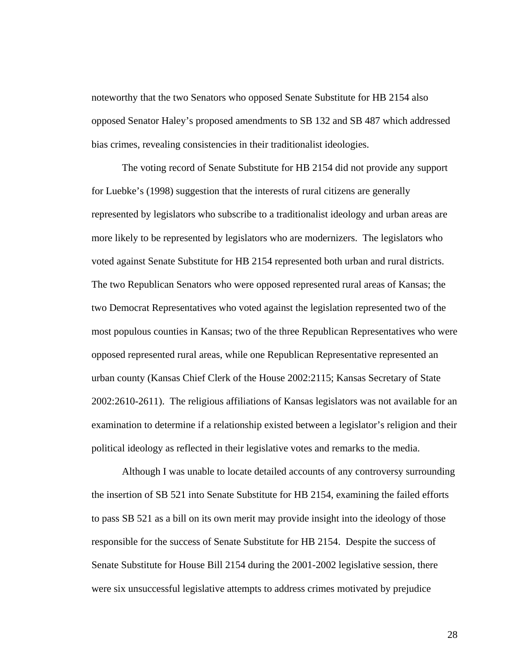noteworthy that the two Senators who opposed Senate Substitute for HB 2154 also opposed Senator Haley's proposed amendments to SB 132 and SB 487 which addressed bias crimes, revealing consistencies in their traditionalist ideologies.

The voting record of Senate Substitute for HB 2154 did not provide any support for Luebke's (1998) suggestion that the interests of rural citizens are generally represented by legislators who subscribe to a traditionalist ideology and urban areas are more likely to be represented by legislators who are modernizers. The legislators who voted against Senate Substitute for HB 2154 represented both urban and rural districts. The two Republican Senators who were opposed represented rural areas of Kansas; the two Democrat Representatives who voted against the legislation represented two of the most populous counties in Kansas; two of the three Republican Representatives who were opposed represented rural areas, while one Republican Representative represented an urban county (Kansas Chief Clerk of the House 2002:2115; Kansas Secretary of State 2002:2610-2611). The religious affiliations of Kansas legislators was not available for an examination to determine if a relationship existed between a legislator's religion and their political ideology as reflected in their legislative votes and remarks to the media.

 Although I was unable to locate detailed accounts of any controversy surrounding the insertion of SB 521 into Senate Substitute for HB 2154, examining the failed efforts to pass SB 521 as a bill on its own merit may provide insight into the ideology of those responsible for the success of Senate Substitute for HB 2154. Despite the success of Senate Substitute for House Bill 2154 during the 2001-2002 legislative session, there were six unsuccessful legislative attempts to address crimes motivated by prejudice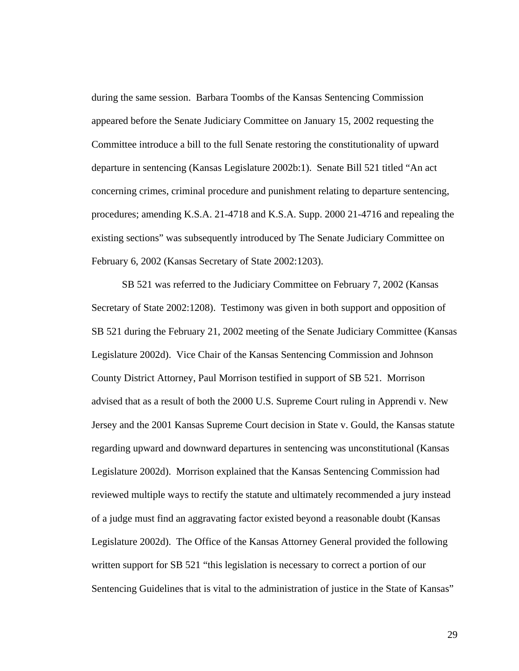during the same session. Barbara Toombs of the Kansas Sentencing Commission appeared before the Senate Judiciary Committee on January 15, 2002 requesting the Committee introduce a bill to the full Senate restoring the constitutionality of upward departure in sentencing (Kansas Legislature 2002b:1). Senate Bill 521 titled "An act concerning crimes, criminal procedure and punishment relating to departure sentencing, procedures; amending K.S.A. 21-4718 and K.S.A. Supp. 2000 21-4716 and repealing the existing sections" was subsequently introduced by The Senate Judiciary Committee on February 6, 2002 (Kansas Secretary of State 2002:1203).

SB 521 was referred to the Judiciary Committee on February 7, 2002 (Kansas Secretary of State 2002:1208). Testimony was given in both support and opposition of SB 521 during the February 21, 2002 meeting of the Senate Judiciary Committee (Kansas Legislature 2002d). Vice Chair of the Kansas Sentencing Commission and Johnson County District Attorney, Paul Morrison testified in support of SB 521. Morrison advised that as a result of both the 2000 U.S. Supreme Court ruling in Apprendi v. New Jersey and the 2001 Kansas Supreme Court decision in State v. Gould, the Kansas statute regarding upward and downward departures in sentencing was unconstitutional (Kansas Legislature 2002d). Morrison explained that the Kansas Sentencing Commission had reviewed multiple ways to rectify the statute and ultimately recommended a jury instead of a judge must find an aggravating factor existed beyond a reasonable doubt (Kansas Legislature 2002d). The Office of the Kansas Attorney General provided the following written support for SB 521 "this legislation is necessary to correct a portion of our Sentencing Guidelines that is vital to the administration of justice in the State of Kansas"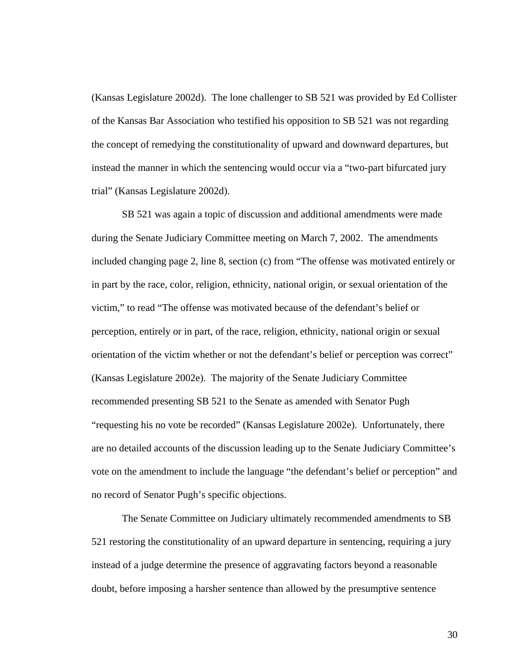(Kansas Legislature 2002d). The lone challenger to SB 521 was provided by Ed Collister of the Kansas Bar Association who testified his opposition to SB 521 was not regarding the concept of remedying the constitutionality of upward and downward departures, but instead the manner in which the sentencing would occur via a "two-part bifurcated jury trial" (Kansas Legislature 2002d).

SB 521 was again a topic of discussion and additional amendments were made during the Senate Judiciary Committee meeting on March 7, 2002. The amendments included changing page 2, line 8, section (c) from "The offense was motivated entirely or in part by the race, color, religion, ethnicity, national origin, or sexual orientation of the victim," to read "The offense was motivated because of the defendant's belief or perception, entirely or in part, of the race, religion, ethnicity, national origin or sexual orientation of the victim whether or not the defendant's belief or perception was correct" (Kansas Legislature 2002e). The majority of the Senate Judiciary Committee recommended presenting SB 521 to the Senate as amended with Senator Pugh "requesting his no vote be recorded" (Kansas Legislature 2002e). Unfortunately, there are no detailed accounts of the discussion leading up to the Senate Judiciary Committee's vote on the amendment to include the language "the defendant's belief or perception" and no record of Senator Pugh's specific objections.

The Senate Committee on Judiciary ultimately recommended amendments to SB 521 restoring the constitutionality of an upward departure in sentencing, requiring a jury instead of a judge determine the presence of aggravating factors beyond a reasonable doubt, before imposing a harsher sentence than allowed by the presumptive sentence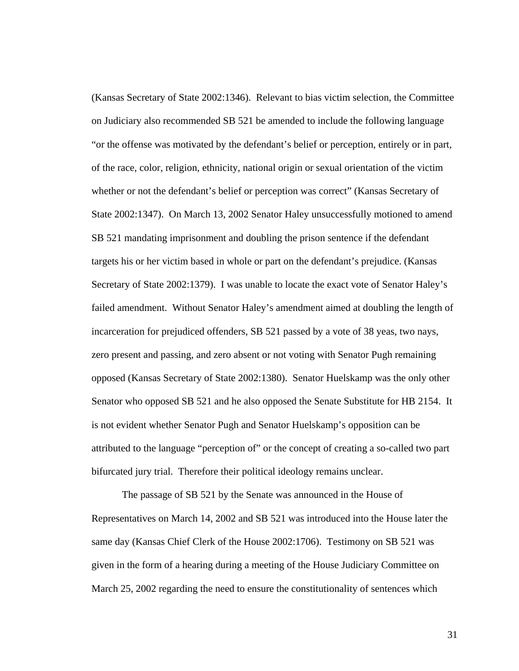(Kansas Secretary of State 2002:1346). Relevant to bias victim selection, the Committee on Judiciary also recommended SB 521 be amended to include the following language "or the offense was motivated by the defendant's belief or perception, entirely or in part, of the race, color, religion, ethnicity, national origin or sexual orientation of the victim whether or not the defendant's belief or perception was correct" (Kansas Secretary of State 2002:1347). On March 13, 2002 Senator Haley unsuccessfully motioned to amend SB 521 mandating imprisonment and doubling the prison sentence if the defendant targets his or her victim based in whole or part on the defendant's prejudice. (Kansas Secretary of State 2002:1379). I was unable to locate the exact vote of Senator Haley's failed amendment. Without Senator Haley's amendment aimed at doubling the length of incarceration for prejudiced offenders, SB 521 passed by a vote of 38 yeas, two nays, zero present and passing, and zero absent or not voting with Senator Pugh remaining opposed (Kansas Secretary of State 2002:1380). Senator Huelskamp was the only other Senator who opposed SB 521 and he also opposed the Senate Substitute for HB 2154. It is not evident whether Senator Pugh and Senator Huelskamp's opposition can be attributed to the language "perception of" or the concept of creating a so-called two part bifurcated jury trial. Therefore their political ideology remains unclear.

The passage of SB 521 by the Senate was announced in the House of Representatives on March 14, 2002 and SB 521 was introduced into the House later the same day (Kansas Chief Clerk of the House 2002:1706). Testimony on SB 521 was given in the form of a hearing during a meeting of the House Judiciary Committee on March 25, 2002 regarding the need to ensure the constitutionality of sentences which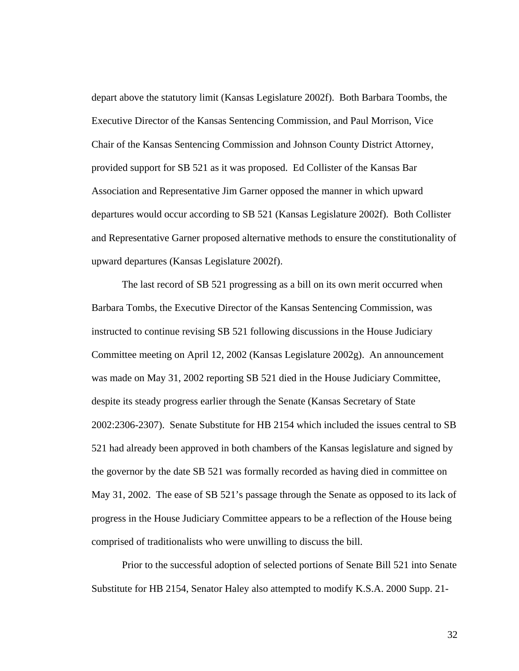depart above the statutory limit (Kansas Legislature 2002f). Both Barbara Toombs, the Executive Director of the Kansas Sentencing Commission, and Paul Morrison, Vice Chair of the Kansas Sentencing Commission and Johnson County District Attorney, provided support for SB 521 as it was proposed. Ed Collister of the Kansas Bar Association and Representative Jim Garner opposed the manner in which upward departures would occur according to SB 521 (Kansas Legislature 2002f). Both Collister and Representative Garner proposed alternative methods to ensure the constitutionality of upward departures (Kansas Legislature 2002f).

The last record of SB 521 progressing as a bill on its own merit occurred when Barbara Tombs, the Executive Director of the Kansas Sentencing Commission, was instructed to continue revising SB 521 following discussions in the House Judiciary Committee meeting on April 12, 2002 (Kansas Legislature 2002g). An announcement was made on May 31, 2002 reporting SB 521 died in the House Judiciary Committee, despite its steady progress earlier through the Senate (Kansas Secretary of State 2002:2306-2307). Senate Substitute for HB 2154 which included the issues central to SB 521 had already been approved in both chambers of the Kansas legislature and signed by the governor by the date SB 521 was formally recorded as having died in committee on May 31, 2002. The ease of SB 521's passage through the Senate as opposed to its lack of progress in the House Judiciary Committee appears to be a reflection of the House being comprised of traditionalists who were unwilling to discuss the bill.

Prior to the successful adoption of selected portions of Senate Bill 521 into Senate Substitute for HB 2154, Senator Haley also attempted to modify K.S.A. 2000 Supp. 21-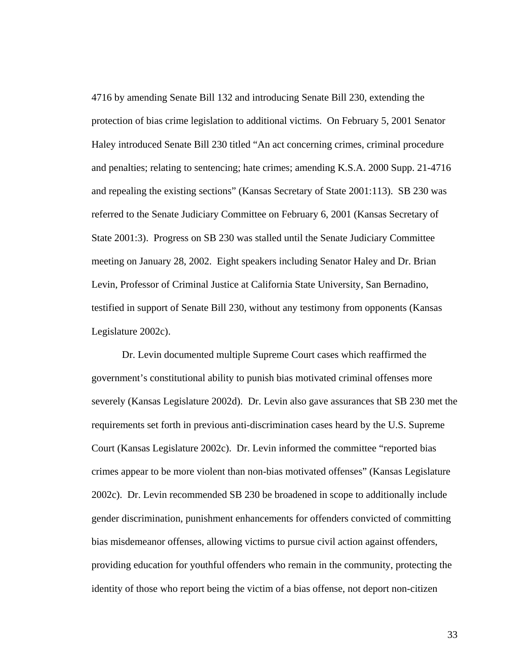4716 by amending Senate Bill 132 and introducing Senate Bill 230, extending the protection of bias crime legislation to additional victims. On February 5, 2001 Senator Haley introduced Senate Bill 230 titled "An act concerning crimes, criminal procedure and penalties; relating to sentencing; hate crimes; amending K.S.A. 2000 Supp. 21-4716 and repealing the existing sections" (Kansas Secretary of State 2001:113). SB 230 was referred to the Senate Judiciary Committee on February 6, 2001 (Kansas Secretary of State 2001:3). Progress on SB 230 was stalled until the Senate Judiciary Committee meeting on January 28, 2002. Eight speakers including Senator Haley and Dr. Brian Levin, Professor of Criminal Justice at California State University, San Bernadino, testified in support of Senate Bill 230, without any testimony from opponents (Kansas Legislature 2002c).

Dr. Levin documented multiple Supreme Court cases which reaffirmed the government's constitutional ability to punish bias motivated criminal offenses more severely (Kansas Legislature 2002d). Dr. Levin also gave assurances that SB 230 met the requirements set forth in previous anti-discrimination cases heard by the U.S. Supreme Court (Kansas Legislature 2002c). Dr. Levin informed the committee "reported bias crimes appear to be more violent than non-bias motivated offenses" (Kansas Legislature 2002c). Dr. Levin recommended SB 230 be broadened in scope to additionally include gender discrimination, punishment enhancements for offenders convicted of committing bias misdemeanor offenses, allowing victims to pursue civil action against offenders, providing education for youthful offenders who remain in the community, protecting the identity of those who report being the victim of a bias offense, not deport non-citizen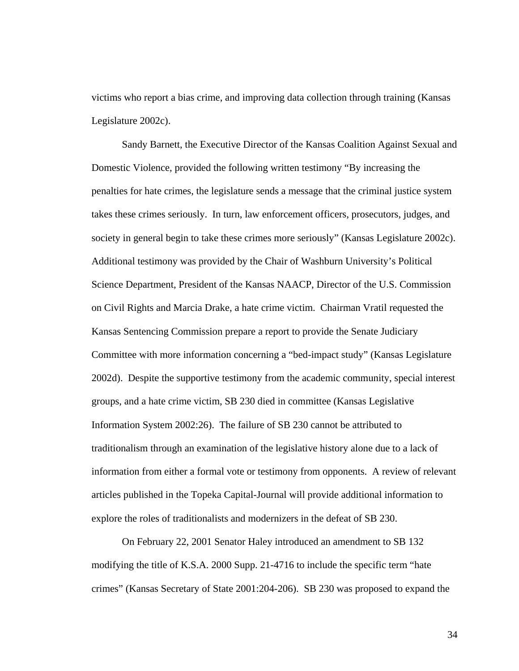victims who report a bias crime, and improving data collection through training (Kansas Legislature 2002c).

Sandy Barnett, the Executive Director of the Kansas Coalition Against Sexual and Domestic Violence, provided the following written testimony "By increasing the penalties for hate crimes, the legislature sends a message that the criminal justice system takes these crimes seriously. In turn, law enforcement officers, prosecutors, judges, and society in general begin to take these crimes more seriously" (Kansas Legislature 2002c). Additional testimony was provided by the Chair of Washburn University's Political Science Department, President of the Kansas NAACP, Director of the U.S. Commission on Civil Rights and Marcia Drake, a hate crime victim. Chairman Vratil requested the Kansas Sentencing Commission prepare a report to provide the Senate Judiciary Committee with more information concerning a "bed-impact study" (Kansas Legislature 2002d). Despite the supportive testimony from the academic community, special interest groups, and a hate crime victim, SB 230 died in committee (Kansas Legislative Information System 2002:26). The failure of SB 230 cannot be attributed to traditionalism through an examination of the legislative history alone due to a lack of information from either a formal vote or testimony from opponents. A review of relevant articles published in the Topeka Capital-Journal will provide additional information to explore the roles of traditionalists and modernizers in the defeat of SB 230.

On February 22, 2001 Senator Haley introduced an amendment to SB 132 modifying the title of K.S.A. 2000 Supp. 21-4716 to include the specific term "hate crimes" (Kansas Secretary of State 2001:204-206). SB 230 was proposed to expand the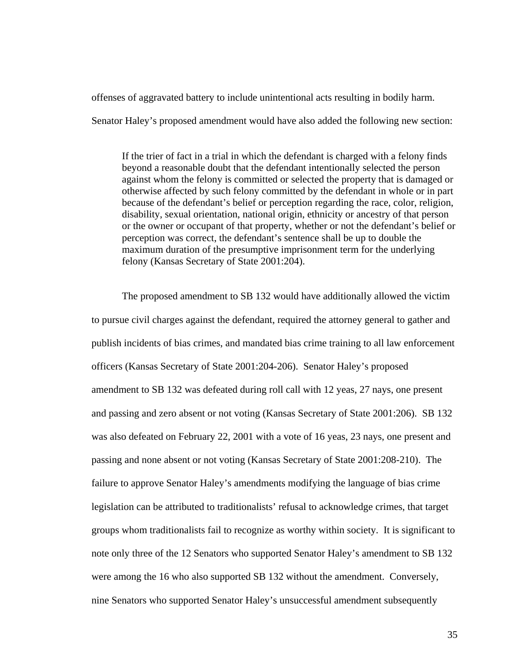offenses of aggravated battery to include unintentional acts resulting in bodily harm.

Senator Haley's proposed amendment would have also added the following new section:

If the trier of fact in a trial in which the defendant is charged with a felony finds beyond a reasonable doubt that the defendant intentionally selected the person against whom the felony is committed or selected the property that is damaged or otherwise affected by such felony committed by the defendant in whole or in part because of the defendant's belief or perception regarding the race, color, religion, disability, sexual orientation, national origin, ethnicity or ancestry of that person or the owner or occupant of that property, whether or not the defendant's belief or perception was correct, the defendant's sentence shall be up to double the maximum duration of the presumptive imprisonment term for the underlying felony (Kansas Secretary of State 2001:204).

The proposed amendment to SB 132 would have additionally allowed the victim to pursue civil charges against the defendant, required the attorney general to gather and publish incidents of bias crimes, and mandated bias crime training to all law enforcement officers (Kansas Secretary of State 2001:204-206). Senator Haley's proposed amendment to SB 132 was defeated during roll call with 12 yeas, 27 nays, one present and passing and zero absent or not voting (Kansas Secretary of State 2001:206). SB 132 was also defeated on February 22, 2001 with a vote of 16 yeas, 23 nays, one present and passing and none absent or not voting (Kansas Secretary of State 2001:208-210). The failure to approve Senator Haley's amendments modifying the language of bias crime legislation can be attributed to traditionalists' refusal to acknowledge crimes, that target groups whom traditionalists fail to recognize as worthy within society. It is significant to note only three of the 12 Senators who supported Senator Haley's amendment to SB 132 were among the 16 who also supported SB 132 without the amendment. Conversely, nine Senators who supported Senator Haley's unsuccessful amendment subsequently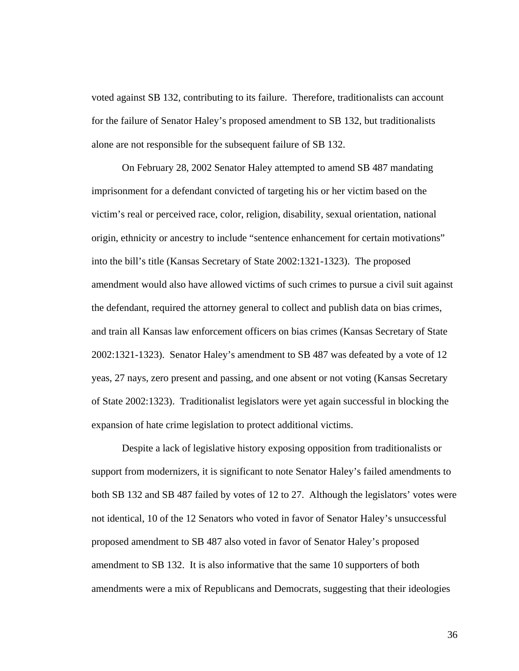voted against SB 132, contributing to its failure. Therefore, traditionalists can account for the failure of Senator Haley's proposed amendment to SB 132, but traditionalists alone are not responsible for the subsequent failure of SB 132.

On February 28, 2002 Senator Haley attempted to amend SB 487 mandating imprisonment for a defendant convicted of targeting his or her victim based on the victim's real or perceived race, color, religion, disability, sexual orientation, national origin, ethnicity or ancestry to include "sentence enhancement for certain motivations" into the bill's title (Kansas Secretary of State 2002:1321-1323). The proposed amendment would also have allowed victims of such crimes to pursue a civil suit against the defendant, required the attorney general to collect and publish data on bias crimes, and train all Kansas law enforcement officers on bias crimes (Kansas Secretary of State 2002:1321-1323). Senator Haley's amendment to SB 487 was defeated by a vote of 12 yeas, 27 nays, zero present and passing, and one absent or not voting (Kansas Secretary of State 2002:1323). Traditionalist legislators were yet again successful in blocking the expansion of hate crime legislation to protect additional victims.

Despite a lack of legislative history exposing opposition from traditionalists or support from modernizers, it is significant to note Senator Haley's failed amendments to both SB 132 and SB 487 failed by votes of 12 to 27. Although the legislators' votes were not identical, 10 of the 12 Senators who voted in favor of Senator Haley's unsuccessful proposed amendment to SB 487 also voted in favor of Senator Haley's proposed amendment to SB 132. It is also informative that the same 10 supporters of both amendments were a mix of Republicans and Democrats, suggesting that their ideologies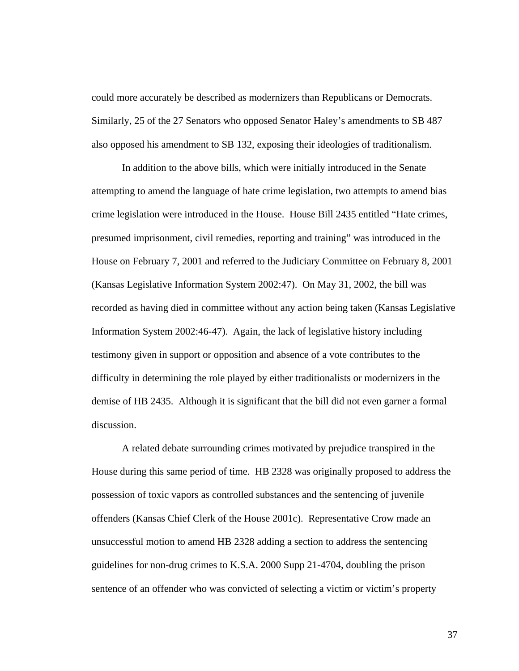could more accurately be described as modernizers than Republicans or Democrats. Similarly, 25 of the 27 Senators who opposed Senator Haley's amendments to SB 487 also opposed his amendment to SB 132, exposing their ideologies of traditionalism.

In addition to the above bills, which were initially introduced in the Senate attempting to amend the language of hate crime legislation, two attempts to amend bias crime legislation were introduced in the House. House Bill 2435 entitled "Hate crimes, presumed imprisonment, civil remedies, reporting and training" was introduced in the House on February 7, 2001 and referred to the Judiciary Committee on February 8, 2001 (Kansas Legislative Information System 2002:47). On May 31, 2002, the bill was recorded as having died in committee without any action being taken (Kansas Legislative Information System 2002:46-47). Again, the lack of legislative history including testimony given in support or opposition and absence of a vote contributes to the difficulty in determining the role played by either traditionalists or modernizers in the demise of HB 2435. Although it is significant that the bill did not even garner a formal discussion.

A related debate surrounding crimes motivated by prejudice transpired in the House during this same period of time. HB 2328 was originally proposed to address the possession of toxic vapors as controlled substances and the sentencing of juvenile offenders (Kansas Chief Clerk of the House 2001c). Representative Crow made an unsuccessful motion to amend HB 2328 adding a section to address the sentencing guidelines for non-drug crimes to K.S.A. 2000 Supp 21-4704, doubling the prison sentence of an offender who was convicted of selecting a victim or victim's property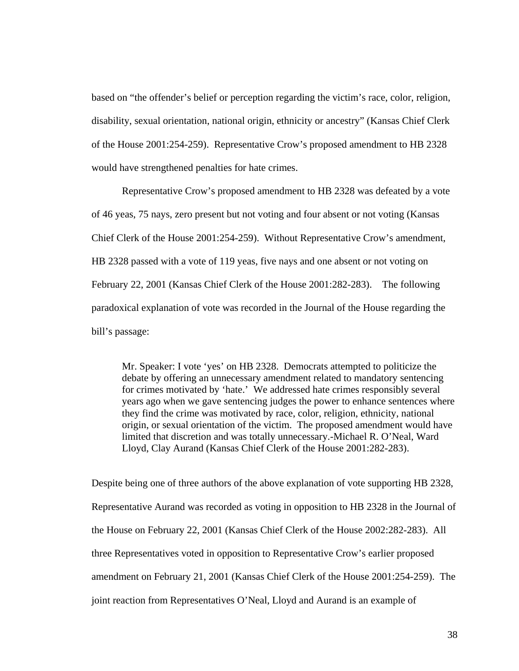based on "the offender's belief or perception regarding the victim's race, color, religion, disability, sexual orientation, national origin, ethnicity or ancestry" (Kansas Chief Clerk of the House 2001:254-259). Representative Crow's proposed amendment to HB 2328 would have strengthened penalties for hate crimes.

Representative Crow's proposed amendment to HB 2328 was defeated by a vote of 46 yeas, 75 nays, zero present but not voting and four absent or not voting (Kansas Chief Clerk of the House 2001:254-259). Without Representative Crow's amendment, HB 2328 passed with a vote of 119 yeas, five nays and one absent or not voting on February 22, 2001 (Kansas Chief Clerk of the House 2001:282-283). The following paradoxical explanation of vote was recorded in the Journal of the House regarding the bill's passage:

Mr. Speaker: I vote 'yes' on HB 2328. Democrats attempted to politicize the debate by offering an unnecessary amendment related to mandatory sentencing for crimes motivated by 'hate.' We addressed hate crimes responsibly several years ago when we gave sentencing judges the power to enhance sentences where they find the crime was motivated by race, color, religion, ethnicity, national origin, or sexual orientation of the victim. The proposed amendment would have limited that discretion and was totally unnecessary.-Michael R. O'Neal, Ward Lloyd, Clay Aurand (Kansas Chief Clerk of the House 2001:282-283).

Despite being one of three authors of the above explanation of vote supporting HB 2328, Representative Aurand was recorded as voting in opposition to HB 2328 in the Journal of the House on February 22, 2001 (Kansas Chief Clerk of the House 2002:282-283). All three Representatives voted in opposition to Representative Crow's earlier proposed amendment on February 21, 2001 (Kansas Chief Clerk of the House 2001:254-259). The joint reaction from Representatives O'Neal, Lloyd and Aurand is an example of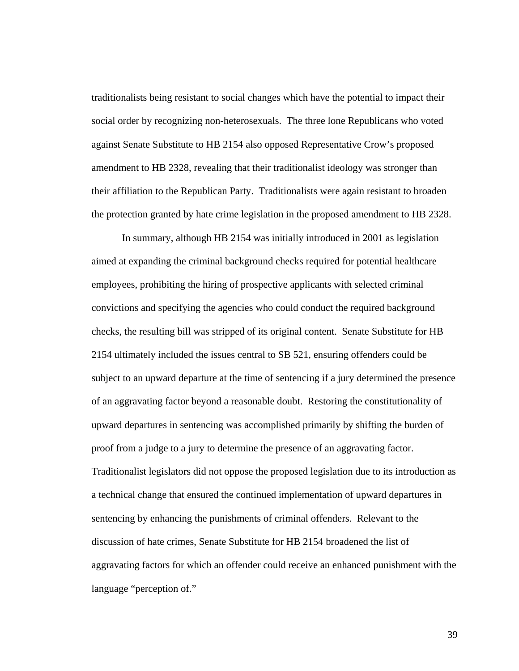traditionalists being resistant to social changes which have the potential to impact their social order by recognizing non-heterosexuals. The three lone Republicans who voted against Senate Substitute to HB 2154 also opposed Representative Crow's proposed amendment to HB 2328, revealing that their traditionalist ideology was stronger than their affiliation to the Republican Party. Traditionalists were again resistant to broaden the protection granted by hate crime legislation in the proposed amendment to HB 2328.

In summary, although HB 2154 was initially introduced in 2001 as legislation aimed at expanding the criminal background checks required for potential healthcare employees, prohibiting the hiring of prospective applicants with selected criminal convictions and specifying the agencies who could conduct the required background checks, the resulting bill was stripped of its original content. Senate Substitute for HB 2154 ultimately included the issues central to SB 521, ensuring offenders could be subject to an upward departure at the time of sentencing if a jury determined the presence of an aggravating factor beyond a reasonable doubt. Restoring the constitutionality of upward departures in sentencing was accomplished primarily by shifting the burden of proof from a judge to a jury to determine the presence of an aggravating factor. Traditionalist legislators did not oppose the proposed legislation due to its introduction as a technical change that ensured the continued implementation of upward departures in sentencing by enhancing the punishments of criminal offenders. Relevant to the discussion of hate crimes, Senate Substitute for HB 2154 broadened the list of aggravating factors for which an offender could receive an enhanced punishment with the language "perception of."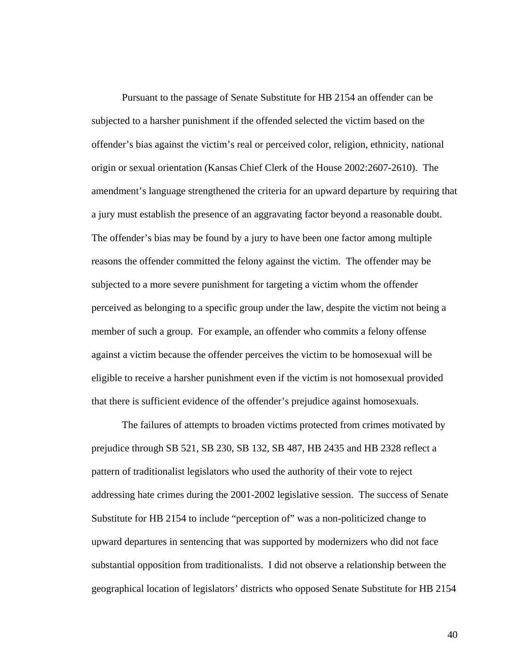Pursuant to the passage of Senate Substitute for HB 2154 an offender can be subjected to a harsher punishment if the offended selected the victim based on the offender's bias against the victim's real or perceived color, religion, ethnicity, national origin or sexual orientation (Kansas Chief Clerk of the House 2002:2607-2610). The amendment's language strengthened the criteria for an upward departure by requiring that a jury must establish the presence of an aggravating factor beyond a reasonable doubt. The offender's bias may be found by a jury to have been one factor among multiple reasons the offender committed the felony against the victim. The offender may be subjected to a more severe punishment for targeting a victim whom the offender perceived as belonging to a specific group under the law, despite the victim not being a member of such a group. For example, an offender who commits a felony offense against a victim because the offender perceives the victim to be homosexual will be eligible to receive a harsher punishment even if the victim is not homosexual provided that there is sufficient evidence of the offender's prejudice against homosexuals.

The failures of attempts to broaden victims protected from crimes motivated by prejudice through SB 521, SB 230, SB 132, SB 487, HB 2435 and HB 2328 reflect a pattern of traditionalist legislators who used the authority of their vote to reject addressing hate crimes during the 2001-2002 legislative session. The success of Senate Substitute for HB 2154 to include "perception of" was a non-politicized change to upward departures in sentencing that was supported by modernizers who did not face substantial opposition from traditionalists. I did not observe a relationship between the geographical location of legislators' districts who opposed Senate Substitute for HB 2154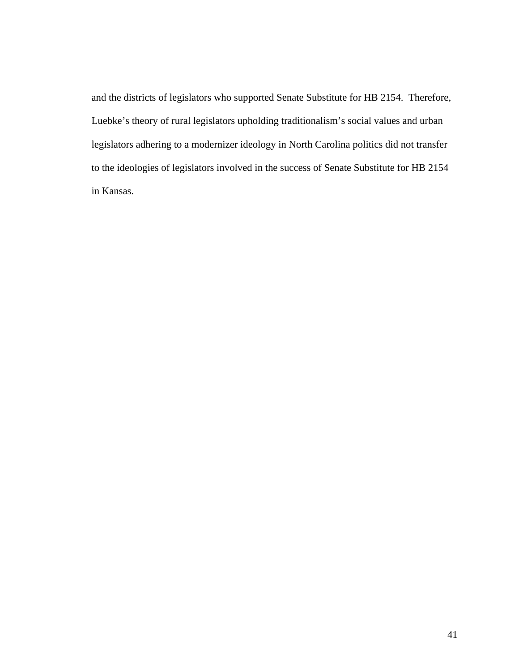and the districts of legislators who supported Senate Substitute for HB 2154. Therefore, Luebke's theory of rural legislators upholding traditionalism's social values and urban legislators adhering to a modernizer ideology in North Carolina politics did not transfer to the ideologies of legislators involved in the success of Senate Substitute for HB 2154 in Kansas.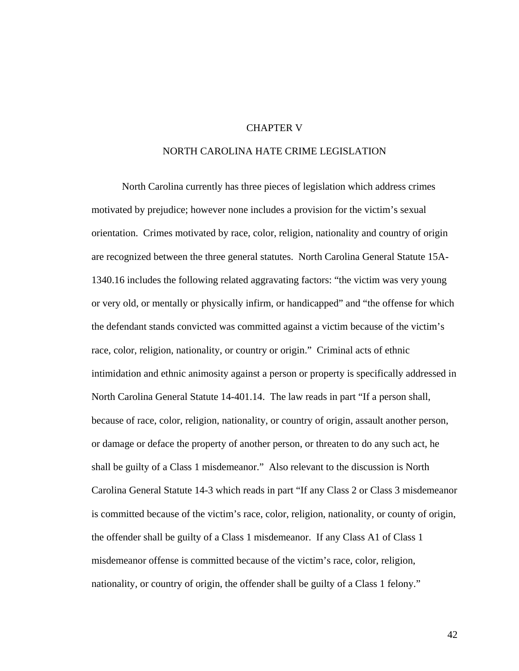### CHAPTER V

# NORTH CAROLINA HATE CRIME LEGISLATION

 North Carolina currently has three pieces of legislation which address crimes motivated by prejudice; however none includes a provision for the victim's sexual orientation. Crimes motivated by race, color, religion, nationality and country of origin are recognized between the three general statutes. North Carolina General Statute 15A-1340.16 includes the following related aggravating factors: "the victim was very young or very old, or mentally or physically infirm, or handicapped" and "the offense for which the defendant stands convicted was committed against a victim because of the victim's race, color, religion, nationality, or country or origin." Criminal acts of ethnic intimidation and ethnic animosity against a person or property is specifically addressed in North Carolina General Statute 14-401.14. The law reads in part "If a person shall, because of race, color, religion, nationality, or country of origin, assault another person, or damage or deface the property of another person, or threaten to do any such act, he shall be guilty of a Class 1 misdemeanor." Also relevant to the discussion is North Carolina General Statute 14-3 which reads in part "If any Class 2 or Class 3 misdemeanor is committed because of the victim's race, color, religion, nationality, or county of origin, the offender shall be guilty of a Class 1 misdemeanor. If any Class A1 of Class 1 misdemeanor offense is committed because of the victim's race, color, religion, nationality, or country of origin, the offender shall be guilty of a Class 1 felony."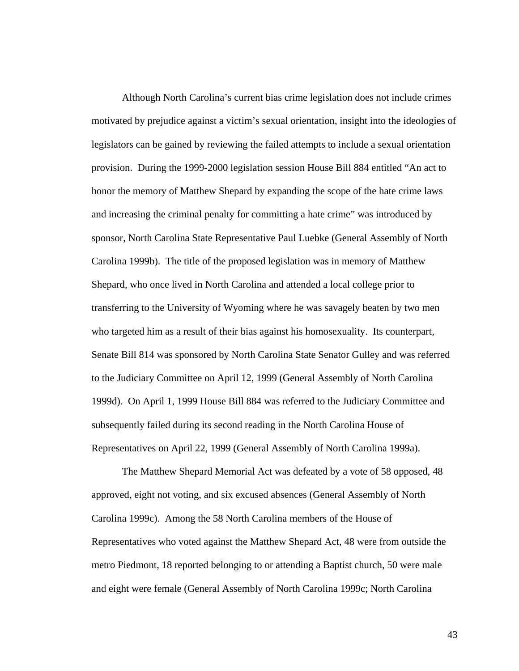Although North Carolina's current bias crime legislation does not include crimes motivated by prejudice against a victim's sexual orientation, insight into the ideologies of legislators can be gained by reviewing the failed attempts to include a sexual orientation provision. During the 1999-2000 legislation session House Bill 884 entitled "An act to honor the memory of Matthew Shepard by expanding the scope of the hate crime laws and increasing the criminal penalty for committing a hate crime" was introduced by sponsor, North Carolina State Representative Paul Luebke (General Assembly of North Carolina 1999b). The title of the proposed legislation was in memory of Matthew Shepard, who once lived in North Carolina and attended a local college prior to transferring to the University of Wyoming where he was savagely beaten by two men who targeted him as a result of their bias against his homosexuality. Its counterpart, Senate Bill 814 was sponsored by North Carolina State Senator Gulley and was referred to the Judiciary Committee on April 12, 1999 (General Assembly of North Carolina 1999d). On April 1, 1999 House Bill 884 was referred to the Judiciary Committee and subsequently failed during its second reading in the North Carolina House of Representatives on April 22, 1999 (General Assembly of North Carolina 1999a).

The Matthew Shepard Memorial Act was defeated by a vote of 58 opposed, 48 approved, eight not voting, and six excused absences (General Assembly of North Carolina 1999c). Among the 58 North Carolina members of the House of Representatives who voted against the Matthew Shepard Act, 48 were from outside the metro Piedmont, 18 reported belonging to or attending a Baptist church, 50 were male and eight were female (General Assembly of North Carolina 1999c; North Carolina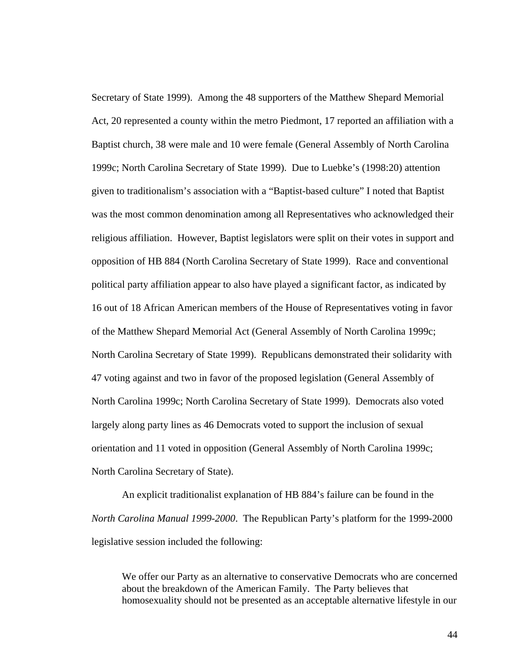Secretary of State 1999). Among the 48 supporters of the Matthew Shepard Memorial Act, 20 represented a county within the metro Piedmont, 17 reported an affiliation with a Baptist church, 38 were male and 10 were female (General Assembly of North Carolina 1999c; North Carolina Secretary of State 1999). Due to Luebke's (1998:20) attention given to traditionalism's association with a "Baptist-based culture" I noted that Baptist was the most common denomination among all Representatives who acknowledged their religious affiliation. However, Baptist legislators were split on their votes in support and opposition of HB 884 (North Carolina Secretary of State 1999). Race and conventional political party affiliation appear to also have played a significant factor, as indicated by 16 out of 18 African American members of the House of Representatives voting in favor of the Matthew Shepard Memorial Act (General Assembly of North Carolina 1999c; North Carolina Secretary of State 1999). Republicans demonstrated their solidarity with 47 voting against and two in favor of the proposed legislation (General Assembly of North Carolina 1999c; North Carolina Secretary of State 1999). Democrats also voted largely along party lines as 46 Democrats voted to support the inclusion of sexual orientation and 11 voted in opposition (General Assembly of North Carolina 1999c; North Carolina Secretary of State).

An explicit traditionalist explanation of HB 884's failure can be found in the *North Carolina Manual 1999-2000*. The Republican Party's platform for the 1999-2000 legislative session included the following:

We offer our Party as an alternative to conservative Democrats who are concerned about the breakdown of the American Family. The Party believes that homosexuality should not be presented as an acceptable alternative lifestyle in our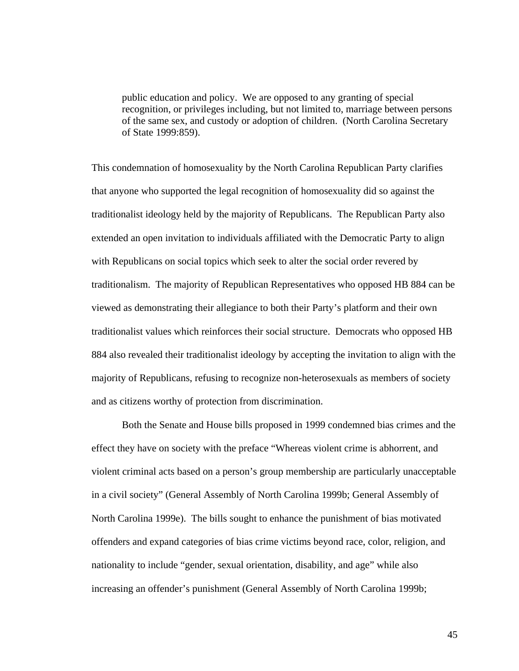public education and policy. We are opposed to any granting of special recognition, or privileges including, but not limited to, marriage between persons of the same sex, and custody or adoption of children. (North Carolina Secretary of State 1999:859).

This condemnation of homosexuality by the North Carolina Republican Party clarifies that anyone who supported the legal recognition of homosexuality did so against the traditionalist ideology held by the majority of Republicans. The Republican Party also extended an open invitation to individuals affiliated with the Democratic Party to align with Republicans on social topics which seek to alter the social order revered by traditionalism. The majority of Republican Representatives who opposed HB 884 can be viewed as demonstrating their allegiance to both their Party's platform and their own traditionalist values which reinforces their social structure. Democrats who opposed HB 884 also revealed their traditionalist ideology by accepting the invitation to align with the majority of Republicans, refusing to recognize non-heterosexuals as members of society and as citizens worthy of protection from discrimination.

Both the Senate and House bills proposed in 1999 condemned bias crimes and the effect they have on society with the preface "Whereas violent crime is abhorrent, and violent criminal acts based on a person's group membership are particularly unacceptable in a civil society" (General Assembly of North Carolina 1999b; General Assembly of North Carolina 1999e). The bills sought to enhance the punishment of bias motivated offenders and expand categories of bias crime victims beyond race, color, religion, and nationality to include "gender, sexual orientation, disability, and age" while also increasing an offender's punishment (General Assembly of North Carolina 1999b;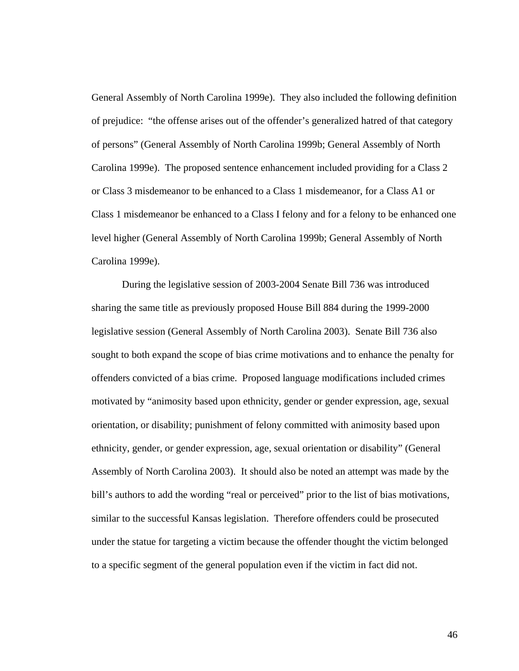General Assembly of North Carolina 1999e). They also included the following definition of prejudice: "the offense arises out of the offender's generalized hatred of that category of persons" (General Assembly of North Carolina 1999b; General Assembly of North Carolina 1999e). The proposed sentence enhancement included providing for a Class 2 or Class 3 misdemeanor to be enhanced to a Class 1 misdemeanor, for a Class A1 or Class 1 misdemeanor be enhanced to a Class I felony and for a felony to be enhanced one level higher (General Assembly of North Carolina 1999b; General Assembly of North Carolina 1999e).

 During the legislative session of 2003-2004 Senate Bill 736 was introduced sharing the same title as previously proposed House Bill 884 during the 1999-2000 legislative session (General Assembly of North Carolina 2003). Senate Bill 736 also sought to both expand the scope of bias crime motivations and to enhance the penalty for offenders convicted of a bias crime. Proposed language modifications included crimes motivated by "animosity based upon ethnicity, gender or gender expression, age, sexual orientation, or disability; punishment of felony committed with animosity based upon ethnicity, gender, or gender expression, age, sexual orientation or disability" (General Assembly of North Carolina 2003). It should also be noted an attempt was made by the bill's authors to add the wording "real or perceived" prior to the list of bias motivations, similar to the successful Kansas legislation. Therefore offenders could be prosecuted under the statue for targeting a victim because the offender thought the victim belonged to a specific segment of the general population even if the victim in fact did not.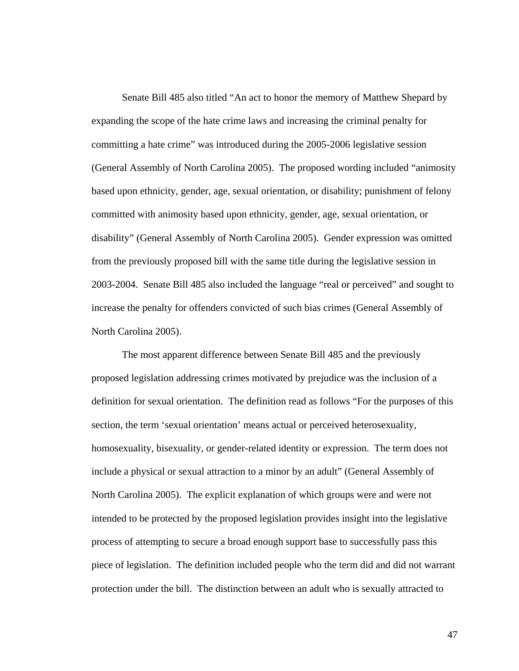Senate Bill 485 also titled "An act to honor the memory of Matthew Shepard by expanding the scope of the hate crime laws and increasing the criminal penalty for committing a hate crime" was introduced during the 2005-2006 legislative session (General Assembly of North Carolina 2005). The proposed wording included "animosity based upon ethnicity, gender, age, sexual orientation, or disability; punishment of felony committed with animosity based upon ethnicity, gender, age, sexual orientation, or disability" (General Assembly of North Carolina 2005). Gender expression was omitted from the previously proposed bill with the same title during the legislative session in 2003-2004. Senate Bill 485 also included the language "real or perceived" and sought to increase the penalty for offenders convicted of such bias crimes (General Assembly of North Carolina 2005).

The most apparent difference between Senate Bill 485 and the previously proposed legislation addressing crimes motivated by prejudice was the inclusion of a definition for sexual orientation. The definition read as follows "For the purposes of this section, the term 'sexual orientation' means actual or perceived heterosexuality, homosexuality, bisexuality, or gender-related identity or expression. The term does not include a physical or sexual attraction to a minor by an adult" (General Assembly of North Carolina 2005). The explicit explanation of which groups were and were not intended to be protected by the proposed legislation provides insight into the legislative process of attempting to secure a broad enough support base to successfully pass this piece of legislation. The definition included people who the term did and did not warrant protection under the bill. The distinction between an adult who is sexually attracted to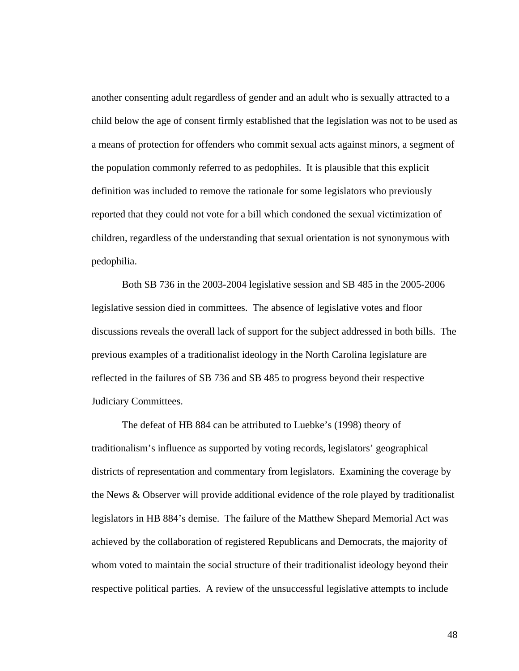another consenting adult regardless of gender and an adult who is sexually attracted to a child below the age of consent firmly established that the legislation was not to be used as a means of protection for offenders who commit sexual acts against minors, a segment of the population commonly referred to as pedophiles. It is plausible that this explicit definition was included to remove the rationale for some legislators who previously reported that they could not vote for a bill which condoned the sexual victimization of children, regardless of the understanding that sexual orientation is not synonymous with pedophilia.

Both SB 736 in the 2003-2004 legislative session and SB 485 in the 2005-2006 legislative session died in committees. The absence of legislative votes and floor discussions reveals the overall lack of support for the subject addressed in both bills. The previous examples of a traditionalist ideology in the North Carolina legislature are reflected in the failures of SB 736 and SB 485 to progress beyond their respective Judiciary Committees.

The defeat of HB 884 can be attributed to Luebke's (1998) theory of traditionalism's influence as supported by voting records, legislators' geographical districts of representation and commentary from legislators. Examining the coverage by the News & Observer will provide additional evidence of the role played by traditionalist legislators in HB 884's demise. The failure of the Matthew Shepard Memorial Act was achieved by the collaboration of registered Republicans and Democrats, the majority of whom voted to maintain the social structure of their traditionalist ideology beyond their respective political parties. A review of the unsuccessful legislative attempts to include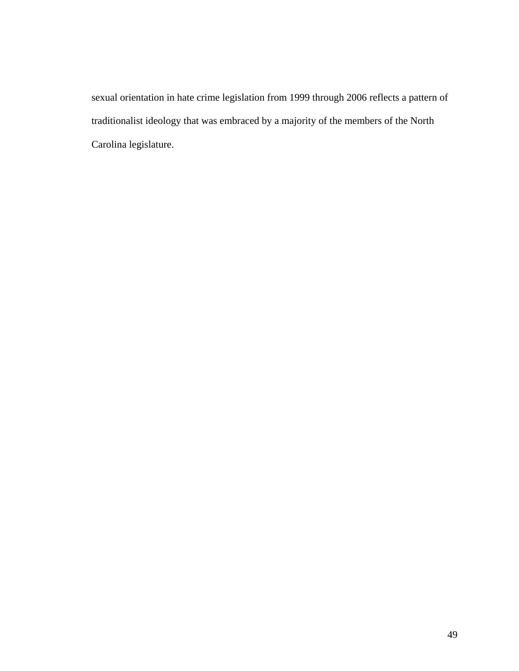sexual orientation in hate crime legislation from 1999 through 2006 reflects a pattern of traditionalist ideology that was embraced by a majority of the members of the North Carolina legislature.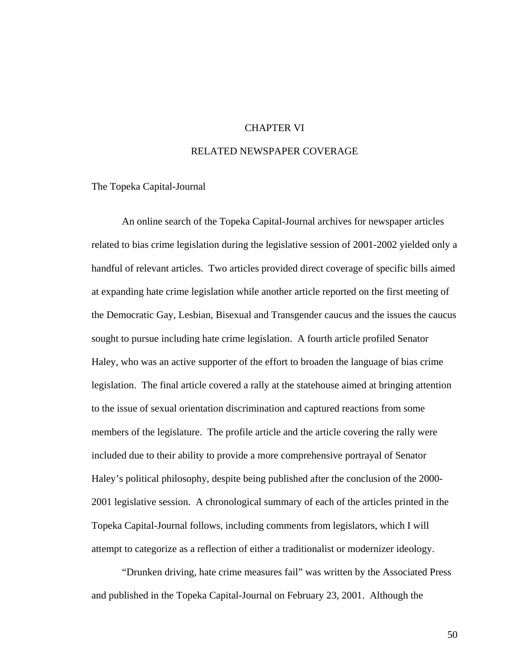## CHAPTER VI

### RELATED NEWSPAPER COVERAGE

The Topeka Capital-Journal

An online search of the Topeka Capital-Journal archives for newspaper articles related to bias crime legislation during the legislative session of 2001-2002 yielded only a handful of relevant articles. Two articles provided direct coverage of specific bills aimed at expanding hate crime legislation while another article reported on the first meeting of the Democratic Gay, Lesbian, Bisexual and Transgender caucus and the issues the caucus sought to pursue including hate crime legislation. A fourth article profiled Senator Haley, who was an active supporter of the effort to broaden the language of bias crime legislation. The final article covered a rally at the statehouse aimed at bringing attention to the issue of sexual orientation discrimination and captured reactions from some members of the legislature. The profile article and the article covering the rally were included due to their ability to provide a more comprehensive portrayal of Senator Haley's political philosophy, despite being published after the conclusion of the 2000- 2001 legislative session. A chronological summary of each of the articles printed in the Topeka Capital-Journal follows, including comments from legislators, which I will attempt to categorize as a reflection of either a traditionalist or modernizer ideology.

"Drunken driving, hate crime measures fail" was written by the Associated Press and published in the Topeka Capital-Journal on February 23, 2001. Although the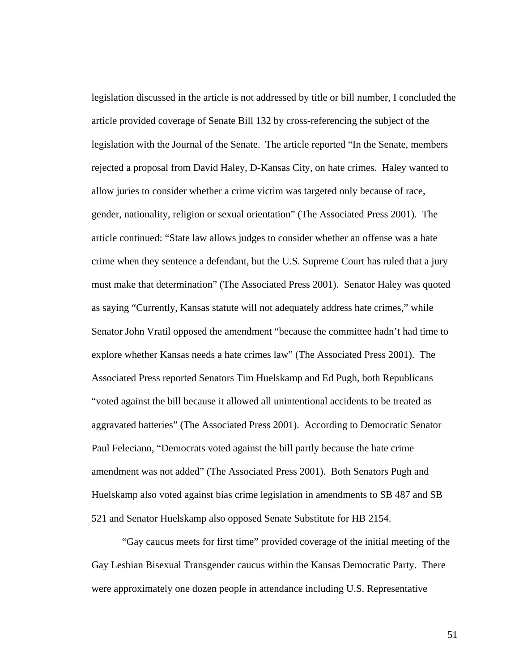legislation discussed in the article is not addressed by title or bill number, I concluded the article provided coverage of Senate Bill 132 by cross-referencing the subject of the legislation with the Journal of the Senate. The article reported "In the Senate, members rejected a proposal from David Haley, D-Kansas City, on hate crimes. Haley wanted to allow juries to consider whether a crime victim was targeted only because of race, gender, nationality, religion or sexual orientation" (The Associated Press 2001). The article continued: "State law allows judges to consider whether an offense was a hate crime when they sentence a defendant, but the U.S. Supreme Court has ruled that a jury must make that determination" (The Associated Press 2001). Senator Haley was quoted as saying "Currently, Kansas statute will not adequately address hate crimes," while Senator John Vratil opposed the amendment "because the committee hadn't had time to explore whether Kansas needs a hate crimes law" (The Associated Press 2001). The Associated Press reported Senators Tim Huelskamp and Ed Pugh, both Republicans "voted against the bill because it allowed all unintentional accidents to be treated as aggravated batteries" (The Associated Press 2001). According to Democratic Senator Paul Feleciano, "Democrats voted against the bill partly because the hate crime amendment was not added" (The Associated Press 2001). Both Senators Pugh and Huelskamp also voted against bias crime legislation in amendments to SB 487 and SB 521 and Senator Huelskamp also opposed Senate Substitute for HB 2154.

"Gay caucus meets for first time" provided coverage of the initial meeting of the Gay Lesbian Bisexual Transgender caucus within the Kansas Democratic Party. There were approximately one dozen people in attendance including U.S. Representative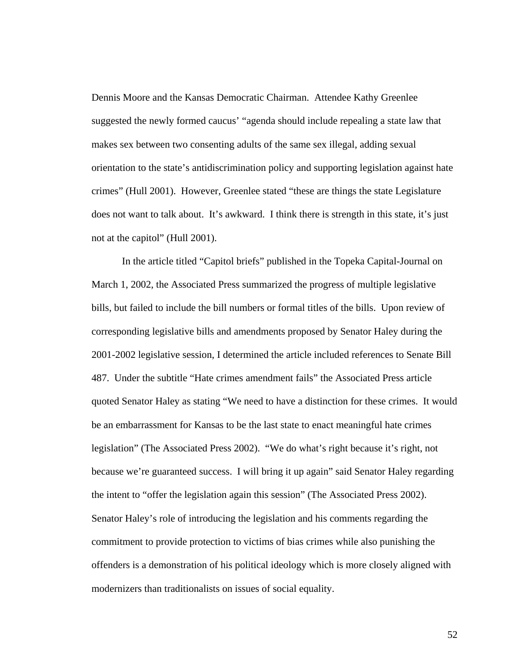Dennis Moore and the Kansas Democratic Chairman. Attendee Kathy Greenlee suggested the newly formed caucus' "agenda should include repealing a state law that makes sex between two consenting adults of the same sex illegal, adding sexual orientation to the state's antidiscrimination policy and supporting legislation against hate crimes" (Hull 2001). However, Greenlee stated "these are things the state Legislature does not want to talk about. It's awkward. I think there is strength in this state, it's just not at the capitol" (Hull 2001).

In the article titled "Capitol briefs" published in the Topeka Capital-Journal on March 1, 2002, the Associated Press summarized the progress of multiple legislative bills, but failed to include the bill numbers or formal titles of the bills. Upon review of corresponding legislative bills and amendments proposed by Senator Haley during the 2001-2002 legislative session, I determined the article included references to Senate Bill 487. Under the subtitle "Hate crimes amendment fails" the Associated Press article quoted Senator Haley as stating "We need to have a distinction for these crimes. It would be an embarrassment for Kansas to be the last state to enact meaningful hate crimes legislation" (The Associated Press 2002). "We do what's right because it's right, not because we're guaranteed success. I will bring it up again" said Senator Haley regarding the intent to "offer the legislation again this session" (The Associated Press 2002). Senator Haley's role of introducing the legislation and his comments regarding the commitment to provide protection to victims of bias crimes while also punishing the offenders is a demonstration of his political ideology which is more closely aligned with modernizers than traditionalists on issues of social equality.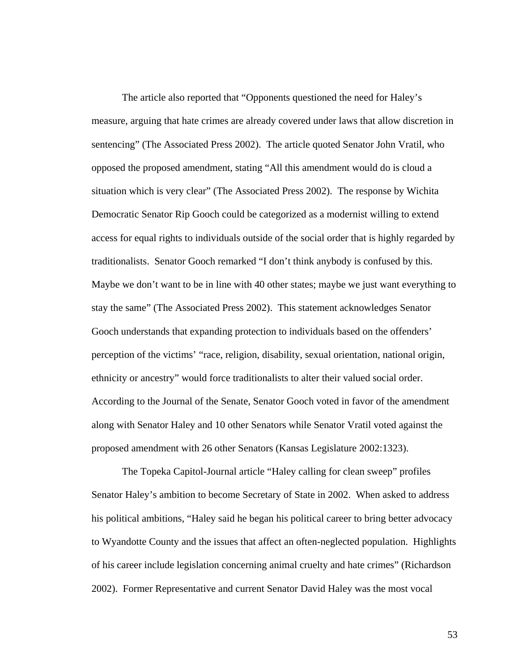The article also reported that "Opponents questioned the need for Haley's measure, arguing that hate crimes are already covered under laws that allow discretion in sentencing" (The Associated Press 2002). The article quoted Senator John Vratil, who opposed the proposed amendment, stating "All this amendment would do is cloud a situation which is very clear" (The Associated Press 2002). The response by Wichita Democratic Senator Rip Gooch could be categorized as a modernist willing to extend access for equal rights to individuals outside of the social order that is highly regarded by traditionalists. Senator Gooch remarked "I don't think anybody is confused by this. Maybe we don't want to be in line with 40 other states; maybe we just want everything to stay the same" (The Associated Press 2002). This statement acknowledges Senator Gooch understands that expanding protection to individuals based on the offenders' perception of the victims' "race, religion, disability, sexual orientation, national origin, ethnicity or ancestry" would force traditionalists to alter their valued social order. According to the Journal of the Senate, Senator Gooch voted in favor of the amendment along with Senator Haley and 10 other Senators while Senator Vratil voted against the proposed amendment with 26 other Senators (Kansas Legislature 2002:1323).

The Topeka Capitol-Journal article "Haley calling for clean sweep" profiles Senator Haley's ambition to become Secretary of State in 2002. When asked to address his political ambitions, "Haley said he began his political career to bring better advocacy to Wyandotte County and the issues that affect an often-neglected population. Highlights of his career include legislation concerning animal cruelty and hate crimes" (Richardson 2002). Former Representative and current Senator David Haley was the most vocal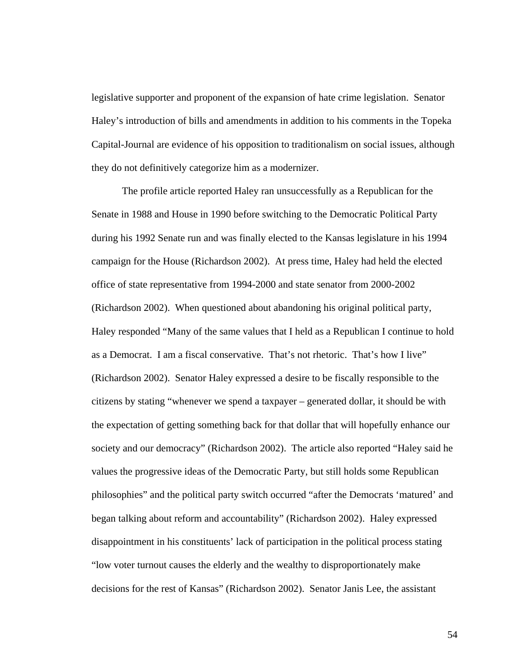legislative supporter and proponent of the expansion of hate crime legislation. Senator Haley's introduction of bills and amendments in addition to his comments in the Topeka Capital-Journal are evidence of his opposition to traditionalism on social issues, although they do not definitively categorize him as a modernizer.

The profile article reported Haley ran unsuccessfully as a Republican for the Senate in 1988 and House in 1990 before switching to the Democratic Political Party during his 1992 Senate run and was finally elected to the Kansas legislature in his 1994 campaign for the House (Richardson 2002). At press time, Haley had held the elected office of state representative from 1994-2000 and state senator from 2000-2002 (Richardson 2002). When questioned about abandoning his original political party, Haley responded "Many of the same values that I held as a Republican I continue to hold as a Democrat. I am a fiscal conservative. That's not rhetoric. That's how I live" (Richardson 2002). Senator Haley expressed a desire to be fiscally responsible to the citizens by stating "whenever we spend a taxpayer – generated dollar, it should be with the expectation of getting something back for that dollar that will hopefully enhance our society and our democracy" (Richardson 2002). The article also reported "Haley said he values the progressive ideas of the Democratic Party, but still holds some Republican philosophies" and the political party switch occurred "after the Democrats 'matured' and began talking about reform and accountability" (Richardson 2002). Haley expressed disappointment in his constituents' lack of participation in the political process stating "low voter turnout causes the elderly and the wealthy to disproportionately make decisions for the rest of Kansas" (Richardson 2002). Senator Janis Lee, the assistant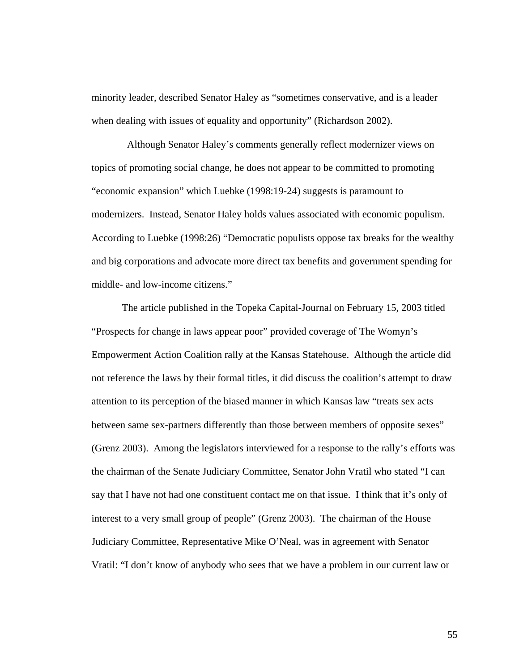minority leader, described Senator Haley as "sometimes conservative, and is a leader when dealing with issues of equality and opportunity" (Richardson 2002).

 Although Senator Haley's comments generally reflect modernizer views on topics of promoting social change, he does not appear to be committed to promoting "economic expansion" which Luebke (1998:19-24) suggests is paramount to modernizers. Instead, Senator Haley holds values associated with economic populism. According to Luebke (1998:26) "Democratic populists oppose tax breaks for the wealthy and big corporations and advocate more direct tax benefits and government spending for middle- and low-income citizens."

The article published in the Topeka Capital-Journal on February 15, 2003 titled "Prospects for change in laws appear poor" provided coverage of The Womyn's Empowerment Action Coalition rally at the Kansas Statehouse. Although the article did not reference the laws by their formal titles, it did discuss the coalition's attempt to draw attention to its perception of the biased manner in which Kansas law "treats sex acts between same sex-partners differently than those between members of opposite sexes" (Grenz 2003). Among the legislators interviewed for a response to the rally's efforts was the chairman of the Senate Judiciary Committee, Senator John Vratil who stated "I can say that I have not had one constituent contact me on that issue. I think that it's only of interest to a very small group of people" (Grenz 2003). The chairman of the House Judiciary Committee, Representative Mike O'Neal, was in agreement with Senator Vratil: "I don't know of anybody who sees that we have a problem in our current law or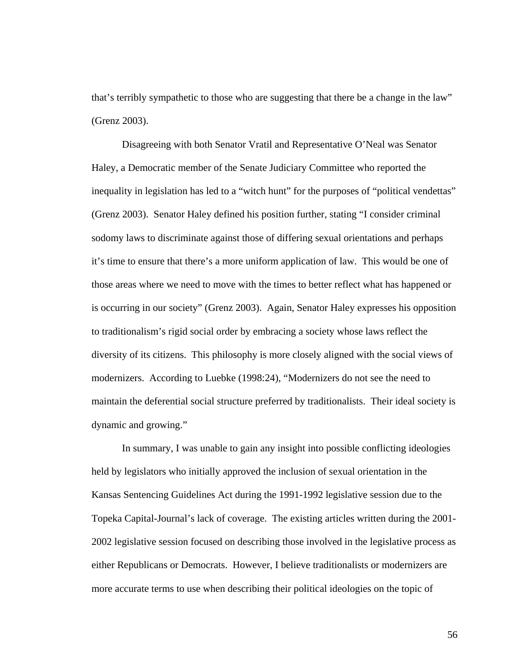that's terribly sympathetic to those who are suggesting that there be a change in the law" (Grenz 2003).

Disagreeing with both Senator Vratil and Representative O'Neal was Senator Haley, a Democratic member of the Senate Judiciary Committee who reported the inequality in legislation has led to a "witch hunt" for the purposes of "political vendettas" (Grenz 2003). Senator Haley defined his position further, stating "I consider criminal sodomy laws to discriminate against those of differing sexual orientations and perhaps it's time to ensure that there's a more uniform application of law. This would be one of those areas where we need to move with the times to better reflect what has happened or is occurring in our society" (Grenz 2003). Again, Senator Haley expresses his opposition to traditionalism's rigid social order by embracing a society whose laws reflect the diversity of its citizens. This philosophy is more closely aligned with the social views of modernizers. According to Luebke (1998:24), "Modernizers do not see the need to maintain the deferential social structure preferred by traditionalists. Their ideal society is dynamic and growing."

In summary, I was unable to gain any insight into possible conflicting ideologies held by legislators who initially approved the inclusion of sexual orientation in the Kansas Sentencing Guidelines Act during the 1991-1992 legislative session due to the Topeka Capital-Journal's lack of coverage. The existing articles written during the 2001- 2002 legislative session focused on describing those involved in the legislative process as either Republicans or Democrats. However, I believe traditionalists or modernizers are more accurate terms to use when describing their political ideologies on the topic of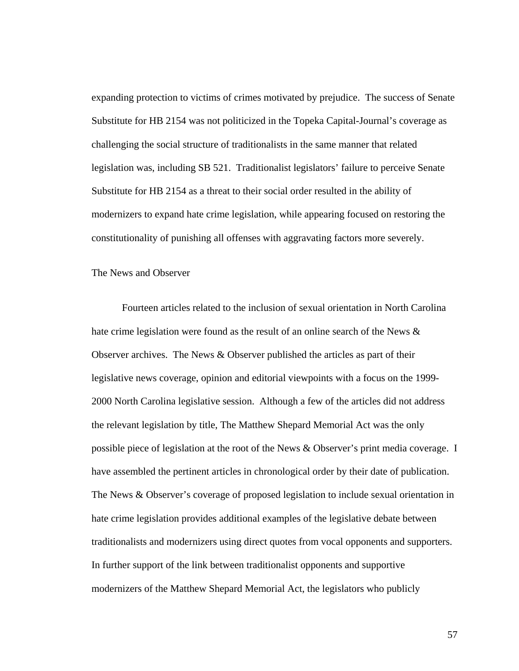expanding protection to victims of crimes motivated by prejudice. The success of Senate Substitute for HB 2154 was not politicized in the Topeka Capital-Journal's coverage as challenging the social structure of traditionalists in the same manner that related legislation was, including SB 521. Traditionalist legislators' failure to perceive Senate Substitute for HB 2154 as a threat to their social order resulted in the ability of modernizers to expand hate crime legislation, while appearing focused on restoring the constitutionality of punishing all offenses with aggravating factors more severely.

#### The News and Observer

Fourteen articles related to the inclusion of sexual orientation in North Carolina hate crime legislation were found as the result of an online search of the News  $\&$ Observer archives. The News  $&$  Observer published the articles as part of their legislative news coverage, opinion and editorial viewpoints with a focus on the 1999- 2000 North Carolina legislative session. Although a few of the articles did not address the relevant legislation by title, The Matthew Shepard Memorial Act was the only possible piece of legislation at the root of the News & Observer's print media coverage. I have assembled the pertinent articles in chronological order by their date of publication. The News & Observer's coverage of proposed legislation to include sexual orientation in hate crime legislation provides additional examples of the legislative debate between traditionalists and modernizers using direct quotes from vocal opponents and supporters. In further support of the link between traditionalist opponents and supportive modernizers of the Matthew Shepard Memorial Act, the legislators who publicly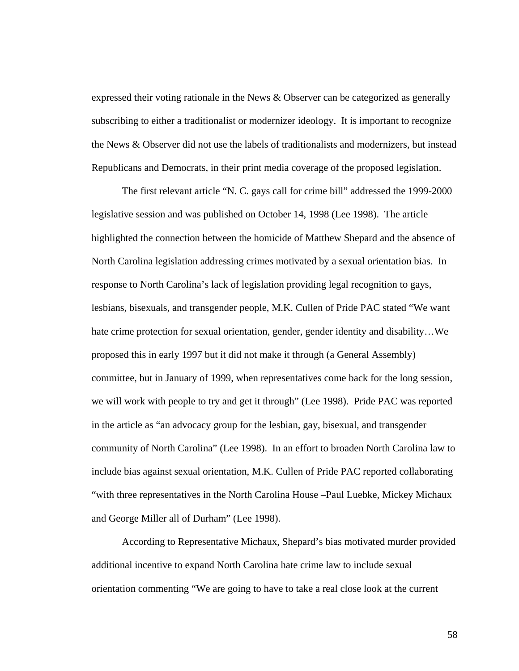expressed their voting rationale in the News & Observer can be categorized as generally subscribing to either a traditionalist or modernizer ideology. It is important to recognize the News & Observer did not use the labels of traditionalists and modernizers, but instead Republicans and Democrats, in their print media coverage of the proposed legislation.

The first relevant article "N. C. gays call for crime bill" addressed the 1999-2000 legislative session and was published on October 14, 1998 (Lee 1998). The article highlighted the connection between the homicide of Matthew Shepard and the absence of North Carolina legislation addressing crimes motivated by a sexual orientation bias. In response to North Carolina's lack of legislation providing legal recognition to gays, lesbians, bisexuals, and transgender people, M.K. Cullen of Pride PAC stated "We want hate crime protection for sexual orientation, gender, gender identity and disability...We proposed this in early 1997 but it did not make it through (a General Assembly) committee, but in January of 1999, when representatives come back for the long session, we will work with people to try and get it through" (Lee 1998). Pride PAC was reported in the article as "an advocacy group for the lesbian, gay, bisexual, and transgender community of North Carolina" (Lee 1998). In an effort to broaden North Carolina law to include bias against sexual orientation, M.K. Cullen of Pride PAC reported collaborating "with three representatives in the North Carolina House –Paul Luebke, Mickey Michaux and George Miller all of Durham" (Lee 1998).

According to Representative Michaux, Shepard's bias motivated murder provided additional incentive to expand North Carolina hate crime law to include sexual orientation commenting "We are going to have to take a real close look at the current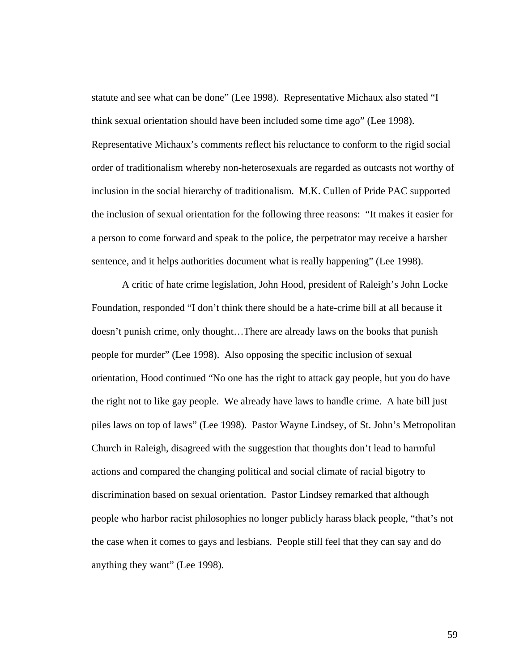statute and see what can be done" (Lee 1998). Representative Michaux also stated "I think sexual orientation should have been included some time ago" (Lee 1998). Representative Michaux's comments reflect his reluctance to conform to the rigid social order of traditionalism whereby non-heterosexuals are regarded as outcasts not worthy of inclusion in the social hierarchy of traditionalism. M.K. Cullen of Pride PAC supported the inclusion of sexual orientation for the following three reasons: "It makes it easier for a person to come forward and speak to the police, the perpetrator may receive a harsher sentence, and it helps authorities document what is really happening" (Lee 1998).

A critic of hate crime legislation, John Hood, president of Raleigh's John Locke Foundation, responded "I don't think there should be a hate-crime bill at all because it doesn't punish crime, only thought…There are already laws on the books that punish people for murder" (Lee 1998). Also opposing the specific inclusion of sexual orientation, Hood continued "No one has the right to attack gay people, but you do have the right not to like gay people. We already have laws to handle crime. A hate bill just piles laws on top of laws" (Lee 1998). Pastor Wayne Lindsey, of St. John's Metropolitan Church in Raleigh, disagreed with the suggestion that thoughts don't lead to harmful actions and compared the changing political and social climate of racial bigotry to discrimination based on sexual orientation. Pastor Lindsey remarked that although people who harbor racist philosophies no longer publicly harass black people, "that's not the case when it comes to gays and lesbians. People still feel that they can say and do anything they want" (Lee 1998).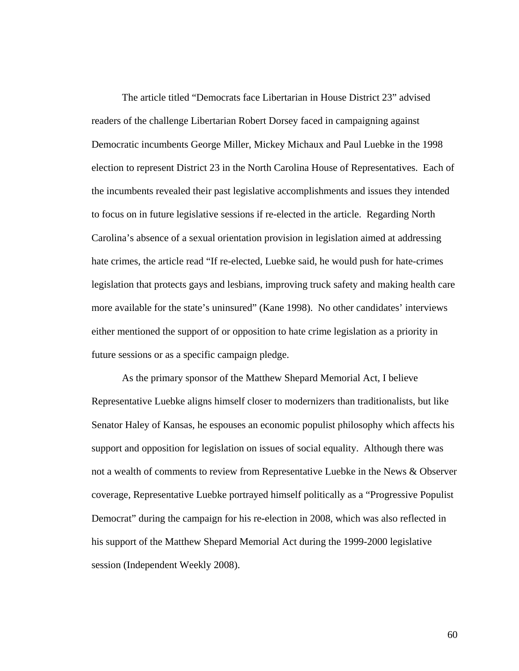The article titled "Democrats face Libertarian in House District 23" advised readers of the challenge Libertarian Robert Dorsey faced in campaigning against Democratic incumbents George Miller, Mickey Michaux and Paul Luebke in the 1998 election to represent District 23 in the North Carolina House of Representatives. Each of the incumbents revealed their past legislative accomplishments and issues they intended to focus on in future legislative sessions if re-elected in the article. Regarding North Carolina's absence of a sexual orientation provision in legislation aimed at addressing hate crimes, the article read "If re-elected, Luebke said, he would push for hate-crimes legislation that protects gays and lesbians, improving truck safety and making health care more available for the state's uninsured" (Kane 1998). No other candidates' interviews either mentioned the support of or opposition to hate crime legislation as a priority in future sessions or as a specific campaign pledge.

As the primary sponsor of the Matthew Shepard Memorial Act, I believe Representative Luebke aligns himself closer to modernizers than traditionalists, but like Senator Haley of Kansas, he espouses an economic populist philosophy which affects his support and opposition for legislation on issues of social equality. Although there was not a wealth of comments to review from Representative Luebke in the News & Observer coverage, Representative Luebke portrayed himself politically as a "Progressive Populist Democrat" during the campaign for his re-election in 2008, which was also reflected in his support of the Matthew Shepard Memorial Act during the 1999-2000 legislative session (Independent Weekly 2008).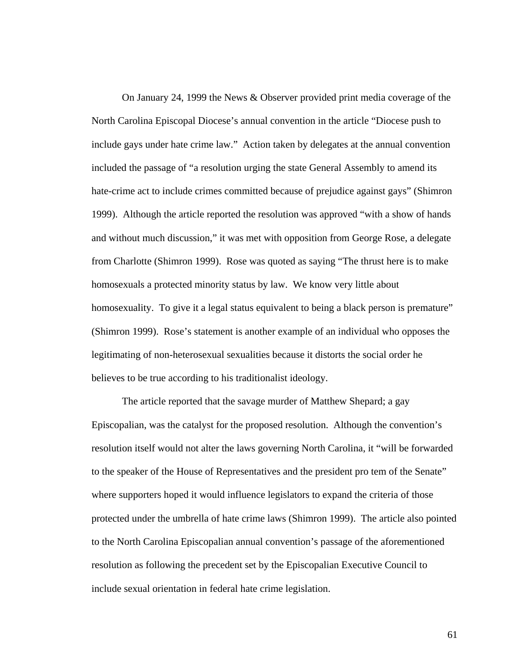On January 24, 1999 the News & Observer provided print media coverage of the North Carolina Episcopal Diocese's annual convention in the article "Diocese push to include gays under hate crime law." Action taken by delegates at the annual convention included the passage of "a resolution urging the state General Assembly to amend its hate-crime act to include crimes committed because of prejudice against gays" (Shimron 1999). Although the article reported the resolution was approved "with a show of hands and without much discussion," it was met with opposition from George Rose, a delegate from Charlotte (Shimron 1999). Rose was quoted as saying "The thrust here is to make homosexuals a protected minority status by law. We know very little about homosexuality. To give it a legal status equivalent to being a black person is premature" (Shimron 1999). Rose's statement is another example of an individual who opposes the legitimating of non-heterosexual sexualities because it distorts the social order he believes to be true according to his traditionalist ideology.

The article reported that the savage murder of Matthew Shepard; a gay Episcopalian, was the catalyst for the proposed resolution. Although the convention's resolution itself would not alter the laws governing North Carolina, it "will be forwarded to the speaker of the House of Representatives and the president pro tem of the Senate" where supporters hoped it would influence legislators to expand the criteria of those protected under the umbrella of hate crime laws (Shimron 1999). The article also pointed to the North Carolina Episcopalian annual convention's passage of the aforementioned resolution as following the precedent set by the Episcopalian Executive Council to include sexual orientation in federal hate crime legislation.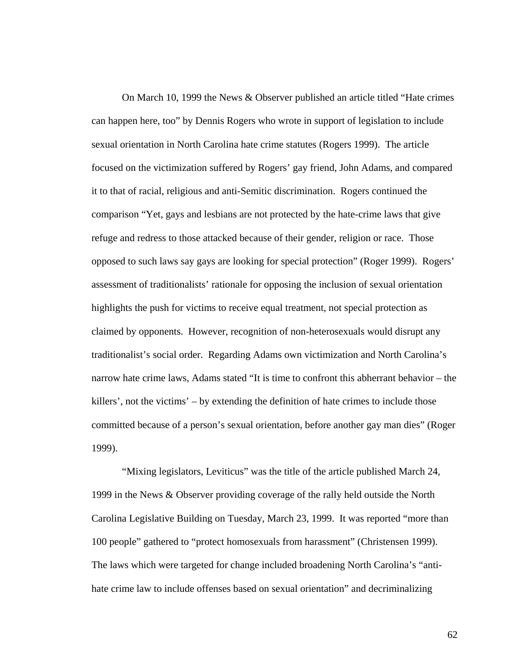On March 10, 1999 the News & Observer published an article titled "Hate crimes can happen here, too" by Dennis Rogers who wrote in support of legislation to include sexual orientation in North Carolina hate crime statutes (Rogers 1999). The article focused on the victimization suffered by Rogers' gay friend, John Adams, and compared it to that of racial, religious and anti-Semitic discrimination. Rogers continued the comparison "Yet, gays and lesbians are not protected by the hate-crime laws that give refuge and redress to those attacked because of their gender, religion or race. Those opposed to such laws say gays are looking for special protection" (Roger 1999). Rogers' assessment of traditionalists' rationale for opposing the inclusion of sexual orientation highlights the push for victims to receive equal treatment, not special protection as claimed by opponents. However, recognition of non-heterosexuals would disrupt any traditionalist's social order. Regarding Adams own victimization and North Carolina's narrow hate crime laws, Adams stated "It is time to confront this abherrant behavior – the killers', not the victims' – by extending the definition of hate crimes to include those committed because of a person's sexual orientation, before another gay man dies" (Roger 1999).

"Mixing legislators, Leviticus" was the title of the article published March 24, 1999 in the News & Observer providing coverage of the rally held outside the North Carolina Legislative Building on Tuesday, March 23, 1999. It was reported "more than 100 people" gathered to "protect homosexuals from harassment" (Christensen 1999). The laws which were targeted for change included broadening North Carolina's "antihate crime law to include offenses based on sexual orientation" and decriminalizing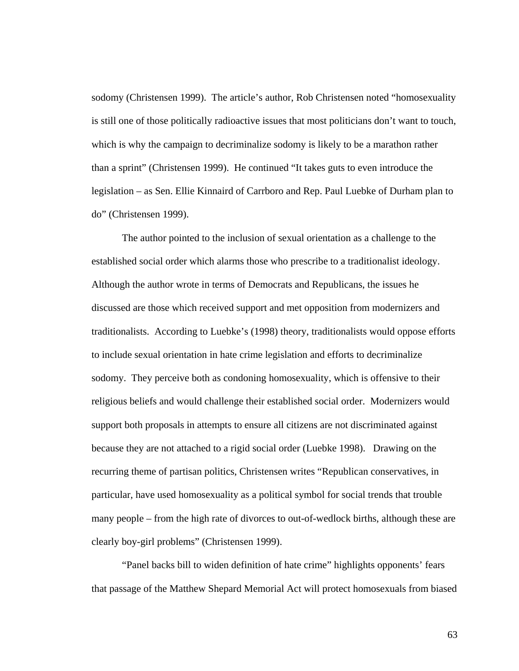sodomy (Christensen 1999). The article's author, Rob Christensen noted "homosexuality is still one of those politically radioactive issues that most politicians don't want to touch, which is why the campaign to decriminalize sodomy is likely to be a marathon rather than a sprint" (Christensen 1999). He continued "It takes guts to even introduce the legislation – as Sen. Ellie Kinnaird of Carrboro and Rep. Paul Luebke of Durham plan to do" (Christensen 1999).

The author pointed to the inclusion of sexual orientation as a challenge to the established social order which alarms those who prescribe to a traditionalist ideology. Although the author wrote in terms of Democrats and Republicans, the issues he discussed are those which received support and met opposition from modernizers and traditionalists. According to Luebke's (1998) theory, traditionalists would oppose efforts to include sexual orientation in hate crime legislation and efforts to decriminalize sodomy. They perceive both as condoning homosexuality, which is offensive to their religious beliefs and would challenge their established social order. Modernizers would support both proposals in attempts to ensure all citizens are not discriminated against because they are not attached to a rigid social order (Luebke 1998). Drawing on the recurring theme of partisan politics, Christensen writes "Republican conservatives, in particular, have used homosexuality as a political symbol for social trends that trouble many people – from the high rate of divorces to out-of-wedlock births, although these are clearly boy-girl problems" (Christensen 1999).

"Panel backs bill to widen definition of hate crime" highlights opponents' fears that passage of the Matthew Shepard Memorial Act will protect homosexuals from biased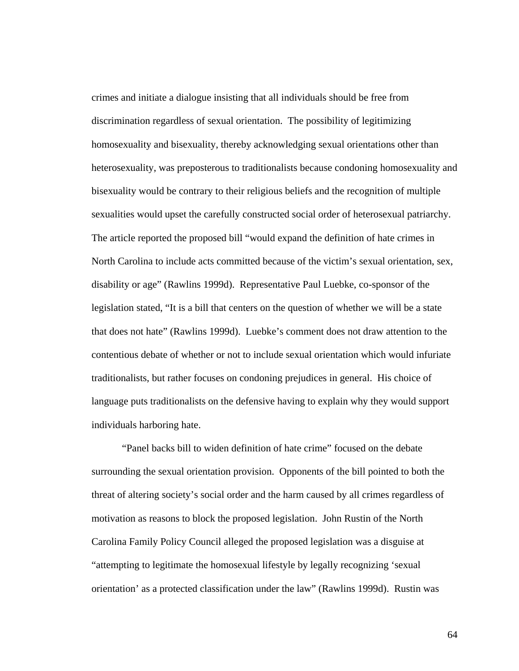crimes and initiate a dialogue insisting that all individuals should be free from discrimination regardless of sexual orientation. The possibility of legitimizing homosexuality and bisexuality, thereby acknowledging sexual orientations other than heterosexuality, was preposterous to traditionalists because condoning homosexuality and bisexuality would be contrary to their religious beliefs and the recognition of multiple sexualities would upset the carefully constructed social order of heterosexual patriarchy. The article reported the proposed bill "would expand the definition of hate crimes in North Carolina to include acts committed because of the victim's sexual orientation, sex, disability or age" (Rawlins 1999d). Representative Paul Luebke, co-sponsor of the legislation stated, "It is a bill that centers on the question of whether we will be a state that does not hate" (Rawlins 1999d). Luebke's comment does not draw attention to the contentious debate of whether or not to include sexual orientation which would infuriate traditionalists, but rather focuses on condoning prejudices in general. His choice of language puts traditionalists on the defensive having to explain why they would support individuals harboring hate.

"Panel backs bill to widen definition of hate crime" focused on the debate surrounding the sexual orientation provision. Opponents of the bill pointed to both the threat of altering society's social order and the harm caused by all crimes regardless of motivation as reasons to block the proposed legislation. John Rustin of the North Carolina Family Policy Council alleged the proposed legislation was a disguise at "attempting to legitimate the homosexual lifestyle by legally recognizing 'sexual orientation' as a protected classification under the law" (Rawlins 1999d). Rustin was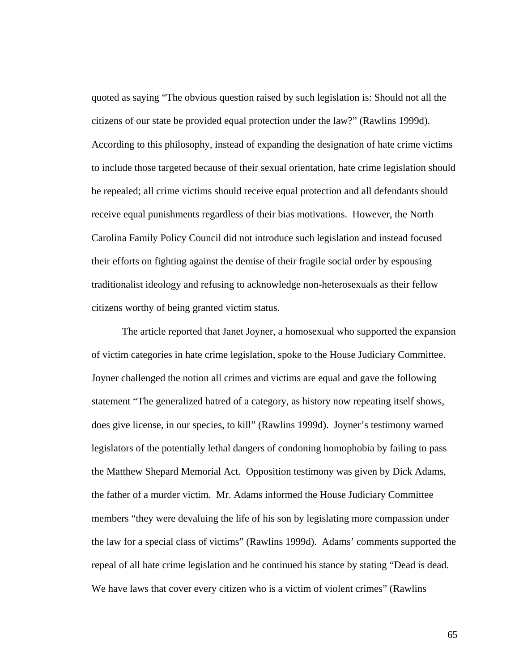quoted as saying "The obvious question raised by such legislation is: Should not all the citizens of our state be provided equal protection under the law?" (Rawlins 1999d). According to this philosophy, instead of expanding the designation of hate crime victims to include those targeted because of their sexual orientation, hate crime legislation should be repealed; all crime victims should receive equal protection and all defendants should receive equal punishments regardless of their bias motivations. However, the North Carolina Family Policy Council did not introduce such legislation and instead focused their efforts on fighting against the demise of their fragile social order by espousing traditionalist ideology and refusing to acknowledge non-heterosexuals as their fellow citizens worthy of being granted victim status.

The article reported that Janet Joyner, a homosexual who supported the expansion of victim categories in hate crime legislation, spoke to the House Judiciary Committee. Joyner challenged the notion all crimes and victims are equal and gave the following statement "The generalized hatred of a category, as history now repeating itself shows, does give license, in our species, to kill" (Rawlins 1999d). Joyner's testimony warned legislators of the potentially lethal dangers of condoning homophobia by failing to pass the Matthew Shepard Memorial Act. Opposition testimony was given by Dick Adams, the father of a murder victim. Mr. Adams informed the House Judiciary Committee members "they were devaluing the life of his son by legislating more compassion under the law for a special class of victims" (Rawlins 1999d). Adams' comments supported the repeal of all hate crime legislation and he continued his stance by stating "Dead is dead. We have laws that cover every citizen who is a victim of violent crimes" (Rawlins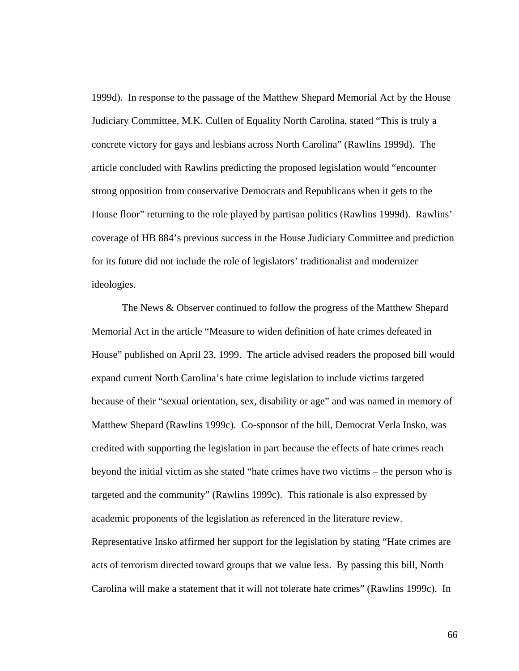1999d). In response to the passage of the Matthew Shepard Memorial Act by the House Judiciary Committee, M.K. Cullen of Equality North Carolina, stated "This is truly a concrete victory for gays and lesbians across North Carolina" (Rawlins 1999d). The article concluded with Rawlins predicting the proposed legislation would "encounter strong opposition from conservative Democrats and Republicans when it gets to the House floor" returning to the role played by partisan politics (Rawlins 1999d). Rawlins' coverage of HB 884's previous success in the House Judiciary Committee and prediction for its future did not include the role of legislators' traditionalist and modernizer ideologies.

The News & Observer continued to follow the progress of the Matthew Shepard Memorial Act in the article "Measure to widen definition of hate crimes defeated in House" published on April 23, 1999. The article advised readers the proposed bill would expand current North Carolina's hate crime legislation to include victims targeted because of their "sexual orientation, sex, disability or age" and was named in memory of Matthew Shepard (Rawlins 1999c). Co-sponsor of the bill, Democrat Verla Insko, was credited with supporting the legislation in part because the effects of hate crimes reach beyond the initial victim as she stated "hate crimes have two victims – the person who is targeted and the community" (Rawlins 1999c). This rationale is also expressed by academic proponents of the legislation as referenced in the literature review. Representative Insko affirmed her support for the legislation by stating "Hate crimes are acts of terrorism directed toward groups that we value less. By passing this bill, North Carolina will make a statement that it will not tolerate hate crimes" (Rawlins 1999c). In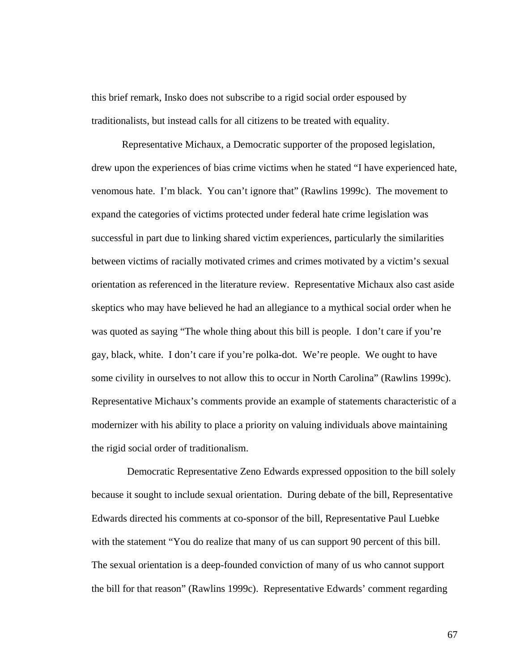this brief remark, Insko does not subscribe to a rigid social order espoused by traditionalists, but instead calls for all citizens to be treated with equality.

Representative Michaux, a Democratic supporter of the proposed legislation, drew upon the experiences of bias crime victims when he stated "I have experienced hate, venomous hate. I'm black. You can't ignore that" (Rawlins 1999c). The movement to expand the categories of victims protected under federal hate crime legislation was successful in part due to linking shared victim experiences, particularly the similarities between victims of racially motivated crimes and crimes motivated by a victim's sexual orientation as referenced in the literature review. Representative Michaux also cast aside skeptics who may have believed he had an allegiance to a mythical social order when he was quoted as saying "The whole thing about this bill is people. I don't care if you're gay, black, white. I don't care if you're polka-dot. We're people. We ought to have some civility in ourselves to not allow this to occur in North Carolina" (Rawlins 1999c). Representative Michaux's comments provide an example of statements characteristic of a modernizer with his ability to place a priority on valuing individuals above maintaining the rigid social order of traditionalism.

 Democratic Representative Zeno Edwards expressed opposition to the bill solely because it sought to include sexual orientation. During debate of the bill, Representative Edwards directed his comments at co-sponsor of the bill, Representative Paul Luebke with the statement "You do realize that many of us can support 90 percent of this bill. The sexual orientation is a deep-founded conviction of many of us who cannot support the bill for that reason" (Rawlins 1999c). Representative Edwards' comment regarding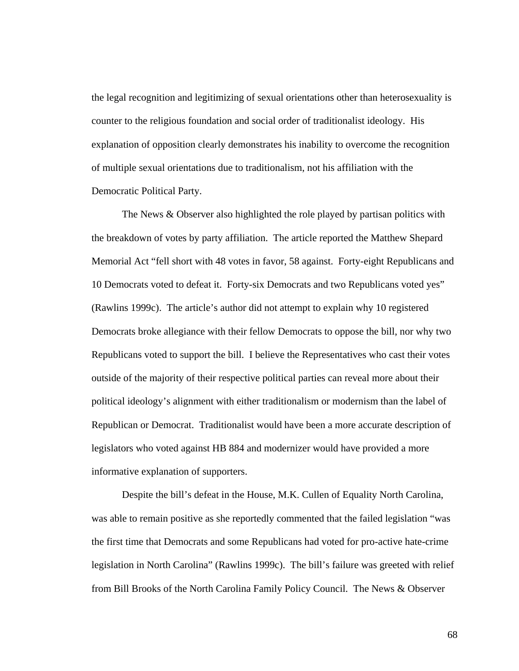the legal recognition and legitimizing of sexual orientations other than heterosexuality is counter to the religious foundation and social order of traditionalist ideology. His explanation of opposition clearly demonstrates his inability to overcome the recognition of multiple sexual orientations due to traditionalism, not his affiliation with the Democratic Political Party.

The News & Observer also highlighted the role played by partisan politics with the breakdown of votes by party affiliation. The article reported the Matthew Shepard Memorial Act "fell short with 48 votes in favor, 58 against. Forty-eight Republicans and 10 Democrats voted to defeat it. Forty-six Democrats and two Republicans voted yes" (Rawlins 1999c). The article's author did not attempt to explain why 10 registered Democrats broke allegiance with their fellow Democrats to oppose the bill, nor why two Republicans voted to support the bill. I believe the Representatives who cast their votes outside of the majority of their respective political parties can reveal more about their political ideology's alignment with either traditionalism or modernism than the label of Republican or Democrat. Traditionalist would have been a more accurate description of legislators who voted against HB 884 and modernizer would have provided a more informative explanation of supporters.

Despite the bill's defeat in the House, M.K. Cullen of Equality North Carolina, was able to remain positive as she reportedly commented that the failed legislation "was the first time that Democrats and some Republicans had voted for pro-active hate-crime legislation in North Carolina" (Rawlins 1999c). The bill's failure was greeted with relief from Bill Brooks of the North Carolina Family Policy Council. The News & Observer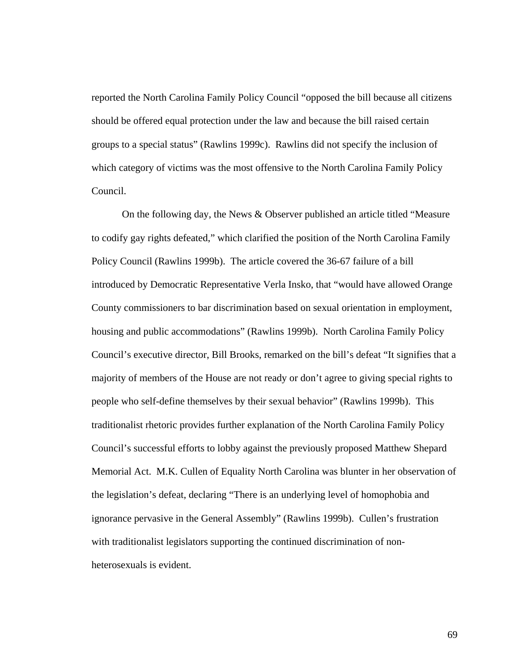reported the North Carolina Family Policy Council "opposed the bill because all citizens should be offered equal protection under the law and because the bill raised certain groups to a special status" (Rawlins 1999c). Rawlins did not specify the inclusion of which category of victims was the most offensive to the North Carolina Family Policy Council.

On the following day, the News & Observer published an article titled "Measure to codify gay rights defeated," which clarified the position of the North Carolina Family Policy Council (Rawlins 1999b). The article covered the 36-67 failure of a bill introduced by Democratic Representative Verla Insko, that "would have allowed Orange County commissioners to bar discrimination based on sexual orientation in employment, housing and public accommodations" (Rawlins 1999b). North Carolina Family Policy Council's executive director, Bill Brooks, remarked on the bill's defeat "It signifies that a majority of members of the House are not ready or don't agree to giving special rights to people who self-define themselves by their sexual behavior" (Rawlins 1999b). This traditionalist rhetoric provides further explanation of the North Carolina Family Policy Council's successful efforts to lobby against the previously proposed Matthew Shepard Memorial Act. M.K. Cullen of Equality North Carolina was blunter in her observation of the legislation's defeat, declaring "There is an underlying level of homophobia and ignorance pervasive in the General Assembly" (Rawlins 1999b). Cullen's frustration with traditionalist legislators supporting the continued discrimination of nonheterosexuals is evident.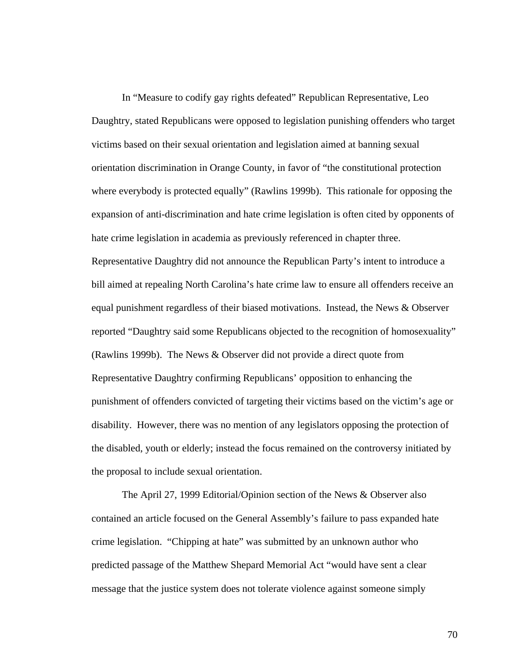In "Measure to codify gay rights defeated" Republican Representative, Leo Daughtry, stated Republicans were opposed to legislation punishing offenders who target victims based on their sexual orientation and legislation aimed at banning sexual orientation discrimination in Orange County, in favor of "the constitutional protection where everybody is protected equally" (Rawlins 1999b). This rationale for opposing the expansion of anti-discrimination and hate crime legislation is often cited by opponents of hate crime legislation in academia as previously referenced in chapter three. Representative Daughtry did not announce the Republican Party's intent to introduce a bill aimed at repealing North Carolina's hate crime law to ensure all offenders receive an equal punishment regardless of their biased motivations. Instead, the News & Observer reported "Daughtry said some Republicans objected to the recognition of homosexuality" (Rawlins 1999b). The News & Observer did not provide a direct quote from Representative Daughtry confirming Republicans' opposition to enhancing the punishment of offenders convicted of targeting their victims based on the victim's age or disability. However, there was no mention of any legislators opposing the protection of the disabled, youth or elderly; instead the focus remained on the controversy initiated by the proposal to include sexual orientation.

The April 27, 1999 Editorial/Opinion section of the News & Observer also contained an article focused on the General Assembly's failure to pass expanded hate crime legislation. "Chipping at hate" was submitted by an unknown author who predicted passage of the Matthew Shepard Memorial Act "would have sent a clear message that the justice system does not tolerate violence against someone simply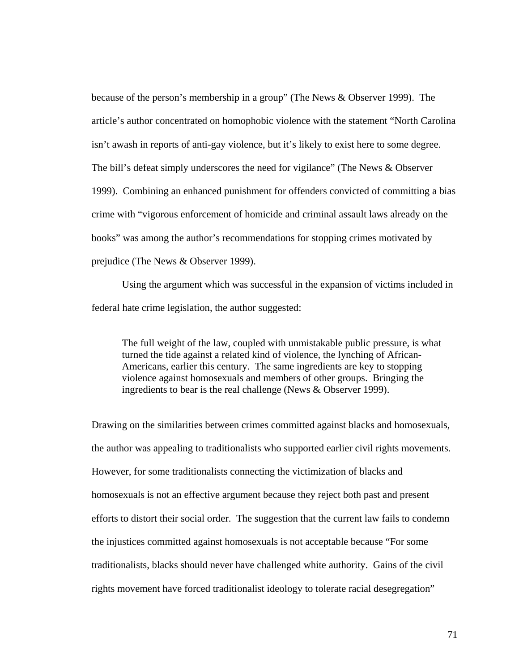because of the person's membership in a group" (The News & Observer 1999). The article's author concentrated on homophobic violence with the statement "North Carolina isn't awash in reports of anti-gay violence, but it's likely to exist here to some degree. The bill's defeat simply underscores the need for vigilance" (The News & Observer 1999). Combining an enhanced punishment for offenders convicted of committing a bias crime with "vigorous enforcement of homicide and criminal assault laws already on the books" was among the author's recommendations for stopping crimes motivated by prejudice (The News & Observer 1999).

Using the argument which was successful in the expansion of victims included in federal hate crime legislation, the author suggested:

The full weight of the law, coupled with unmistakable public pressure, is what turned the tide against a related kind of violence, the lynching of African-Americans, earlier this century. The same ingredients are key to stopping violence against homosexuals and members of other groups. Bringing the ingredients to bear is the real challenge (News & Observer 1999).

Drawing on the similarities between crimes committed against blacks and homosexuals, the author was appealing to traditionalists who supported earlier civil rights movements. However, for some traditionalists connecting the victimization of blacks and homosexuals is not an effective argument because they reject both past and present efforts to distort their social order. The suggestion that the current law fails to condemn the injustices committed against homosexuals is not acceptable because "For some traditionalists, blacks should never have challenged white authority. Gains of the civil rights movement have forced traditionalist ideology to tolerate racial desegregation"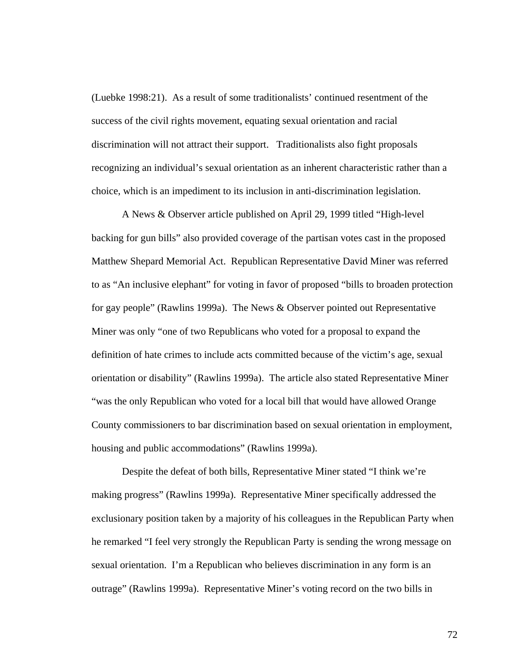(Luebke 1998:21). As a result of some traditionalists' continued resentment of the success of the civil rights movement, equating sexual orientation and racial discrimination will not attract their support. Traditionalists also fight proposals recognizing an individual's sexual orientation as an inherent characteristic rather than a choice, which is an impediment to its inclusion in anti-discrimination legislation.

A News & Observer article published on April 29, 1999 titled "High-level backing for gun bills" also provided coverage of the partisan votes cast in the proposed Matthew Shepard Memorial Act. Republican Representative David Miner was referred to as "An inclusive elephant" for voting in favor of proposed "bills to broaden protection for gay people" (Rawlins 1999a). The News & Observer pointed out Representative Miner was only "one of two Republicans who voted for a proposal to expand the definition of hate crimes to include acts committed because of the victim's age, sexual orientation or disability" (Rawlins 1999a). The article also stated Representative Miner "was the only Republican who voted for a local bill that would have allowed Orange County commissioners to bar discrimination based on sexual orientation in employment, housing and public accommodations" (Rawlins 1999a).

Despite the defeat of both bills, Representative Miner stated "I think we're making progress" (Rawlins 1999a). Representative Miner specifically addressed the exclusionary position taken by a majority of his colleagues in the Republican Party when he remarked "I feel very strongly the Republican Party is sending the wrong message on sexual orientation. I'm a Republican who believes discrimination in any form is an outrage" (Rawlins 1999a). Representative Miner's voting record on the two bills in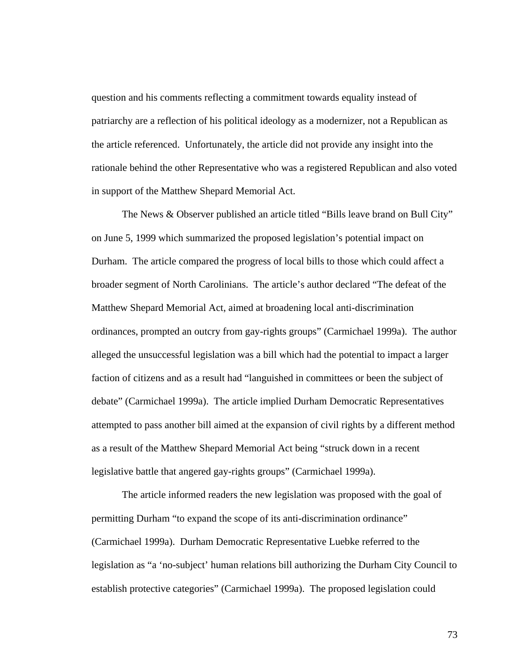question and his comments reflecting a commitment towards equality instead of patriarchy are a reflection of his political ideology as a modernizer, not a Republican as the article referenced. Unfortunately, the article did not provide any insight into the rationale behind the other Representative who was a registered Republican and also voted in support of the Matthew Shepard Memorial Act.

The News & Observer published an article titled "Bills leave brand on Bull City" on June 5, 1999 which summarized the proposed legislation's potential impact on Durham. The article compared the progress of local bills to those which could affect a broader segment of North Carolinians. The article's author declared "The defeat of the Matthew Shepard Memorial Act, aimed at broadening local anti-discrimination ordinances, prompted an outcry from gay-rights groups" (Carmichael 1999a). The author alleged the unsuccessful legislation was a bill which had the potential to impact a larger faction of citizens and as a result had "languished in committees or been the subject of debate" (Carmichael 1999a). The article implied Durham Democratic Representatives attempted to pass another bill aimed at the expansion of civil rights by a different method as a result of the Matthew Shepard Memorial Act being "struck down in a recent legislative battle that angered gay-rights groups" (Carmichael 1999a).

The article informed readers the new legislation was proposed with the goal of permitting Durham "to expand the scope of its anti-discrimination ordinance" (Carmichael 1999a). Durham Democratic Representative Luebke referred to the legislation as "a 'no-subject' human relations bill authorizing the Durham City Council to establish protective categories" (Carmichael 1999a). The proposed legislation could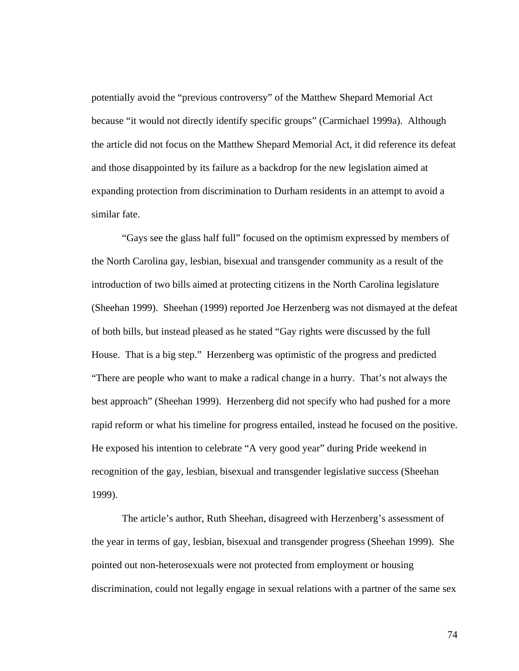potentially avoid the "previous controversy" of the Matthew Shepard Memorial Act because "it would not directly identify specific groups" (Carmichael 1999a). Although the article did not focus on the Matthew Shepard Memorial Act, it did reference its defeat and those disappointed by its failure as a backdrop for the new legislation aimed at expanding protection from discrimination to Durham residents in an attempt to avoid a similar fate.

"Gays see the glass half full" focused on the optimism expressed by members of the North Carolina gay, lesbian, bisexual and transgender community as a result of the introduction of two bills aimed at protecting citizens in the North Carolina legislature (Sheehan 1999). Sheehan (1999) reported Joe Herzenberg was not dismayed at the defeat of both bills, but instead pleased as he stated "Gay rights were discussed by the full House. That is a big step." Herzenberg was optimistic of the progress and predicted "There are people who want to make a radical change in a hurry. That's not always the best approach" (Sheehan 1999). Herzenberg did not specify who had pushed for a more rapid reform or what his timeline for progress entailed, instead he focused on the positive. He exposed his intention to celebrate "A very good year" during Pride weekend in recognition of the gay, lesbian, bisexual and transgender legislative success (Sheehan 1999).

The article's author, Ruth Sheehan, disagreed with Herzenberg's assessment of the year in terms of gay, lesbian, bisexual and transgender progress (Sheehan 1999). She pointed out non-heterosexuals were not protected from employment or housing discrimination, could not legally engage in sexual relations with a partner of the same sex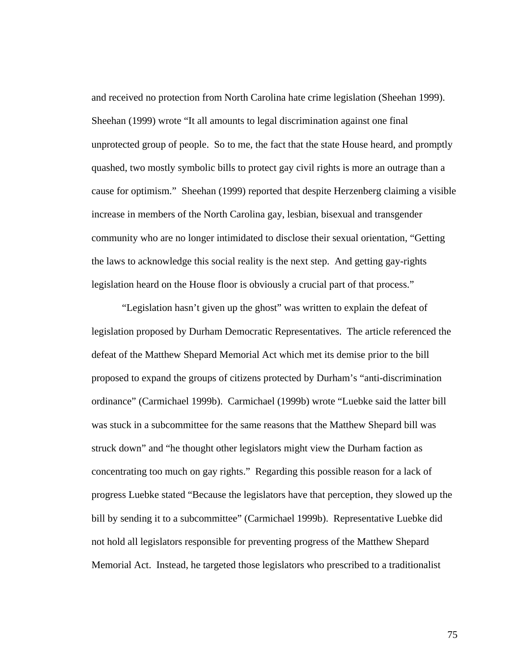and received no protection from North Carolina hate crime legislation (Sheehan 1999). Sheehan (1999) wrote "It all amounts to legal discrimination against one final unprotected group of people. So to me, the fact that the state House heard, and promptly quashed, two mostly symbolic bills to protect gay civil rights is more an outrage than a cause for optimism." Sheehan (1999) reported that despite Herzenberg claiming a visible increase in members of the North Carolina gay, lesbian, bisexual and transgender community who are no longer intimidated to disclose their sexual orientation, "Getting the laws to acknowledge this social reality is the next step. And getting gay-rights legislation heard on the House floor is obviously a crucial part of that process."

"Legislation hasn't given up the ghost" was written to explain the defeat of legislation proposed by Durham Democratic Representatives. The article referenced the defeat of the Matthew Shepard Memorial Act which met its demise prior to the bill proposed to expand the groups of citizens protected by Durham's "anti-discrimination ordinance" (Carmichael 1999b). Carmichael (1999b) wrote "Luebke said the latter bill was stuck in a subcommittee for the same reasons that the Matthew Shepard bill was struck down" and "he thought other legislators might view the Durham faction as concentrating too much on gay rights." Regarding this possible reason for a lack of progress Luebke stated "Because the legislators have that perception, they slowed up the bill by sending it to a subcommittee" (Carmichael 1999b). Representative Luebke did not hold all legislators responsible for preventing progress of the Matthew Shepard Memorial Act. Instead, he targeted those legislators who prescribed to a traditionalist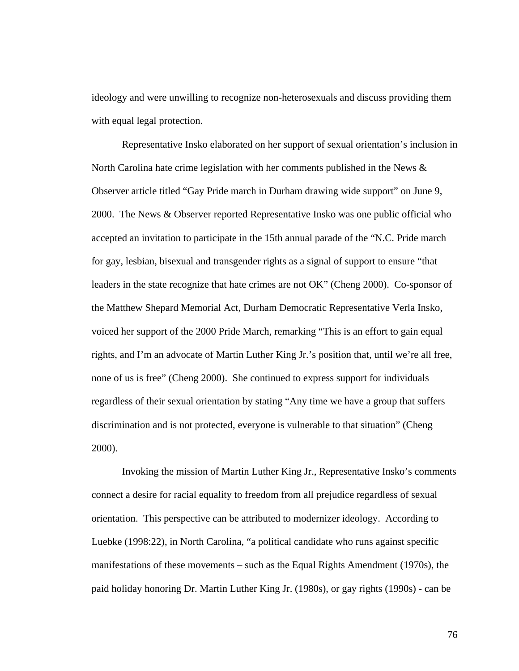ideology and were unwilling to recognize non-heterosexuals and discuss providing them with equal legal protection.

Representative Insko elaborated on her support of sexual orientation's inclusion in North Carolina hate crime legislation with her comments published in the News  $\&$ Observer article titled "Gay Pride march in Durham drawing wide support" on June 9, 2000. The News & Observer reported Representative Insko was one public official who accepted an invitation to participate in the 15th annual parade of the "N.C. Pride march for gay, lesbian, bisexual and transgender rights as a signal of support to ensure "that leaders in the state recognize that hate crimes are not OK" (Cheng 2000). Co-sponsor of the Matthew Shepard Memorial Act, Durham Democratic Representative Verla Insko, voiced her support of the 2000 Pride March, remarking "This is an effort to gain equal rights, and I'm an advocate of Martin Luther King Jr.'s position that, until we're all free, none of us is free" (Cheng 2000). She continued to express support for individuals regardless of their sexual orientation by stating "Any time we have a group that suffers discrimination and is not protected, everyone is vulnerable to that situation" (Cheng 2000).

Invoking the mission of Martin Luther King Jr., Representative Insko's comments connect a desire for racial equality to freedom from all prejudice regardless of sexual orientation. This perspective can be attributed to modernizer ideology. According to Luebke (1998:22), in North Carolina, "a political candidate who runs against specific manifestations of these movements – such as the Equal Rights Amendment (1970s), the paid holiday honoring Dr. Martin Luther King Jr. (1980s), or gay rights (1990s) - can be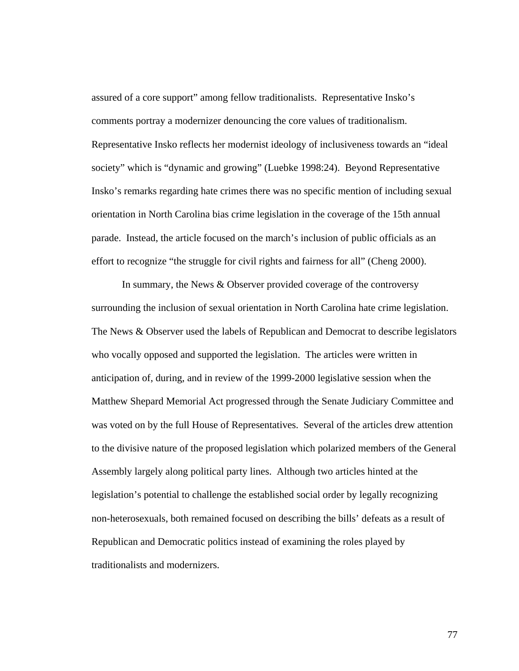assured of a core support" among fellow traditionalists. Representative Insko's comments portray a modernizer denouncing the core values of traditionalism. Representative Insko reflects her modernist ideology of inclusiveness towards an "ideal society" which is "dynamic and growing" (Luebke 1998:24). Beyond Representative Insko's remarks regarding hate crimes there was no specific mention of including sexual orientation in North Carolina bias crime legislation in the coverage of the 15th annual parade. Instead, the article focused on the march's inclusion of public officials as an effort to recognize "the struggle for civil rights and fairness for all" (Cheng 2000).

In summary, the News & Observer provided coverage of the controversy surrounding the inclusion of sexual orientation in North Carolina hate crime legislation. The News & Observer used the labels of Republican and Democrat to describe legislators who vocally opposed and supported the legislation. The articles were written in anticipation of, during, and in review of the 1999-2000 legislative session when the Matthew Shepard Memorial Act progressed through the Senate Judiciary Committee and was voted on by the full House of Representatives. Several of the articles drew attention to the divisive nature of the proposed legislation which polarized members of the General Assembly largely along political party lines. Although two articles hinted at the legislation's potential to challenge the established social order by legally recognizing non-heterosexuals, both remained focused on describing the bills' defeats as a result of Republican and Democratic politics instead of examining the roles played by traditionalists and modernizers.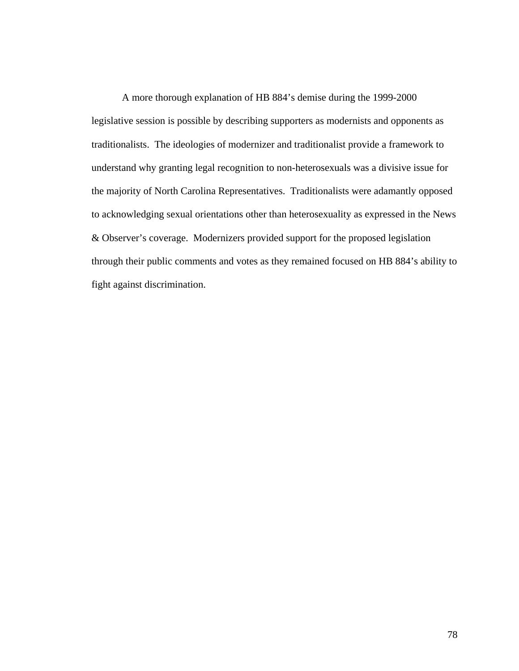A more thorough explanation of HB 884's demise during the 1999-2000 legislative session is possible by describing supporters as modernists and opponents as traditionalists. The ideologies of modernizer and traditionalist provide a framework to understand why granting legal recognition to non-heterosexuals was a divisive issue for the majority of North Carolina Representatives. Traditionalists were adamantly opposed to acknowledging sexual orientations other than heterosexuality as expressed in the News & Observer's coverage. Modernizers provided support for the proposed legislation through their public comments and votes as they remained focused on HB 884's ability to fight against discrimination.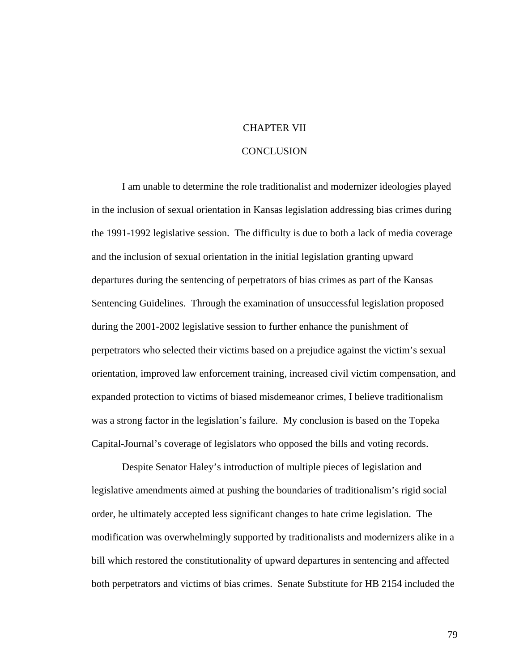## CHAPTER VII

## **CONCLUSION**

I am unable to determine the role traditionalist and modernizer ideologies played in the inclusion of sexual orientation in Kansas legislation addressing bias crimes during the 1991-1992 legislative session. The difficulty is due to both a lack of media coverage and the inclusion of sexual orientation in the initial legislation granting upward departures during the sentencing of perpetrators of bias crimes as part of the Kansas Sentencing Guidelines. Through the examination of unsuccessful legislation proposed during the 2001-2002 legislative session to further enhance the punishment of perpetrators who selected their victims based on a prejudice against the victim's sexual orientation, improved law enforcement training, increased civil victim compensation, and expanded protection to victims of biased misdemeanor crimes, I believe traditionalism was a strong factor in the legislation's failure. My conclusion is based on the Topeka Capital-Journal's coverage of legislators who opposed the bills and voting records.

Despite Senator Haley's introduction of multiple pieces of legislation and legislative amendments aimed at pushing the boundaries of traditionalism's rigid social order, he ultimately accepted less significant changes to hate crime legislation. The modification was overwhelmingly supported by traditionalists and modernizers alike in a bill which restored the constitutionality of upward departures in sentencing and affected both perpetrators and victims of bias crimes. Senate Substitute for HB 2154 included the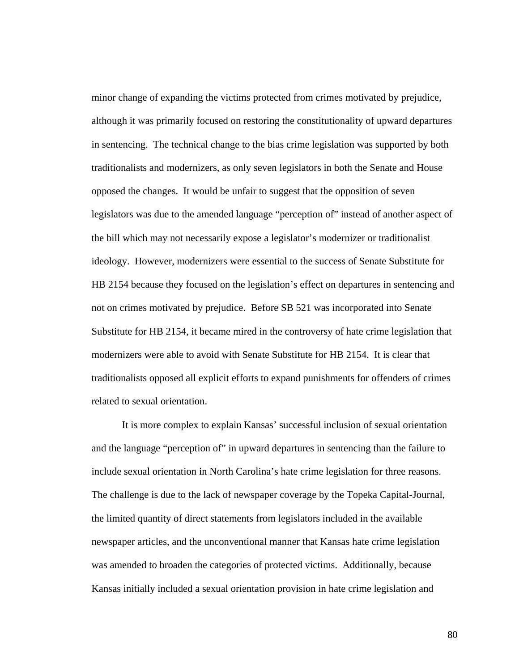minor change of expanding the victims protected from crimes motivated by prejudice, although it was primarily focused on restoring the constitutionality of upward departures in sentencing. The technical change to the bias crime legislation was supported by both traditionalists and modernizers, as only seven legislators in both the Senate and House opposed the changes. It would be unfair to suggest that the opposition of seven legislators was due to the amended language "perception of" instead of another aspect of the bill which may not necessarily expose a legislator's modernizer or traditionalist ideology. However, modernizers were essential to the success of Senate Substitute for HB 2154 because they focused on the legislation's effect on departures in sentencing and not on crimes motivated by prejudice. Before SB 521 was incorporated into Senate Substitute for HB 2154, it became mired in the controversy of hate crime legislation that modernizers were able to avoid with Senate Substitute for HB 2154. It is clear that traditionalists opposed all explicit efforts to expand punishments for offenders of crimes related to sexual orientation.

It is more complex to explain Kansas' successful inclusion of sexual orientation and the language "perception of" in upward departures in sentencing than the failure to include sexual orientation in North Carolina's hate crime legislation for three reasons. The challenge is due to the lack of newspaper coverage by the Topeka Capital-Journal, the limited quantity of direct statements from legislators included in the available newspaper articles, and the unconventional manner that Kansas hate crime legislation was amended to broaden the categories of protected victims. Additionally, because Kansas initially included a sexual orientation provision in hate crime legislation and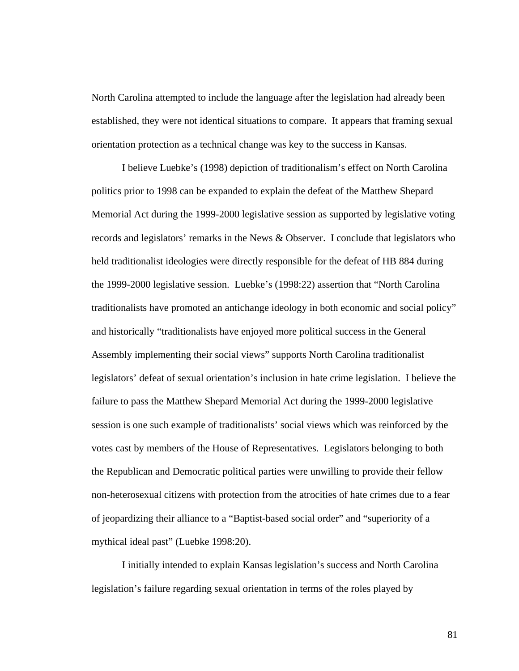North Carolina attempted to include the language after the legislation had already been established, they were not identical situations to compare. It appears that framing sexual orientation protection as a technical change was key to the success in Kansas.

I believe Luebke's (1998) depiction of traditionalism's effect on North Carolina politics prior to 1998 can be expanded to explain the defeat of the Matthew Shepard Memorial Act during the 1999-2000 legislative session as supported by legislative voting records and legislators' remarks in the News & Observer. I conclude that legislators who held traditionalist ideologies were directly responsible for the defeat of HB 884 during the 1999-2000 legislative session. Luebke's (1998:22) assertion that "North Carolina traditionalists have promoted an antichange ideology in both economic and social policy" and historically "traditionalists have enjoyed more political success in the General Assembly implementing their social views" supports North Carolina traditionalist legislators' defeat of sexual orientation's inclusion in hate crime legislation. I believe the failure to pass the Matthew Shepard Memorial Act during the 1999-2000 legislative session is one such example of traditionalists' social views which was reinforced by the votes cast by members of the House of Representatives. Legislators belonging to both the Republican and Democratic political parties were unwilling to provide their fellow non-heterosexual citizens with protection from the atrocities of hate crimes due to a fear of jeopardizing their alliance to a "Baptist-based social order" and "superiority of a mythical ideal past" (Luebke 1998:20).

I initially intended to explain Kansas legislation's success and North Carolina legislation's failure regarding sexual orientation in terms of the roles played by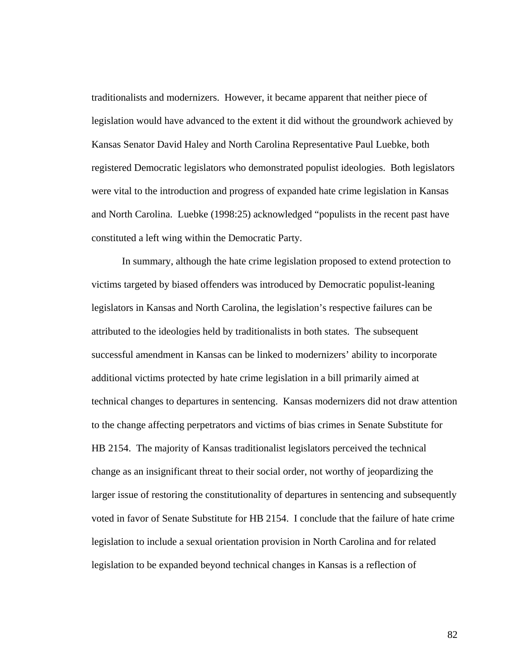traditionalists and modernizers. However, it became apparent that neither piece of legislation would have advanced to the extent it did without the groundwork achieved by Kansas Senator David Haley and North Carolina Representative Paul Luebke, both registered Democratic legislators who demonstrated populist ideologies. Both legislators were vital to the introduction and progress of expanded hate crime legislation in Kansas and North Carolina. Luebke (1998:25) acknowledged "populists in the recent past have constituted a left wing within the Democratic Party.

In summary, although the hate crime legislation proposed to extend protection to victims targeted by biased offenders was introduced by Democratic populist-leaning legislators in Kansas and North Carolina, the legislation's respective failures can be attributed to the ideologies held by traditionalists in both states. The subsequent successful amendment in Kansas can be linked to modernizers' ability to incorporate additional victims protected by hate crime legislation in a bill primarily aimed at technical changes to departures in sentencing. Kansas modernizers did not draw attention to the change affecting perpetrators and victims of bias crimes in Senate Substitute for HB 2154. The majority of Kansas traditionalist legislators perceived the technical change as an insignificant threat to their social order, not worthy of jeopardizing the larger issue of restoring the constitutionality of departures in sentencing and subsequently voted in favor of Senate Substitute for HB 2154. I conclude that the failure of hate crime legislation to include a sexual orientation provision in North Carolina and for related legislation to be expanded beyond technical changes in Kansas is a reflection of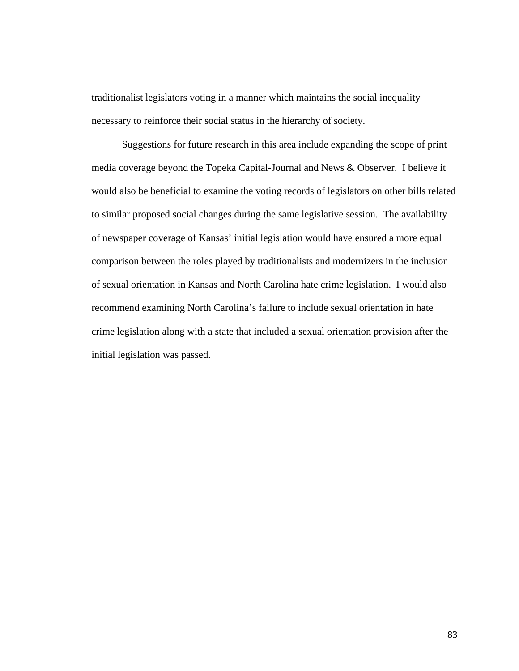traditionalist legislators voting in a manner which maintains the social inequality necessary to reinforce their social status in the hierarchy of society.

 Suggestions for future research in this area include expanding the scope of print media coverage beyond the Topeka Capital-Journal and News & Observer. I believe it would also be beneficial to examine the voting records of legislators on other bills related to similar proposed social changes during the same legislative session. The availability of newspaper coverage of Kansas' initial legislation would have ensured a more equal comparison between the roles played by traditionalists and modernizers in the inclusion of sexual orientation in Kansas and North Carolina hate crime legislation. I would also recommend examining North Carolina's failure to include sexual orientation in hate crime legislation along with a state that included a sexual orientation provision after the initial legislation was passed.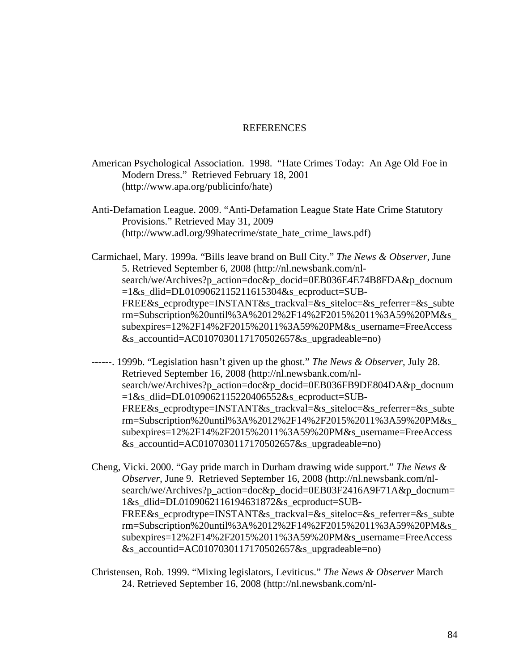## **REFERENCES**

American Psychological Association. 1998. "Hate Crimes Today: An Age Old Foe in Modern Dress." Retrieved February 18, 2001 (http://www.apa.org/publicinfo/hate)

Anti-Defamation League. 2009. "Anti-Defamation League State Hate Crime Statutory Provisions." Retrieved May 31, 2009 (http://www.adl.org/99hatecrime/state\_hate\_crime\_laws.pdf)

Carmichael, Mary. 1999a. "Bills leave brand on Bull City." *The News & Observer*, June 5. Retrieved September 6, 2008 (http://nl.newsbank.com/nlsearch/we/Archives?p\_action=doc&p\_docid=0EB036E4E74B8FDA&p\_docnum =1&s\_dlid=DL0109062115211615304&s\_ecproduct=SUB-FREE&s\_ecprodtype=INSTANT&s\_trackval=&s\_siteloc=&s\_referrer=&s\_subte rm=Subscription%20until%3A%2012%2F14%2F2015%2011%3A59%20PM&s\_ subexpires=12%2F14%2F2015%2011%3A59%20PM&s\_username=FreeAccess &s\_accountid=AC0107030117170502657&s\_upgradeable=no)

------. 1999b. "Legislation hasn't given up the ghost." *The News & Observer*, July 28. Retrieved September 16, 2008 (http://nl.newsbank.com/nlsearch/we/Archives?p\_action=doc&p\_docid=0EB036FB9DE804DA&p\_docnum  $=1$ &s dlid=DL0109062115220406552&s ecproduct=SUB-FREE&s\_ecprodtype=INSTANT&s\_trackval=&s\_siteloc=&s\_referrer=&s\_subte rm=Subscription%20until%3A%2012%2F14%2F2015%2011%3A59%20PM&s\_ subexpires=12%2F14%2F2015%2011%3A59%20PM&s\_username=FreeAccess &s\_accountid=AC0107030117170502657&s\_upgradeable=no)

Cheng, Vicki. 2000. "Gay pride march in Durham drawing wide support." *The News & Observer*, June 9. Retrieved September 16, 2008 (http://nl.newsbank.com/nlsearch/we/Archives?p\_action=doc&p\_docid=0EB03F2416A9F71A&p\_docnum= 1&s\_dlid=DL0109062116194631872&s\_ecproduct=SUB-FREE&s ecprodtype=INSTANT&s trackval=&s\_siteloc=&s\_referrer=&s\_subte rm=Subscription%20until%3A%2012%2F14%2F2015%2011%3A59%20PM&s\_ subexpires=12%2F14%2F2015%2011%3A59%20PM&s\_username=FreeAccess &s\_accountid=AC0107030117170502657&s\_upgradeable=no)

Christensen, Rob. 1999. "Mixing legislators, Leviticus." *The News & Observer* March 24. Retrieved September 16, 2008 (http://nl.newsbank.com/nl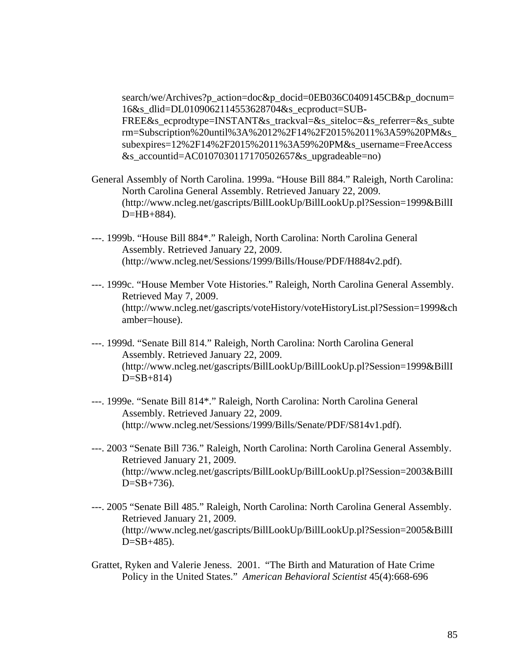search/we/Archives?p\_action=doc&p\_docid=0EB036C0409145CB&p\_docnum= 16&s\_dlid=DL0109062114553628704&s\_ecproduct=SUB-

FREE&s\_ecprodtype=INSTANT&s\_trackval=&s\_siteloc=&s\_referrer=&s\_subte rm=Subscription%20until%3A%2012%2F14%2F2015%2011%3A59%20PM&s\_ subexpires=12%2F14%2F2015%2011%3A59%20PM&s\_username=FreeAccess &s\_accountid=AC0107030117170502657&s\_upgradeable=no)

- General Assembly of North Carolina. 1999a. "House Bill 884." Raleigh, North Carolina: North Carolina General Assembly. Retrieved January 22, 2009. (http://www.ncleg.net/gascripts/BillLookUp/BillLookUp.pl?Session=1999&BillI D=HB+884).
- ---. 1999b. "House Bill 884\*." Raleigh, North Carolina: North Carolina General Assembly. Retrieved January 22, 2009. (http://www.ncleg.net/Sessions/1999/Bills/House/PDF/H884v2.pdf).
- ---. 1999c. "House Member Vote Histories." Raleigh, North Carolina General Assembly. Retrieved May 7, 2009. (http://www.ncleg.net/gascripts/voteHistory/voteHistoryList.pl?Session=1999&ch amber=house).
- ---. 1999d. "Senate Bill 814." Raleigh, North Carolina: North Carolina General Assembly. Retrieved January 22, 2009. (http://www.ncleg.net/gascripts/BillLookUp/BillLookUp.pl?Session=1999&BillI  $D = SB + 814$
- ---. 1999e. "Senate Bill 814\*." Raleigh, North Carolina: North Carolina General Assembly. Retrieved January 22, 2009. (http://www.ncleg.net/Sessions/1999/Bills/Senate/PDF/S814v1.pdf).
- ---. 2003 "Senate Bill 736." Raleigh, North Carolina: North Carolina General Assembly. Retrieved January 21, 2009. (http://www.ncleg.net/gascripts/BillLookUp/BillLookUp.pl?Session=2003&BillI  $D = SB + 736$ .
- ---. 2005 "Senate Bill 485." Raleigh, North Carolina: North Carolina General Assembly. Retrieved January 21, 2009. (http://www.ncleg.net/gascripts/BillLookUp/BillLookUp.pl?Session=2005&BillI  $D = SB + 485$ .
- Grattet, Ryken and Valerie Jeness. 2001. "The Birth and Maturation of Hate Crime Policy in the United States." *American Behavioral Scientist* 45(4):668-696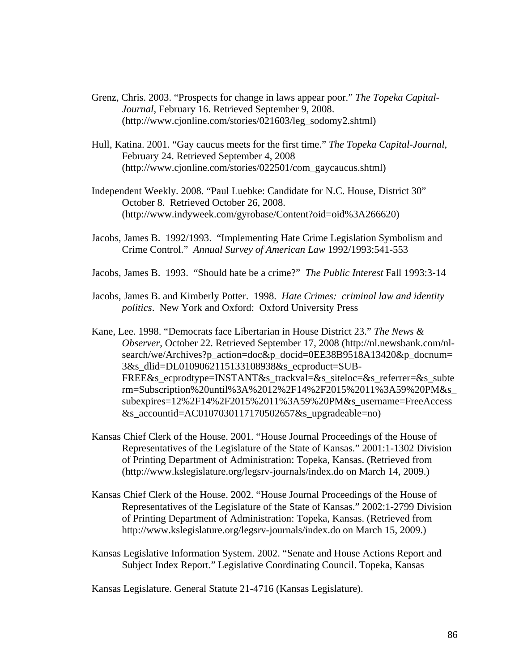- Grenz, Chris. 2003. "Prospects for change in laws appear poor." *The Topeka Capital-Journal*, February 16. Retrieved September 9, 2008. (http://www.cjonline.com/stories/021603/leg\_sodomy2.shtml)
- Hull, Katina. 2001. "Gay caucus meets for the first time." *The Topeka Capital-Journal*, February 24. Retrieved September 4, 2008 (http://www.cjonline.com/stories/022501/com\_gaycaucus.shtml)
- Independent Weekly. 2008. "Paul Luebke: Candidate for N.C. House, District 30" October 8. Retrieved October 26, 2008. (http://www.indyweek.com/gyrobase/Content?oid=oid%3A266620)
- Jacobs, James B. 1992/1993. "Implementing Hate Crime Legislation Symbolism and Crime Control." *Annual Survey of American Law* 1992/1993:541-553
- Jacobs, James B. 1993. "Should hate be a crime?" *The Public Interest* Fall 1993:3-14
- Jacobs, James B. and Kimberly Potter. 1998. *Hate Crimes: criminal law and identity politics*. New York and Oxford: Oxford University Press
- Kane, Lee. 1998. "Democrats face Libertarian in House District 23." *The News & Observer*, October 22. Retrieved September 17, 2008 (http://nl.newsbank.com/nlsearch/we/Archives?p\_action=doc&p\_docid=0EE38B9518A13420&p\_docnum= 3&s\_dlid=DL0109062115133108938&s\_ecproduct=SUB-FREE&s ecprodtype=INSTANT&s trackval=&s siteloc=&s referrer=&s subte rm=Subscription%20until%3A%2012%2F14%2F2015%2011%3A59%20PM&s\_ subexpires=12%2F14%2F2015%2011%3A59%20PM&s\_username=FreeAccess &s\_accountid=AC0107030117170502657&s\_upgradeable=no)
- Kansas Chief Clerk of the House. 2001. "House Journal Proceedings of the House of Representatives of the Legislature of the State of Kansas." 2001:1-1302 Division of Printing Department of Administration: Topeka, Kansas. (Retrieved from (http://www.kslegislature.org/legsrv-journals/index.do on March 14, 2009.)
- Kansas Chief Clerk of the House. 2002. "House Journal Proceedings of the House of Representatives of the Legislature of the State of Kansas." 2002:1-2799 Division of Printing Department of Administration: Topeka, Kansas. (Retrieved from http://www.kslegislature.org/legsrv-journals/index.do on March 15, 2009.)
- Kansas Legislative Information System. 2002. "Senate and House Actions Report and Subject Index Report." Legislative Coordinating Council. Topeka, Kansas

Kansas Legislature. General Statute 21-4716 (Kansas Legislature).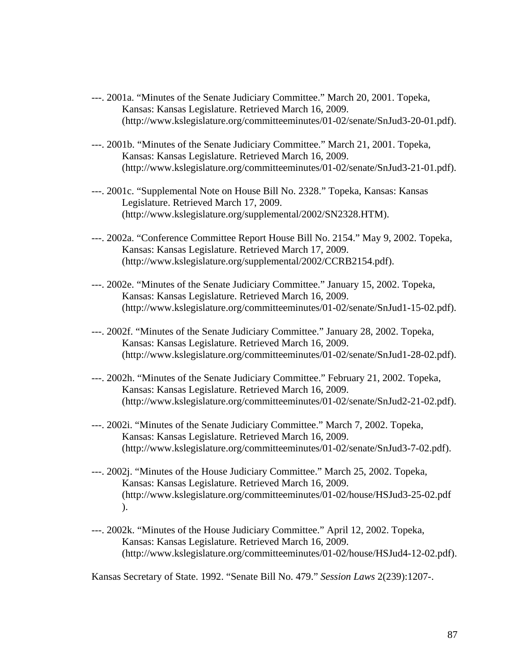- ---. 2001a. "Minutes of the Senate Judiciary Committee." March 20, 2001. Topeka, Kansas: Kansas Legislature. Retrieved March 16, 2009. (http://www.kslegislature.org/committeeminutes/01-02/senate/SnJud3-20-01.pdf).
- ---. 2001b. "Minutes of the Senate Judiciary Committee." March 21, 2001. Topeka, Kansas: Kansas Legislature. Retrieved March 16, 2009. (http://www.kslegislature.org/committeeminutes/01-02/senate/SnJud3-21-01.pdf).
- ---. 2001c. "Supplemental Note on House Bill No. 2328." Topeka, Kansas: Kansas Legislature. Retrieved March 17, 2009. (http://www.kslegislature.org/supplemental/2002/SN2328.HTM).
- ---. 2002a. "Conference Committee Report House Bill No. 2154." May 9, 2002. Topeka, Kansas: Kansas Legislature. Retrieved March 17, 2009. (http://www.kslegislature.org/supplemental/2002/CCRB2154.pdf).
- ---. 2002e. "Minutes of the Senate Judiciary Committee." January 15, 2002. Topeka, Kansas: Kansas Legislature. Retrieved March 16, 2009. (http://www.kslegislature.org/committeeminutes/01-02/senate/SnJud1-15-02.pdf).
- ---. 2002f. "Minutes of the Senate Judiciary Committee." January 28, 2002. Topeka, Kansas: Kansas Legislature. Retrieved March 16, 2009. (http://www.kslegislature.org/committeeminutes/01-02/senate/SnJud1-28-02.pdf).
- ---. 2002h. "Minutes of the Senate Judiciary Committee." February 21, 2002. Topeka, Kansas: Kansas Legislature. Retrieved March 16, 2009. (http://www.kslegislature.org/committeeminutes/01-02/senate/SnJud2-21-02.pdf).
- ---. 2002i. "Minutes of the Senate Judiciary Committee." March 7, 2002. Topeka, Kansas: Kansas Legislature. Retrieved March 16, 2009. (http://www.kslegislature.org/committeeminutes/01-02/senate/SnJud3-7-02.pdf).
- ---. 2002j. "Minutes of the House Judiciary Committee." March 25, 2002. Topeka, Kansas: Kansas Legislature. Retrieved March 16, 2009. (http://www.kslegislature.org/committeeminutes/01-02/house/HSJud3-25-02.pdf ).
- ---. 2002k. "Minutes of the House Judiciary Committee." April 12, 2002. Topeka, Kansas: Kansas Legislature. Retrieved March 16, 2009. (http://www.kslegislature.org/committeeminutes/01-02/house/HSJud4-12-02.pdf).

Kansas Secretary of State. 1992. "Senate Bill No. 479." *Session Laws* 2(239):1207-.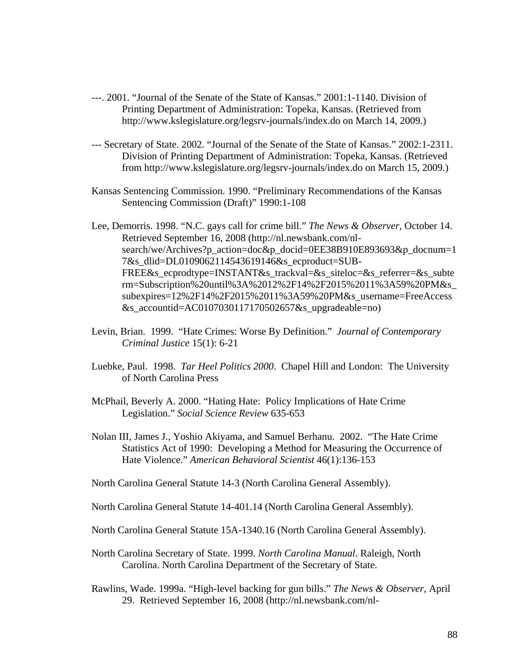- ---. 2001. "Journal of the Senate of the State of Kansas." 2001:1-1140. Division of Printing Department of Administration: Topeka, Kansas. (Retrieved from http://www.kslegislature.org/legsrv-journals/index.do on March 14, 2009.)
- --- Secretary of State. 2002. "Journal of the Senate of the State of Kansas." 2002:1-2311. Division of Printing Department of Administration: Topeka, Kansas. (Retrieved from http://www.kslegislature.org/legsrv-journals/index.do on March 15, 2009.)
- Kansas Sentencing Commission. 1990. "Preliminary Recommendations of the Kansas Sentencing Commission (Draft)" 1990:1-108

Lee, Demorris. 1998. "N.C. gays call for crime bill." *The News & Observer*, October 14. Retrieved September 16, 2008 (http://nl.newsbank.com/nlsearch/we/Archives?p\_action=doc&p\_docid=0EE38B910E893693&p\_docnum=1 7&s\_dlid=DL0109062114543619146&s\_ecproduct=SUB-FREE&s\_ecprodtype=INSTANT&s\_trackval=&s\_siteloc=&s\_referrer=&s\_subte rm=Subscription%20until%3A%2012%2F14%2F2015%2011%3A59%20PM&s\_ subexpires=12%2F14%2F2015%2011%3A59%20PM&s\_username=FreeAccess  $&$ s accountid=AC0107030117170502657 $&$ s upgradeable=no)

- Levin, Brian. 1999. "Hate Crimes: Worse By Definition." *Journal of Contemporary Criminal Justice* 15(1): 6-21
- Luebke, Paul. 1998. *Tar Heel Politics 2000*. Chapel Hill and London: The University of North Carolina Press
- McPhail, Beverly A. 2000. "Hating Hate: Policy Implications of Hate Crime Legislation." *Social Science Review* 635-653
- Nolan III, James J., Yoshio Akiyama, and Samuel Berhanu. 2002. "The Hate Crime Statistics Act of 1990: Developing a Method for Measuring the Occurrence of Hate Violence." *American Behavioral Scientist* 46(1):136-153

North Carolina General Statute 14-3 (North Carolina General Assembly).

- North Carolina General Statute 14-401.14 (North Carolina General Assembly).
- North Carolina General Statute 15A-1340.16 (North Carolina General Assembly).
- North Carolina Secretary of State. 1999. *North Carolina Manual*. Raleigh, North Carolina. North Carolina Department of the Secretary of State.
- Rawlins, Wade. 1999a. "High-level backing for gun bills." *The News & Observer*, April 29. Retrieved September 16, 2008 (http://nl.newsbank.com/nl-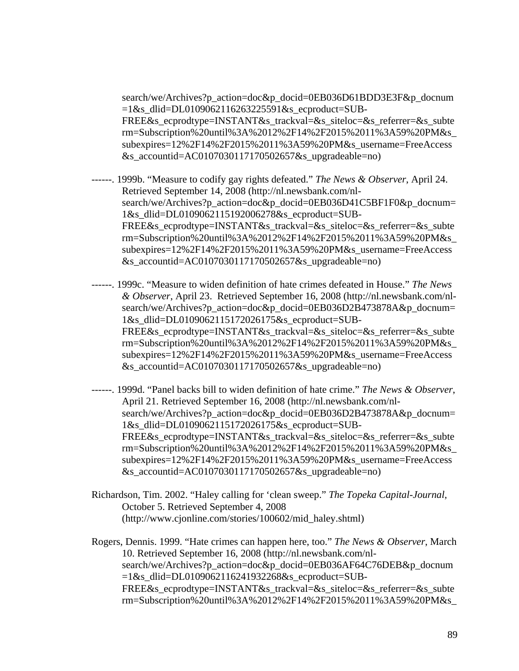search/we/Archives?p\_action=doc&p\_docid=0EB036D61BDD3E3F&p\_docnum  $=1$ &s dlid=DL0109062116263225591&s ecproduct=SUB-FREE&s\_ecprodtype=INSTANT&s\_trackval=&s\_siteloc=&s\_referrer=&s\_subte rm=Subscription%20until%3A%2012%2F14%2F2015%2011%3A59%20PM&s\_ subexpires=12%2F14%2F2015%2011%3A59%20PM&s\_username=FreeAccess &s\_accountid=AC0107030117170502657&s\_upgradeable=no)

- ------. 1999b. "Measure to codify gay rights defeated." *The News & Observer*, April 24. Retrieved September 14, 2008 (http://nl.newsbank.com/nlsearch/we/Archives?p\_action=doc&p\_docid=0EB036D41C5BF1F0&p\_docnum= 1&s\_dlid=DL0109062115192006278&s\_ecproduct=SUB-FREE&s\_ecprodtype=INSTANT&s\_trackval=&s\_siteloc=&s\_referrer=&s\_subte rm=Subscription%20until%3A%2012%2F14%2F2015%2011%3A59%20PM&s\_ subexpires=12%2F14%2F2015%2011%3A59%20PM&s\_username=FreeAccess &s\_accountid=AC0107030117170502657&s\_upgradeable=no)
- ------. 1999c. "Measure to widen definition of hate crimes defeated in House." *The News & Observer*, April 23. Retrieved September 16, 2008 (http://nl.newsbank.com/nlsearch/we/Archives?p\_action=doc&p\_docid=0EB036D2B473878A&p\_docnum= 1&s\_dlid=DL0109062115172026175&s\_ecproduct=SUB-FREE&s\_ecprodtype=INSTANT&s\_trackval=&s\_siteloc=&s\_referrer=&s\_subte rm=Subscription%20until%3A%2012%2F14%2F2015%2011%3A59%20PM&s\_ subexpires=12%2F14%2F2015%2011%3A59%20PM&s\_username=FreeAccess &s\_accountid=AC0107030117170502657&s\_upgradeable=no)
- ------. 1999d. "Panel backs bill to widen definition of hate crime." *The News & Observer*, April 21. Retrieved September 16, 2008 (http://nl.newsbank.com/nlsearch/we/Archives?p\_action=doc&p\_docid=0EB036D2B473878A&p\_docnum= 1&s\_dlid=DL0109062115172026175&s\_ecproduct=SUB-FREE&s\_ecprodtype=INSTANT&s\_trackval=&s\_siteloc=&s\_referrer=&s\_subte rm=Subscription%20until%3A%2012%2F14%2F2015%2011%3A59%20PM&s\_ subexpires=12%2F14%2F2015%2011%3A59%20PM&s\_username=FreeAccess &s\_accountid=AC0107030117170502657&s\_upgradeable=no)
- Richardson, Tim. 2002. "Haley calling for 'clean sweep." *The Topeka Capital-Journal*, October 5. Retrieved September 4, 2008 (http://www.cjonline.com/stories/100602/mid\_haley.shtml)

Rogers, Dennis. 1999. "Hate crimes can happen here, too." *The News & Observer*, March 10. Retrieved September 16, 2008 (http://nl.newsbank.com/nlsearch/we/Archives?p\_action=doc&p\_docid=0EB036AF64C76DEB&p\_docnum =1&s\_dlid=DL0109062116241932268&s\_ecproduct=SUB-FREE&s\_ecprodtype=INSTANT&s\_trackval=&s\_siteloc=&s\_referrer=&s\_subte rm=Subscription%20until%3A%2012%2F14%2F2015%2011%3A59%20PM&s\_